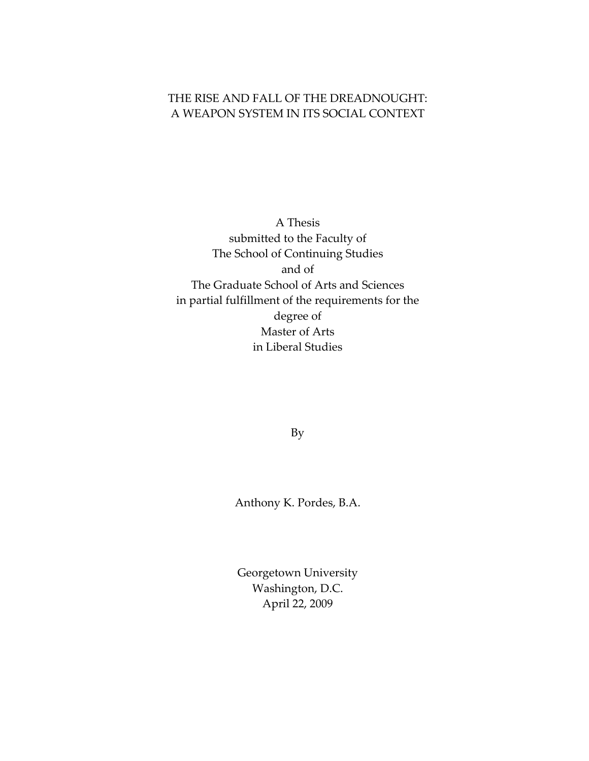# THE RISE AND FALL OF THE DREADNOUGHT: A WEAPON SYSTEM IN ITS SOCIAL CONTEXT

A Thesis submitted to the Faculty of The School of Continuing Studies and of The Graduate School of Arts and Sciences in partial fulfillment of the requirements for the degree of Master of Arts in Liberal Studies

By

Anthony K. Pordes, B.A.

Georgetown University Washington, D.C. April 22, 2009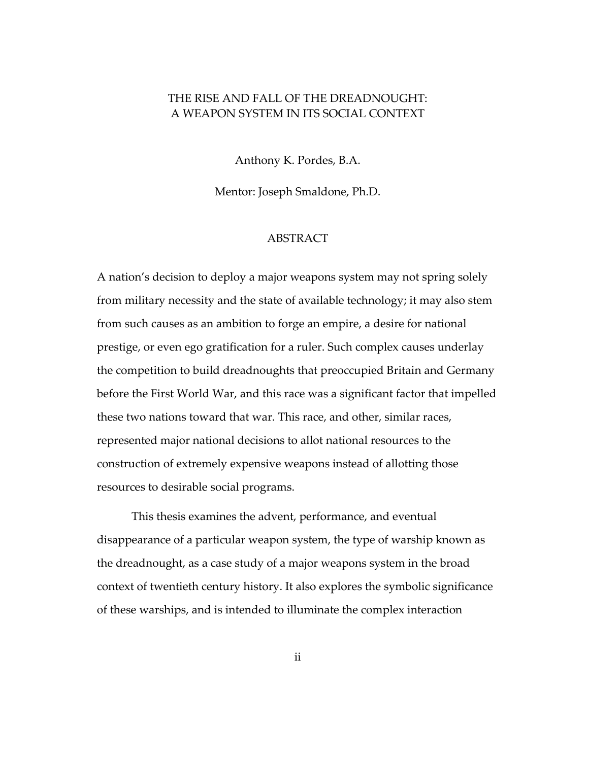### <span id="page-1-0"></span>THE RISE AND FALL OF THE DREADNOUGHT: A WEAPON SYSTEM IN ITS SOCIAL CONTEXT

Anthony K. Pordes, B.A.

Mentor: Joseph Smaldone, Ph.D.

### ABSTRACT

A nation's decision to deploy a major weapons system may not spring solely from military necessity and the state of available technology; it may also stem from such causes as an ambition to forge an empire, a desire for national prestige, or even ego gratification for a ruler. Such complex causes underlay the competition to build dreadnoughts that preoccupied Britain and Germany before the First World War, and this race was a significant factor that impelled these two nations toward that war. This race, and other, similar races, represented major national decisions to allot national resources to the construction of extremely expensive weapons instead of allotting those resources to desirable social programs.

This thesis examines the advent, performance, and eventual disappearance of a particular weapon system, the type of warship known as the dreadnought, as a case study of a major weapons system in the broad context of twentieth century history. It also explores the symbolic significance of these warships, and is intended to illuminate the complex interaction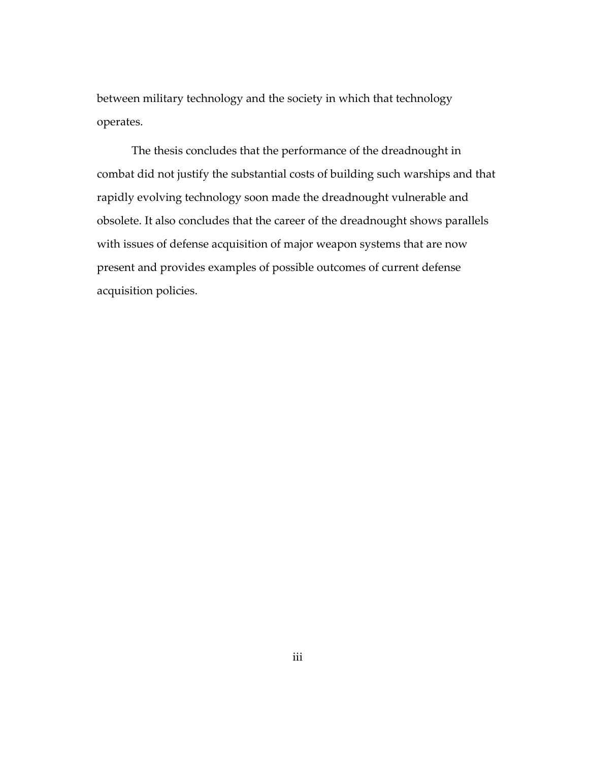between military technology and the society in which that technology operates.

The thesis concludes that the performance of the dreadnought in combat did not justify the substantial costs of building such warships and that rapidly evolving technology soon made the dreadnought vulnerable and obsolete. It also concludes that the career of the dreadnought shows parallels with issues of defense acquisition of major weapon systems that are now present and provides examples of possible outcomes of current defense acquisition policies.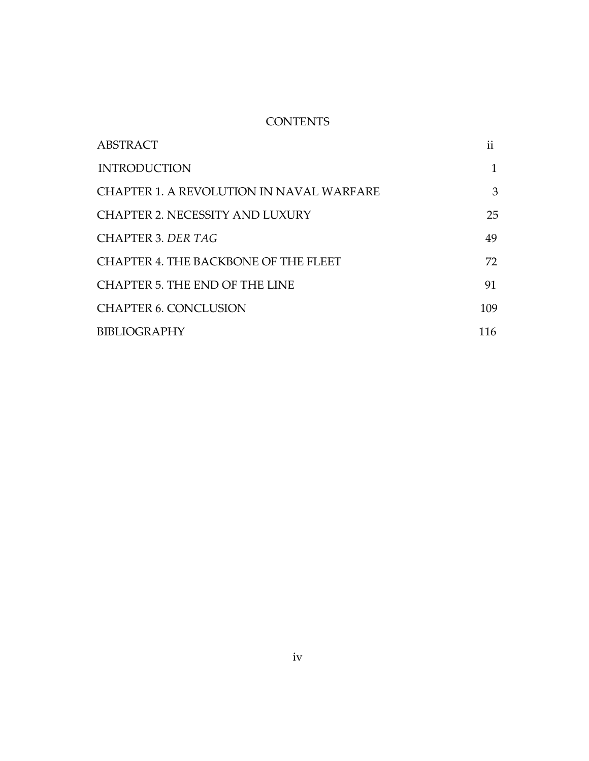## **CONTENTS**

| ABSTRACT                                    | ii  |
|---------------------------------------------|-----|
| <b>INTRODUCTION</b>                         |     |
| CHAPTER 1. A REVOLUTION IN NAVAL WARFARE    | 3   |
| <b>CHAPTER 2. NECESSITY AND LUXURY</b>      | 25  |
| CHAPTER 3. DER TAG                          | 49  |
| <b>CHAPTER 4. THE BACKBONE OF THE FLEET</b> | 72  |
| CHAPTER 5. THE END OF THE LINE              | 91  |
| <b>CHAPTER 6. CONCLUSION</b>                | 109 |
| <b>BIBLIOGRAPHY</b>                         | 116 |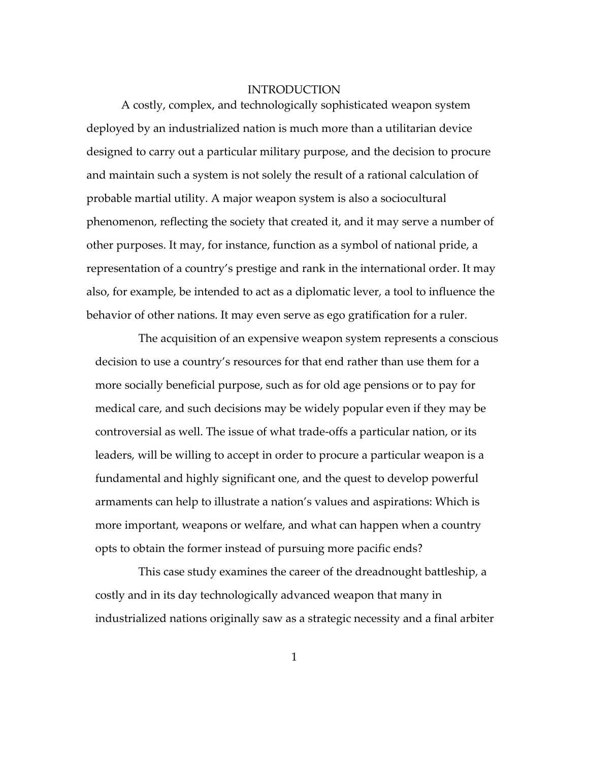#### INTRODUCTION

<span id="page-4-0"></span>A costly, complex, and technologically sophisticated weapon system deployed by an industrialized nation is much more than a utilitarian device designed to carry out a particular military purpose, and the decision to procure and maintain such a system is not solely the result of a rational calculation of probable martial utility. A major weapon system is also a sociocultural phenomenon, reflecting the society that created it, and it may serve a number of other purposes. It may, for instance, function as a symbol of national pride, a representation of a country's prestige and rank in the international order. It may also, for example, be intended to act as a diplomatic lever, a tool to influence the behavior of other nations. It may even serve as ego gratification for a ruler.

The acquisition of an expensive weapon system represents a conscious decision to use a country's resources for that end rather than use them for a more socially beneficial purpose, such as for old age pensions or to pay for medical care, and such decisions may be widely popular even if they may be controversial as well. The issue of what trade-offs a particular nation, or its leaders, will be willing to accept in order to procure a particular weapon is a fundamental and highly significant one, and the quest to develop powerful armaments can help to illustrate a nation's values and aspirations: Which is more important, weapons or welfare, and what can happen when a country opts to obtain the former instead of pursuing more pacific ends?

This case study examines the career of the dreadnought battleship, a costly and in its day technologically advanced weapon that many in industrialized nations originally saw as a strategic necessity and a final arbiter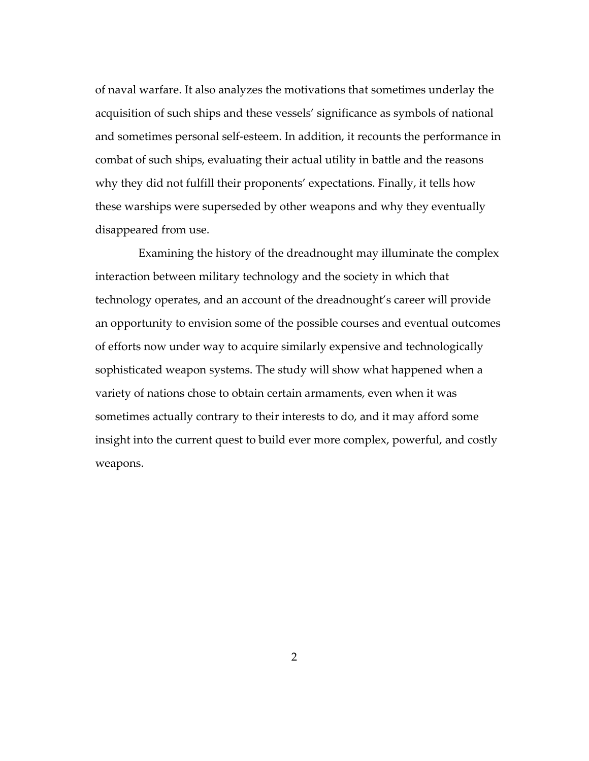of naval warfare. It also analyzes the motivations that sometimes underlay the acquisition of such ships and these vessels' significance as symbols of national and sometimes personal self-esteem. In addition, it recounts the performance in combat of such ships, evaluating their actual utility in battle and the reasons why they did not fulfill their proponents' expectations. Finally, it tells how these warships were superseded by other weapons and why they eventually disappeared from use.

Examining the history of the dreadnought may illuminate the complex interaction between military technology and the society in which that technology operates, and an account of the dreadnought's career will provide an opportunity to envision some of the possible courses and eventual outcomes of efforts now under way to acquire similarly expensive and technologically sophisticated weapon systems. The study will show what happened when a variety of nations chose to obtain certain armaments, even when it was sometimes actually contrary to their interests to do, and it may afford some insight into the current quest to build ever more complex, powerful, and costly weapons.

2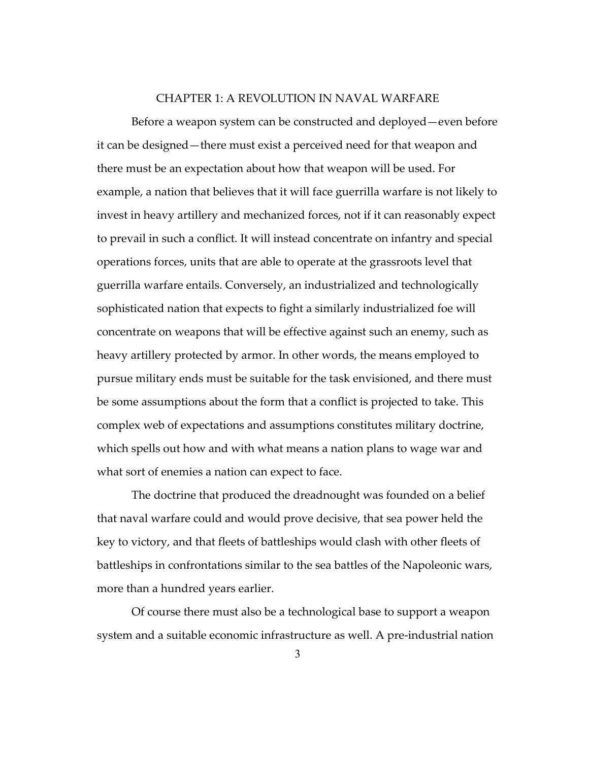#### CHAPTER 1: A REVOLUTION IN NAVAL WARFARE

<span id="page-6-0"></span>Before a weapon system can be constructed and deployed—even before it can be designed—there must exist a perceived need for that weapon and there must be an expectation about how that weapon will be used. For example, a nation that believes that it will face guerrilla warfare is not likely to invest in heavy artillery and mechanized forces, not if it can reasonably expect to prevail in such a conflict. It will instead concentrate on infantry and special operations forces, units that are able to operate at the grassroots level that guerrilla warfare entails. Conversely, an industrialized and technologically sophisticated nation that expects to fight a similarly industrialized foe will concentrate on weapons that will be effective against such an enemy, such as heavy artillery protected by armor. In other words, the means employed to pursue military ends must be suitable for the task envisioned, and there must be some assumptions about the form that a conflict is projected to take. This complex web of expectations and assumptions constitutes military doctrine, which spells out how and with what means a nation plans to wage war and what sort of enemies a nation can expect to face.

The doctrine that produced the dreadnought was founded on a belief that naval warfare could and would prove decisive, that sea power held the key to victory, and that fleets of battleships would clash with other fleets of battleships in confrontations similar to the sea battles of the Napoleonic wars, more than a hundred years earlier.

Of course there must also be a technological base to support a weapon system and a suitable economic infrastructure as well. A pre-industrial nation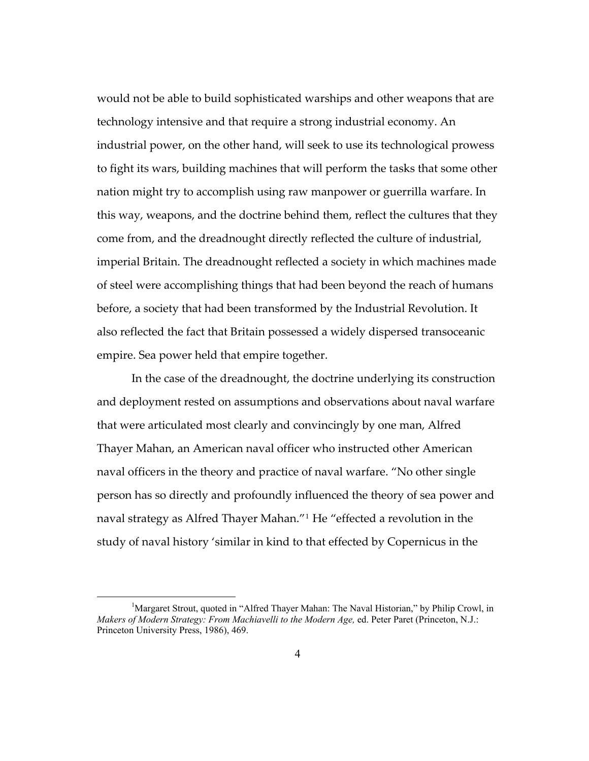would not be able to build sophisticated warships and other weapons that are technology intensive and that require a strong industrial economy. An industrial power, on the other hand, will seek to use its technological prowess to fight its wars, building machines that will perform the tasks that some other nation might try to accomplish using raw manpower or guerrilla warfare. In this way, weapons, and the doctrine behind them, reflect the cultures that they come from, and the dreadnought directly reflected the culture of industrial, imperial Britain. The dreadnought reflected a society in which machines made of steel were accomplishing things that had been beyond the reach of humans before, a society that had been transformed by the Industrial Revolution. It also reflected the fact that Britain possessed a widely dispersed transoceanic empire. Sea power held that empire together.

 In the case of the dreadnought, the doctrine underlying its construction and deployment rested on assumptions and observations about naval warfare that were articulated most clearly and convincingly by one man, Alfred Thayer Mahan, an American naval officer who instructed other American naval officers in the theory and practice of naval warfare. "No other single person has so directly and profoundly influenced the theory of sea power and naval strategy as Alfred Thayer Mahan."[1](#page-7-0) He "effected a revolution in the study of naval history 'similar in kind to that effected by Copernicus in the

<span id="page-7-0"></span><sup>&</sup>lt;sup>1</sup>Margaret Strout, quoted in "Alfred Thayer Mahan: The Naval Historian," by Philip Crowl, in *Makers of Modern Strategy: From Machiavelli to the Modern Age,* ed. Peter Paret (Princeton, N.J.: Princeton University Press, 1986), 469.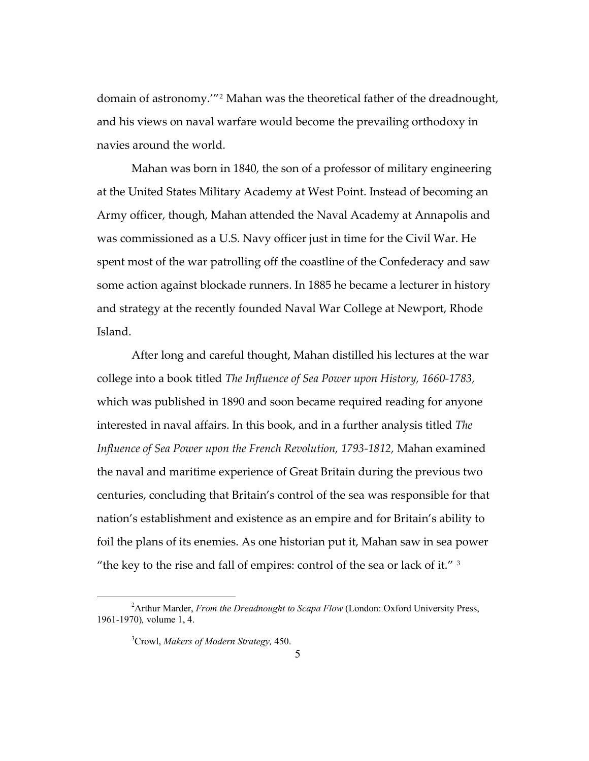domain of astronomy.'"[2](#page-8-0) Mahan was the theoretical father of the dreadnought, and his views on naval warfare would become the prevailing orthodoxy in navies around the world.

Mahan was born in 1840, the son of a professor of military engineering at the United States Military Academy at West Point. Instead of becoming an Army officer, though, Mahan attended the Naval Academy at Annapolis and was commissioned as a U.S. Navy officer just in time for the Civil War. He spent most of the war patrolling off the coastline of the Confederacy and saw some action against blockade runners. In 1885 he became a lecturer in history and strategy at the recently founded Naval War College at Newport, Rhode Island.

After long and careful thought, Mahan distilled his lectures at the war college into a book titled *The Influence of Sea Power upon History, 1660-1783,*  which was published in 1890 and soon became required reading for anyone interested in naval affairs. In this book, and in a further analysis titled *The Influence of Sea Power upon the French Revolution, 1793-1812,* Mahan examined the naval and maritime experience of Great Britain during the previous two centuries, concluding that Britain's control of the sea was responsible for that nation's establishment and existence as an empire and for Britain's ability to foil the plans of its enemies. As one historian put it, Mahan saw in sea power "the key to the rise and fall of empires: control of the sea or lack of it." [3](#page-8-1)

<span id="page-8-1"></span><span id="page-8-0"></span><sup>&</sup>lt;sup>2</sup> Arthur Marder, *From the Dreadnought to Scapa Flow* (London: Oxford University Press, 1961-1970)*,* volume 1, 4.

<sup>3</sup> Crowl, *Makers of Modern Strategy,* 450.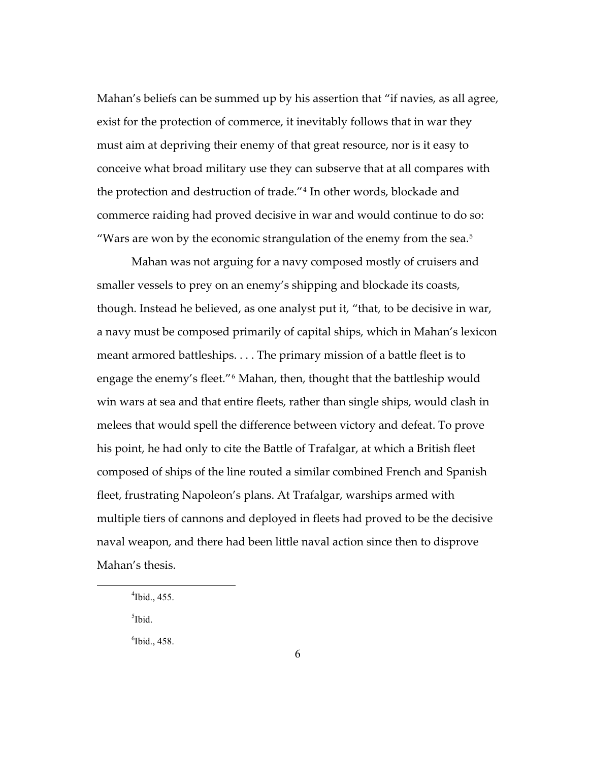Mahan's beliefs can be summed up by his assertion that "if navies, as all agree, exist for the protection of commerce, it inevitably follows that in war they must aim at depriving their enemy of that great resource, nor is it easy to conceive what broad military use they can subserve that at all compares with the protection and destruction of trade."[4](#page-9-0) In other words, blockade and commerce raiding had proved decisive in war and would continue to do so: "Wars are won by the economic strangulation of the enemy from the sea.<sup>[5](#page-9-1)</sup>

Mahan was not arguing for a navy composed mostly of cruisers and smaller vessels to prey on an enemy's shipping and blockade its coasts, though. Instead he believed, as one analyst put it, "that, to be decisive in war, a navy must be composed primarily of capital ships, which in Mahan's lexicon meant armored battleships. . . . The primary mission of a battle fleet is to engage the enemy's fleet."[6](#page-9-2) Mahan, then, thought that the battleship would win wars at sea and that entire fleets, rather than single ships, would clash in melees that would spell the difference between victory and defeat. To prove his point, he had only to cite the Battle of Trafalgar, at which a British fleet composed of ships of the line routed a similar combined French and Spanish fleet, frustrating Napoleon's plans. At Trafalgar, warships armed with multiple tiers of cannons and deployed in fleets had proved to be the decisive naval weapon, and there had been little naval action since then to disprove Mahan's thesis.

<sup>5</sup>Ibid.

<span id="page-9-2"></span><span id="page-9-1"></span><span id="page-9-0"></span> $\overline{a}$ 

 $<sup>6</sup>$  Ibid., 458.</sup>

 $4$ Ibid., 455.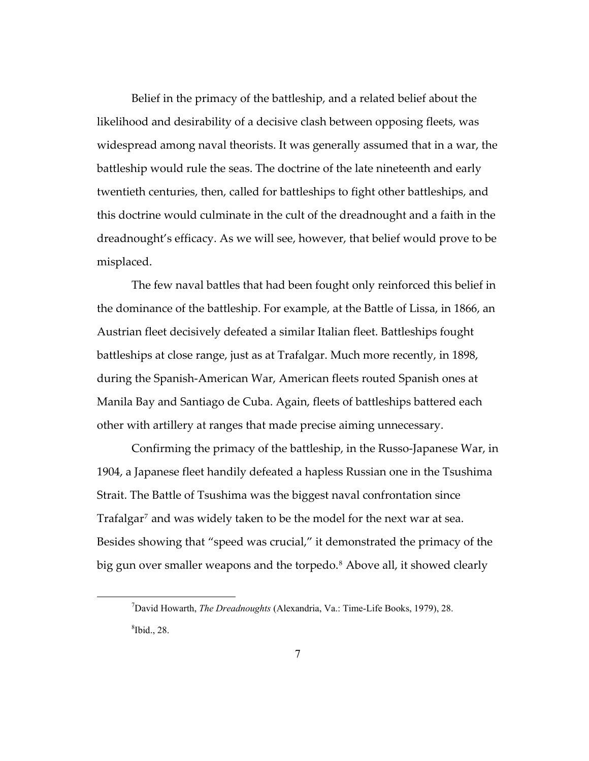Belief in the primacy of the battleship, and a related belief about the likelihood and desirability of a decisive clash between opposing fleets, was widespread among naval theorists. It was generally assumed that in a war, the battleship would rule the seas. The doctrine of the late nineteenth and early twentieth centuries, then, called for battleships to fight other battleships, and this doctrine would culminate in the cult of the dreadnought and a faith in the dreadnought's efficacy. As we will see, however, that belief would prove to be misplaced.

The few naval battles that had been fought only reinforced this belief in the dominance of the battleship. For example, at the Battle of Lissa, in 1866, an Austrian fleet decisively defeated a similar Italian fleet. Battleships fought battleships at close range, just as at Trafalgar. Much more recently, in 1898, during the Spanish-American War, American fleets routed Spanish ones at Manila Bay and Santiago de Cuba. Again, fleets of battleships battered each other with artillery at ranges that made precise aiming unnecessary.

Confirming the primacy of the battleship, in the Russo-Japanese War, in 1904, a Japanese fleet handily defeated a hapless Russian one in the Tsushima Strait. The Battle of Tsushima was the biggest naval confrontation since Trafalgar<sup>[7](#page-10-0)</sup> and was widely taken to be the model for the next war at sea. Besides showing that "speed was crucial," it demonstrated the primacy of the big gun over smaller weapons and the torpedo.<sup>[8](#page-10-1)</sup> Above all, it showed clearly

<span id="page-10-1"></span><span id="page-10-0"></span><sup>7</sup> David Howarth, *The Dreadnoughts* (Alexandria, Va.: Time-Life Books, 1979), 28.  $8$ Ibid., 28.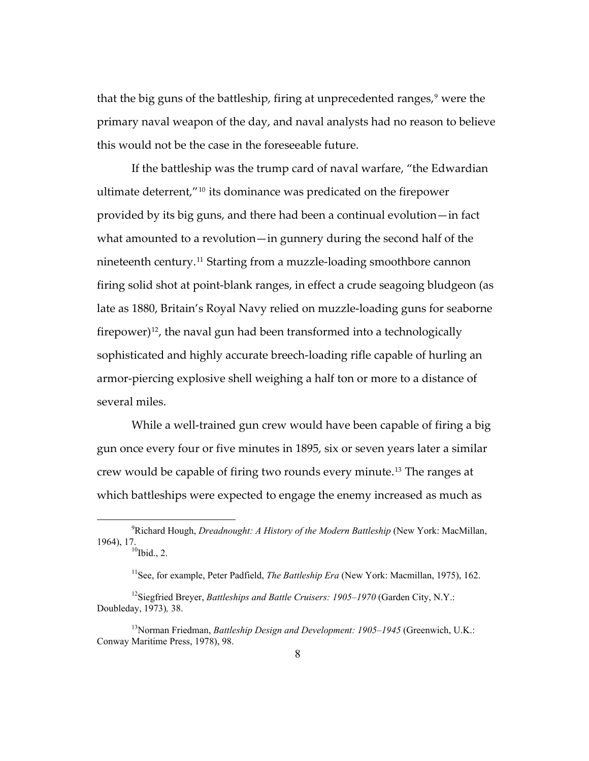that the big guns of the battleship, firing at unprecedented ranges,<sup>[9](#page-11-0)</sup> were the primary naval weapon of the day, and naval analysts had no reason to believe this would not be the case in the foreseeable future.

provided by its big guns, and there had been a continual evolution—in fact what amounted to a revolution—in gunnery during the second half of the If the battleship was the trump card of naval warfare, "the Edwardian ultimate deterrent,"[10](#page-11-1) its dominance was predicated on the firepower nineteenth century.[11](#page-11-2) Starting from a muzzle-loading smoothbore cannon firing solid shot at point-blank ranges, in effect a crude seagoing bludgeon (as late as 1880, Britain's Royal Navy relied on muzzle-loading guns for seaborne firepower) $12$ , the naval gun had been transformed into a technologically sophisticated and highly accurate breech-loading rifle capable of hurling an armor-piercing explosive shell weighing a half ton or more to a distance of several miles.

While a well-trained gun crew would have been capable of firing a big gun once every four or five minutes in 1895, six or seven years later a similar crew would be capable of firing two rounds every minute.[13](#page-11-4) The ranges at which battleships were expected to engage the enemy increased as much as

<span id="page-11-1"></span><span id="page-11-0"></span><sup>9</sup> Richard Hough, *Dreadnought: A History of the Modern Battleship* (New York: MacMillan, 1964), 17.<br> $10^{10}$ Ibid., 2.

<sup>&</sup>lt;sup>11</sup>See, for example, Peter Padfield, *The Battleship Era* (New York: Macmillan, 1975), 162.

<span id="page-11-3"></span><span id="page-11-2"></span><sup>&</sup>lt;sup>12</sup>Siegfried Breyer, *Battleships and Battle Cruisers: 1905–1970* (Garden City, N.Y.: Doubleday, 1973)*,* 38.

<span id="page-11-4"></span><sup>13</sup>Norman Friedman, *Battleship Design and Development: 1905–1945* (Greenwich, U.K.: Conway Maritime Press, 1978), 98.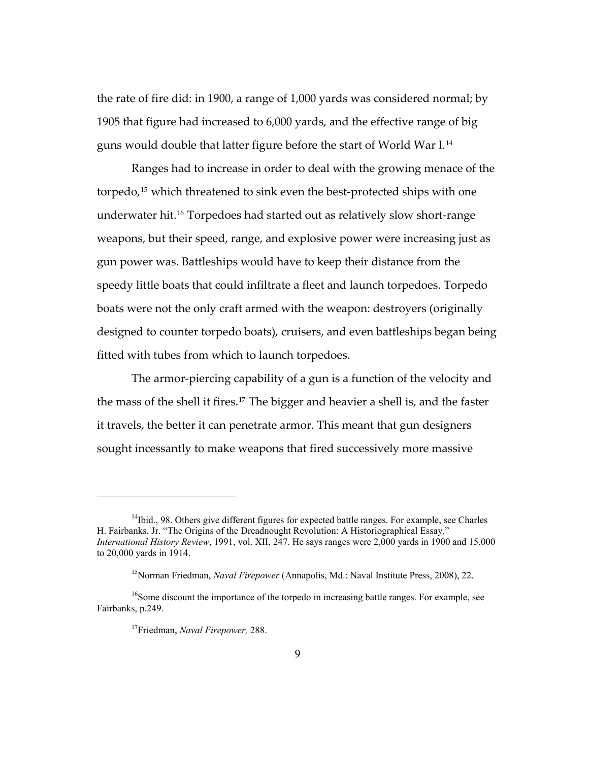the rate of fire did: in 1900, a range of 1,000 yards was considered normal; by 1905 that figure had increased to 6,000 yards, and the effective range of big guns would double that latter figure before the start of World War I.[14](#page-12-0)

Ranges had to increase in order to deal with the growing menace of the torpedo,[15](#page-12-1) which threatened to sink even the best-protected ships with one underwater hit.[16](#page-12-2) Torpedoes had started out as relatively slow short-range weapons, but their speed, range, and explosive power were increasing just as gun power was. Battleships would have to keep their distance from the speedy little boats that could infiltrate a fleet and launch torpedoes. Torpedo boats were not the only craft armed with the weapon: destroyers (originally designed to counter torpedo boats), cruisers, and even battleships began being fitted with tubes from which to launch torpedoes.

it travels, the better it can penetrate armor. This meant that gun designers The armor-piercing capability of a gun is a function of the velocity and the mass of the shell it fires.[17](#page-12-3) The bigger and heavier a shell is, and the faster sought incessantly to make weapons that fired successively more massive

<span id="page-12-0"></span> $14$ Ibid., 98. Others give different figures for expected battle ranges. For example, see Charles H. Fairbanks, Jr. "The Origins of the Dreadnought Revolution: A Historiographical Essay." *International History Review*, 1991, vol. XII, 247. He says ranges were 2,000 yards in 1900 and 15,000 to 20,000 yards in 1914.

<sup>&</sup>lt;sup>15</sup>Norman Friedman, *Naval Firepower* (Annapolis, Md.: Naval Institute Press, 2008), 22.

<span id="page-12-3"></span><span id="page-12-2"></span><span id="page-12-1"></span><sup>&</sup>lt;sup>16</sup>Some discount the importance of the torpedo in increasing battle ranges. For example, see Fairbanks, p.249.

<sup>17</sup>Friedman, *Naval Firepower,* 288.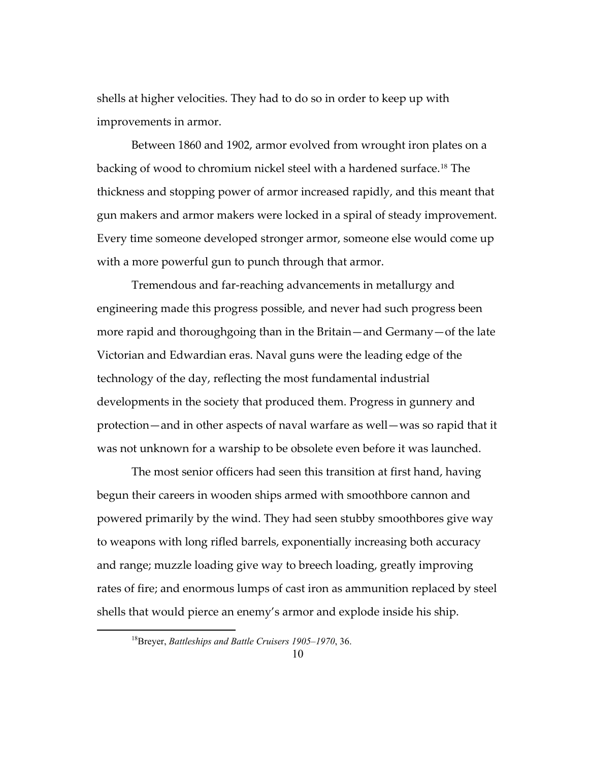shells at higher velocities. They had to do so in order to keep up with improvements in armor.

Between 1860 and 1902, armor evolved from wrought iron plates on a backing of wood to chromium nickel steel with a hardened surface.[18](#page-13-0) The thickness and stopping power of armor increased rapidly, and this meant that gun makers and armor makers were locked in a spiral of steady improvement. Every time someone developed stronger armor, someone else would come up with a more powerful gun to punch through that armor.

Tremendous and far-reaching advancements in metallurgy and engineering made this progress possible, and never had such progress been more rapid and thoroughgoing than in the Britain—and Germany—of the late Victorian and Edwardian eras. Naval guns were the leading edge of the technology of the day, reflecting the most fundamental industrial developments in the society that produced them. Progress in gunnery and protection—and in other aspects of naval warfare as well—was so rapid that it was not unknown for a warship to be obsolete even before it was launched.

The most senior officers had seen this transition at first hand, having begun their careers in wooden ships armed with smoothbore cannon and powered primarily by the wind. They had seen stubby smoothbores give way to weapons with long rifled barrels, exponentially increasing both accuracy and range; muzzle loading give way to breech loading, greatly improving rates of fire; and enormous lumps of cast iron as ammunition replaced by steel shells that would pierce an enemy's armor and explode inside his ship.

<span id="page-13-0"></span><sup>18</sup>Breyer, *Battleships and Battle Cruisers 1905–1970*, 36.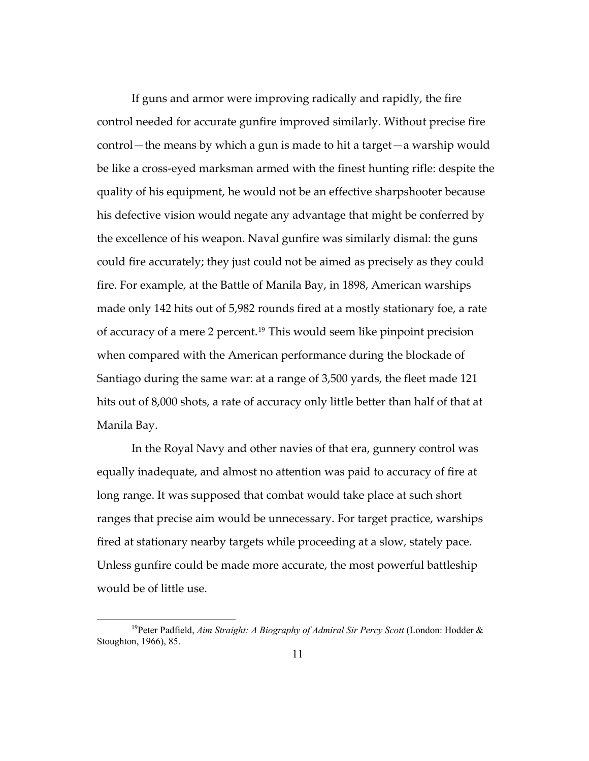If guns and armor were improving radically and rapidly, the fire control needed for accurate gunfire improved similarly. Without precise fire control—the means by which a gun is made to hit a target—a warship would be like a cross-eyed marksman armed with the finest hunting rifle: despite the quality of his equipment, he would not be an effective sharpshooter because his defective vision would negate any advantage that might be conferred by the excellence of his weapon. Naval gunfire was similarly dismal: the guns could fire accurately; they just could not be aimed as precisely as they could fire. For example, at the Battle of Manila Bay, in 1898, American warships made only 142 hits out of 5,982 rounds fired at a mostly stationary foe, a rate of accuracy of a mere 2 percent.[19](#page-14-0) This would seem like pinpoint precision when compared with the American performance during the blockade of Santiago during the same war: at a range of 3,500 yards, the fleet made 121 hits out of 8,000 shots, a rate of accuracy only little better than half of that at Manila Bay.

In the Royal Navy and other navies of that era, gunnery control was equally inadequate, and almost no attention was paid to accuracy of fire at long range. It was supposed that combat would take place at such short ranges that precise aim would be unnecessary. For target practice, warships fired at stationary nearby targets while proceeding at a slow, stately pace. Unless gunfire could be made more accurate, the most powerful battleship would be of little use.

<span id="page-14-0"></span><sup>&</sup>lt;sup>19</sup>Peter Padfield, *Aim Straight: A Biography of Admiral Sir Percy Scott* (London: Hodder & Stoughton, 1966), 85.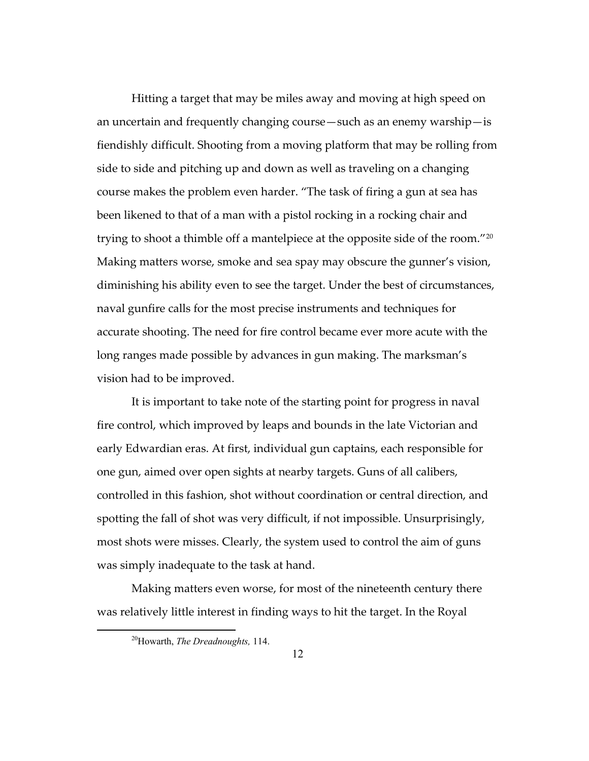Hitting a target that may be miles away and moving at high speed on an uncertain and frequently changing course—such as an enemy warship—is fiendishly difficult. Shooting from a moving platform that may be rolling from side to side and pitching up and down as well as traveling on a changing course makes the problem even harder. "The task of firing a gun at sea has been likened to that of a man with a pistol rocking in a rocking chair and trying to shoot a thimble off a mantelpiece at the opposite side of the room."[20](#page-15-0) Making matters worse, smoke and sea spay may obscure the gunner's vision, diminishing his ability even to see the target. Under the best of circumstances, naval gunfire calls for the most precise instruments and techniques for accurate shooting. The need for fire control became ever more acute with the long ranges made possible by advances in gun making. The marksman's vision had to be improved.

It is important to take note of the starting point for progress in naval fire control, which improved by leaps and bounds in the late Victorian and early Edwardian eras. At first, individual gun captains, each responsible for one gun, aimed over open sights at nearby targets. Guns of all calibers, controlled in this fashion, shot without coordination or central direction, and spotting the fall of shot was very difficult, if not impossible. Unsurprisingly, most shots were misses. Clearly, the system used to control the aim of guns was simply inadequate to the task at hand.

<span id="page-15-0"></span>Making matters even worse, for most of the nineteenth century there was relatively little interest in finding ways to hit the target. In the Royal

<sup>20</sup>Howarth, *The Dreadnoughts,* 114.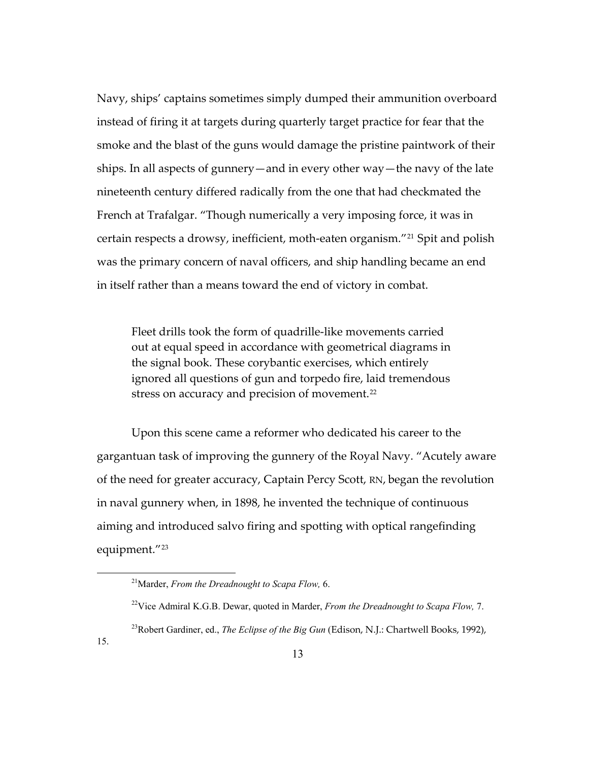Navy, ships' captains sometimes simply dumped their ammunition overboard instead of firing it at targets during quarterly target practice for fear that the smoke and the blast of the guns would damage the pristine paintwork of their ships. In all aspects of gunnery—and in every other way—the navy of the late nineteenth century differed radically from the one that had checkmated the French at Trafalgar. "Though numerically a very imposing force, it was in certain respects a drowsy, inefficient, moth-eaten organism.["21](#page-16-0) Spit and polish was the primary concern of naval officers, and ship handling became an end in itself rather than a means toward the end of victory in combat.

Fleet drills took the form of quadrille-like movements carried out at equal speed in accordance with geometrical diagrams in the signal book. These corybantic exercises, which entirely ignored all questions of gun and torpedo fire, laid tremendous stress on accuracy and precision of movement.<sup>[22](#page-16-1)</sup>

Upon this scene came a reformer who dedicated his career to the gargantuan task of improving the gunnery of the Royal Navy. "Acutely aware of the need for greater accuracy, Captain Percy Scott, RN, began the revolution in naval gunnery when, in 1898, he invented the technique of continuous aiming and introduced salvo firing and spotting with optical rangefinding equipment."[23](#page-16-2)

<span id="page-16-2"></span><span id="page-16-1"></span><span id="page-16-0"></span>15.

<sup>21</sup>Marder, *From the Dreadnought to Scapa Flow,* 6.

<sup>22</sup>Vice Admiral K.G.B. Dewar, quoted in Marder, *From the Dreadnought to Scapa Flow,* 7.

<sup>23</sup>Robert Gardiner, ed., *The Eclipse of the Big Gun* (Edison, N.J.: Chartwell Books, 1992),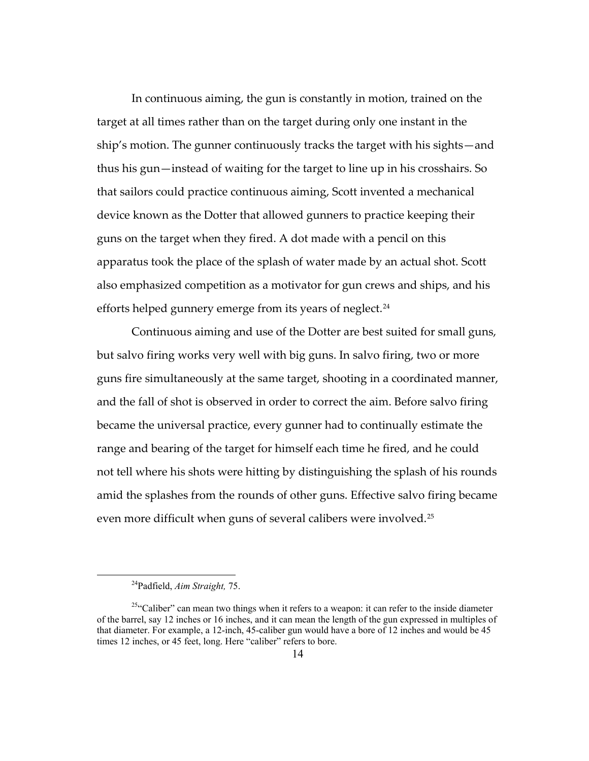In continuous aiming, the gun is constantly in motion, trained on the target at all times rather than on the target during only one instant in the ship's motion. The gunner continuously tracks the target with his sights—and thus his gun—instead of waiting for the target to line up in his crosshairs. So that sailors could practice continuous aiming, Scott invented a mechanical device known as the Dotter that allowed gunners to practice keeping their guns on the target when they fired. A dot made with a pencil on this apparatus took the place of the splash of water made by an actual shot. Scott also emphasized competition as a motivator for gun crews and ships, and his efforts helped gunnery emerge from its years of neglect.<sup>[24](#page-17-0)</sup>

Continuous aiming and use of the Dotter are best suited for small guns, but salvo firing works very well with big guns. In salvo firing, two or more guns fire simultaneously at the same target, shooting in a coordinated manner, and the fall of shot is observed in order to correct the aim. Before salvo firing became the universal practice, every gunner had to continually estimate the range and bearing of the target for himself each time he fired, and he could not tell where his shots were hitting by distinguishing the splash of his rounds amid the splashes from the rounds of other guns. Effective salvo firing became even more difficult when guns of several calibers were involved.[25](#page-17-1)

<sup>24</sup>Padfield, *Aim Straight,* 75.

<span id="page-17-1"></span><span id="page-17-0"></span><sup>&</sup>lt;sup>25"</sup>Caliber" can mean two things when it refers to a weapon: it can refer to the inside diameter of the barrel, say 12 inches or 16 inches, and it can mean the length of the gun expressed in multiples of that diameter. For example, a 12-inch, 45-caliber gun would have a bore of 12 inches and would be 45 times 12 inches, or 45 feet, long. Here "caliber" refers to bore.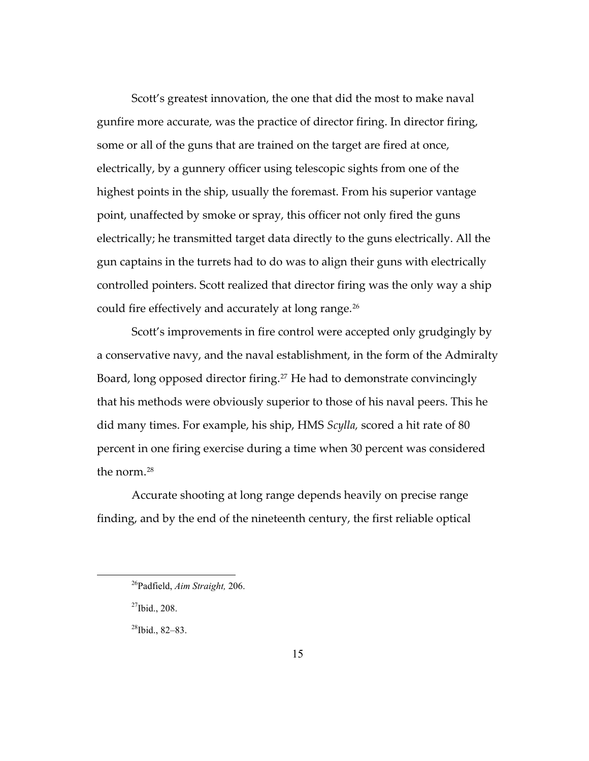Scott's greatest innovation, the one that did the most to make naval gunfire more accurate, was the practice of director firing. In director firing, some or all of the guns that are trained on the target are fired at once, electrically, by a gunnery officer using telescopic sights from one of the highest points in the ship, usually the foremast. From his superior vantage point, unaffected by smoke or spray, this officer not only fired the guns electrically; he transmitted target data directly to the guns electrically. All the gun captains in the turrets had to do was to align their guns with electrically controlled pointers. Scott realized that director firing was the only way a ship could fire effectively and accurately at long range.<sup>[26](#page-18-0)</sup>

Scott's improvements in fire control were accepted only grudgingly by a conservative navy, and the naval establishment, in the form of the Admiralty Board, long opposed director firing.<sup>[27](#page-18-1)</sup> He had to demonstrate convincingly that his methods were obviously superior to those of his naval peers. This he did many times. For example, his ship, HMS *Scylla,* scored a hit rate of 80 percent in one firing exercise during a time when 30 percent was considered the norm.[28](#page-18-2)

Accurate shooting at long range depends heavily on precise range finding, and by the end of the nineteenth century, the first reliable optical

<span id="page-18-0"></span><sup>26</sup>Padfield, *Aim Straight,* 206.

<span id="page-18-1"></span> $27$ Ibid., 208.

<span id="page-18-2"></span> $28$ Ibid., 82-83.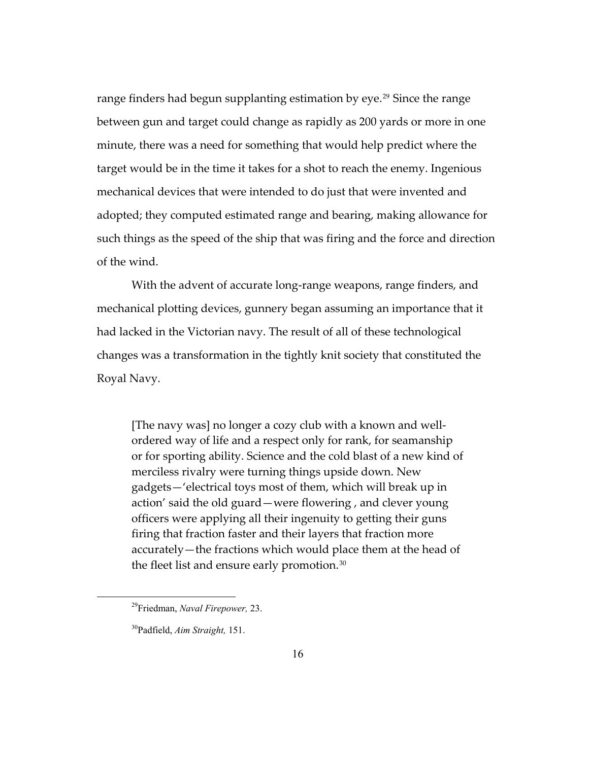range finders had begun supplanting estimation by eye.<sup>[29](#page-19-0)</sup> Since the range between gun and target could change as rapidly as 200 yards or more in one minute, there was a need for something that would help predict where the target would be in the time it takes for a shot to reach the enemy. Ingenious mechanical devices that were intended to do just that were invented and adopted; they computed estimated range and bearing, making allowance for such things as the speed of the ship that was firing and the force and direction of the wind.

With the advent of accurate long-range weapons, range finders, and mechanical plotting devices, gunnery began assuming an importance that it had lacked in the Victorian navy. The result of all of these technological changes was a transformation in the tightly knit society that constituted the Royal Navy.

[The navy was] no longer a cozy club with a known and wellordered way of life and a respect only for rank, for seamanship or for sporting ability. Science and the cold blast of a new kind of merciless rivalry were turning things upside down. New gadgets—'electrical toys most of them, which will break up in action' said the old guard—were flowering , and clever young officers were applying all their ingenuity to getting their guns firing that fraction faster and their layers that fraction more accurately—the fractions which would place them at the head of the fleet list and ensure early promotion.<sup>[30](#page-19-1)</sup>

<span id="page-19-0"></span><sup>29</sup>Friedman, *Naval Firepower,* 23.

<span id="page-19-1"></span><sup>30</sup>Padfield, *Aim Straight,* 151.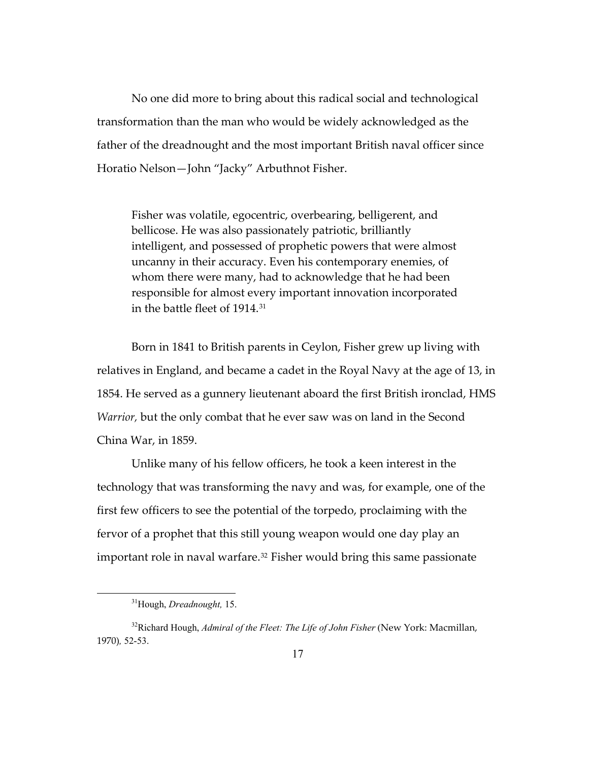No one did more to bring about this radical social and technological transformation than the man who would be widely acknowledged as the father of the dreadnought and the most important British naval officer since Horatio Nelson—John "Jacky" Arbuthnot Fisher.

Fisher was volatile, egocentric, overbearing, belligerent, and bellicose. He was also passionately patriotic, brilliantly intelligent, and possessed of prophetic powers that were almost uncanny in their accuracy. Even his contemporary enemies, of whom there were many, had to acknowledge that he had been responsible for almost every important innovation incorporated in the battle fleet of 1914.[31](#page-20-0)

Born in 1841 to British parents in Ceylon, Fisher grew up living with relatives in England, and became a cadet in the Royal Navy at the age of 13, in 1854. He served as a gunnery lieutenant aboard the first British ironclad, HMS *Warrior,* but the only combat that he ever saw was on land in the Second China War, in 1859.

Unlike many of his fellow officers, he took a keen interest in the technology that was transforming the navy and was, for example, one of the first few officers to see the potential of the torpedo, proclaiming with the fervor of a prophet that this still young weapon would one day play an important role in naval warfare.<sup>[32](#page-20-1)</sup> Fisher would bring this same passionate

<sup>31</sup>Hough, *Dreadnought,* 15.

<span id="page-20-1"></span><span id="page-20-0"></span><sup>&</sup>lt;sup>32</sup>Richard Hough, *Admiral of the Fleet: The Life of John Fisher* (New York: Macmillan, 1970)*,* 52-53.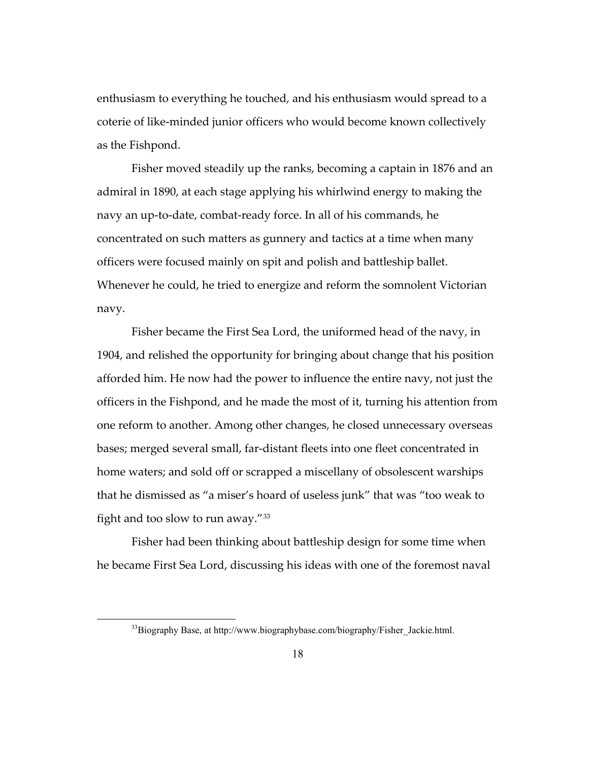enthusiasm to everything he touched, and his enthusiasm would spread to a coterie of like-minded junior officers who would become known collectively as the Fishpond.

Fisher moved steadily up the ranks, becoming a captain in 1876 and an admiral in 1890, at each stage applying his whirlwind energy to making the navy an up-to-date, combat-ready force. In all of his commands, he concentrated on such matters as gunnery and tactics at a time when many officers were focused mainly on spit and polish and battleship ballet. Whenever he could, he tried to energize and reform the somnolent Victorian navy.

Fisher became the First Sea Lord, the uniformed head of the navy, in 1904, and relished the opportunity for bringing about change that his position afforded him. He now had the power to influence the entire navy, not just the officers in the Fishpond, and he made the most of it, turning his attention from one reform to another. Among other changes, he closed unnecessary overseas bases; merged several small, far-distant fleets into one fleet concentrated in home waters; and sold off or scrapped a miscellany of obsolescent warships that he dismissed as "a miser's hoard of useless junk" that was "too weak to fight and too slow to run away."[33](#page-21-0)

<span id="page-21-0"></span>Fisher had been thinking about battleship design for some time when he became First Sea Lord, discussing his ideas with one of the foremost naval

<sup>&</sup>lt;sup>33</sup>Biography Base, at http://www.biographybase.com/biography/Fisher\_Jackie.html.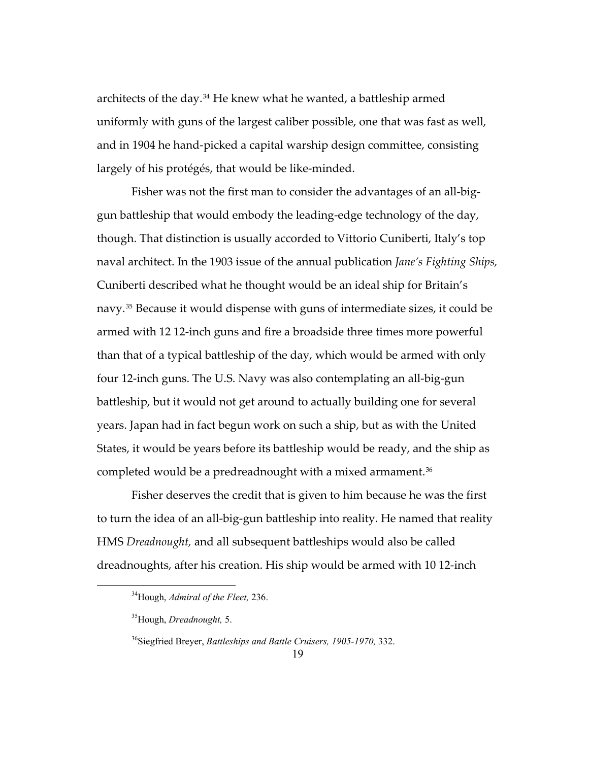architects of the day.[34](#page-22-0) He knew what he wanted, a battleship armed uniformly with guns of the largest caliber possible, one that was fast as well, and in 1904 he hand-picked a capital warship design committee, consisting largely of his protégés, that would be like-minded.

Fisher was not the first man to consider the advantages of an all-biggun battleship that would embody the leading-edge technology of the day, though. That distinction is usually accorded to Vittorio Cuniberti, Italy's top naval architect. In the 1903 issue of the annual publication *Jane's Fighting Ships,*  Cuniberti described what he thought would be an ideal ship for Britain's navy.[35](#page-22-1) Because it would dispense with guns of intermediate sizes, it could be armed with 12 12-inch guns and fire a broadside three times more powerful than that of a typical battleship of the day, which would be armed with only four 12-inch guns. The U.S. Navy was also contemplating an all-big-gun battleship, but it would not get around to actually building one for several years. Japan had in fact begun work on such a ship, but as with the United States, it would be years before its battleship would be ready, and the ship as completed would be a predreadnought with a mixed armament.<sup>[36](#page-22-2)</sup>

Fisher deserves the credit that is given to him because he was the first to turn the idea of an all-big-gun battleship into reality. He named that reality HMS *Dreadnought,* and all subsequent battleships would also be called dreadnoughts, after his creation. His ship would be armed with 10 12-inch

<span id="page-22-0"></span><sup>34</sup>Hough, *Admiral of the Fleet,* 236.

<span id="page-22-1"></span><sup>35</sup>Hough, *Dreadnought,* 5.

<span id="page-22-2"></span><sup>36</sup>Siegfried Breyer, *Battleships and Battle Cruisers, 1905-1970,* 332.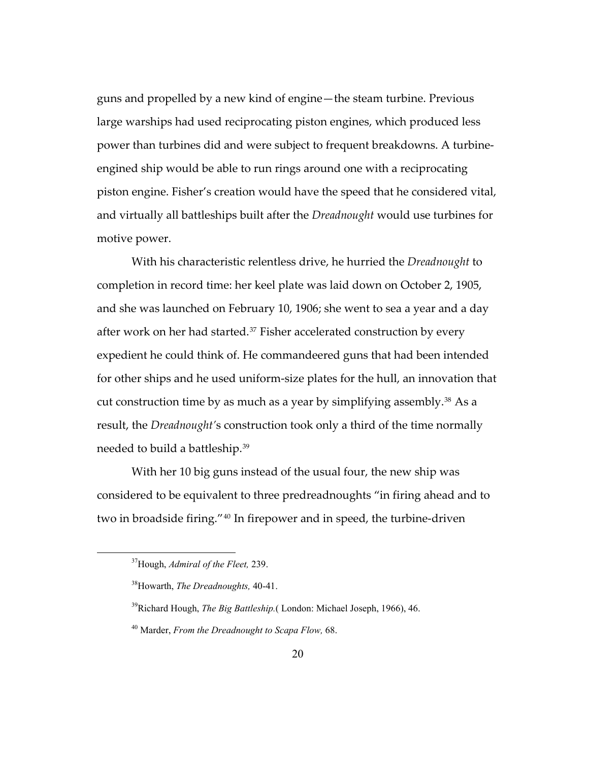guns and propelled by a new kind of engine—the steam turbine. Previous large warships had used reciprocating piston engines, which produced less power than turbines did and were subject to frequent breakdowns. A turbineengined ship would be able to run rings around one with a reciprocating piston engine. Fisher's creation would have the speed that he considered vital, and virtually all battleships built after the *Dreadnought* would use turbines for motive power.

With his characteristic relentless drive, he hurried the *Dreadnought* to completion in record time: her keel plate was laid down on October 2, 1905, and she was launched on February 10, 1906; she went to sea a year and a day after work on her had started.<sup>[37](#page-23-0)</sup> Fisher accelerated construction by every expedient he could think of. He commandeered guns that had been intended for other ships and he used uniform-size plates for the hull, an innovation that cut construction time by as much as a year by simplifying assembly.[38](#page-23-1) As a result, the *Dreadnought'*s construction took only a third of the time normally needed to build a battleship.[39](#page-23-2)

With her 10 big guns instead of the usual four, the new ship was considered to be equivalent to three predreadnoughts "in firing ahead and to two in broadside firing."[40](#page-23-3) In firepower and in speed, the turbine-driven

<span id="page-23-0"></span><sup>37</sup>Hough, *Admiral of the Fleet,* 239.

<span id="page-23-1"></span><sup>38</sup>Howarth, *The Dreadnoughts,* 40-41.

<span id="page-23-2"></span><sup>39</sup>Richard Hough, *The Big Battleship.*( London: Michael Joseph, 1966), 46.

<span id="page-23-3"></span><sup>40</sup> Marder, *From the Dreadnought to Scapa Flow,* 68.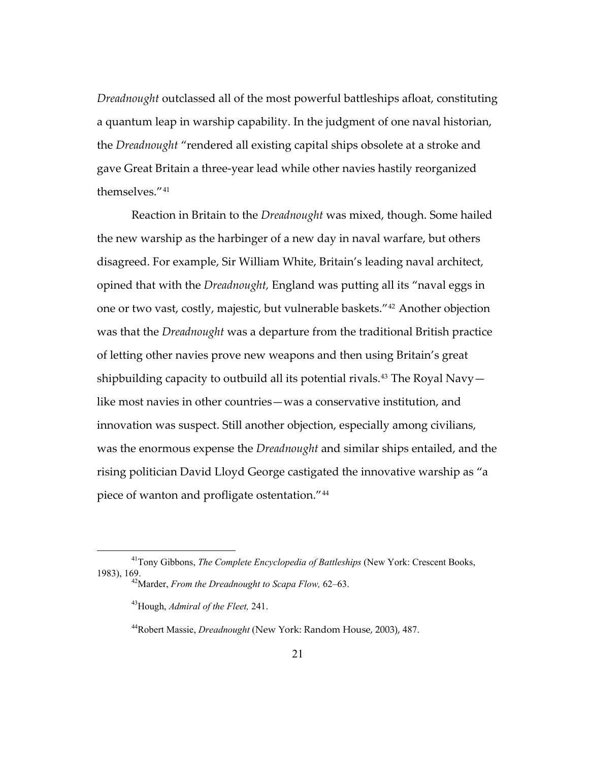*Dreadnought* outclassed all of the most powerful battleships afloat, constituting a quantum leap in warship capability. In the judgment of one naval historian, the *Dreadnought* "rendered all existing capital ships obsolete at a stroke and gave Great Britain a three-year lead while other navies hastily reorganized themselves."[41](#page-24-0)

Reaction in Britain to the *Dreadnought* was mixed, though. Some hailed the new warship as the harbinger of a new day in naval warfare, but others disagreed. For example, Sir William White, Britain's leading naval architect, opined that with the *Dreadnought,* England was putting all its "naval eggs in one or two vast, costly, majestic, but vulnerable baskets."[42](#page-24-1) Another objection was that the *Dreadnought* was a departure from the traditional British practice of letting other navies prove new weapons and then using Britain's great shipbuilding capacity to outbuild all its potential rivals.<sup>[43](#page-24-2)</sup> The Royal Navy  $$ like most navies in other countries—was a conservative institution, and innovation was suspect. Still another objection, especially among civilians, was the enormous expense the *Dreadnought* and similar ships entailed, and the rising politician David Lloyd George castigated the innovative warship as "a piece of wanton and profligate ostentation."[44](#page-24-3)

<span id="page-24-3"></span><span id="page-24-2"></span><span id="page-24-1"></span><span id="page-24-0"></span><sup>41</sup>Tony Gibbons, *The Complete Encyclopedia of Battleships* (New York: Crescent Books,

<sup>1983),</sup> 169. 42Marder, *From the Dreadnought to Scapa Flow,* 62–63.

<sup>43</sup>Hough, *Admiral of the Fleet,* 241.

<sup>44</sup>Robert Massie, *Dreadnought* (New York: Random House, 2003), 487.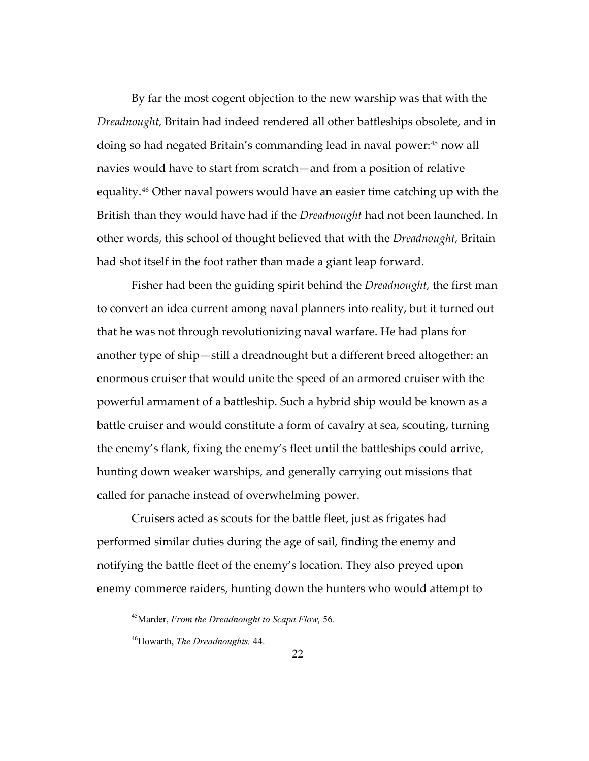By far the most cogent objection to the new warship was that with the *Dreadnought,* Britain had indeed rendered all other battleships obsolete, and in doing so had negated Britain's commanding lead in naval power:[45](#page-25-0) now all navies would have to start from scratch—and from a position of relative equality.[46](#page-25-1) Other naval powers would have an easier time catching up with the British than they would have had if the *Dreadnought* had not been launched. In other words, this school of thought believed that with the *Dreadnought,* Britain had shot itself in the foot rather than made a giant leap forward.

Fisher had been the guiding spirit behind the *Dreadnought,* the first man to convert an idea current among naval planners into reality, but it turned out that he was not through revolutionizing naval warfare. He had plans for another type of ship—still a dreadnought but a different breed altogether: an enormous cruiser that would unite the speed of an armored cruiser with the powerful armament of a battleship. Such a hybrid ship would be known as a battle cruiser and would constitute a form of cavalry at sea, scouting, turning the enemy's flank, fixing the enemy's fleet until the battleships could arrive, hunting down weaker warships, and generally carrying out missions that called for panache instead of overwhelming power.

Cruisers acted as scouts for the battle fleet, just as frigates had performed similar duties during the age of sail, finding the enemy and notifying the battle fleet of the enemy's location. They also preyed upon enemy commerce raiders, hunting down the hunters who would attempt to

<span id="page-25-0"></span><sup>45</sup>Marder, *From the Dreadnought to Scapa Flow,* 56.

<span id="page-25-1"></span><sup>46</sup>Howarth, *The Dreadnoughts,* 44.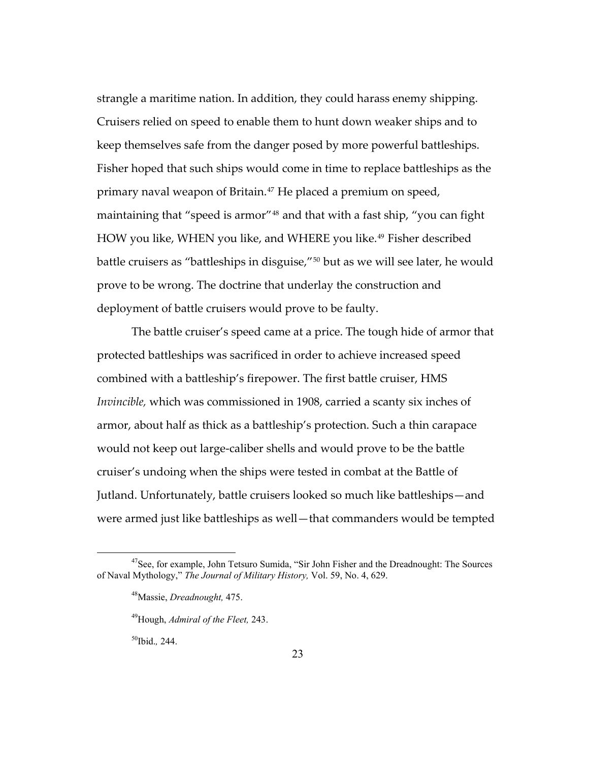strangle a maritime nation. In addition, they could harass enemy shipping. Cruisers relied on speed to enable them to hunt down weaker ships and to keep themselves safe from the danger posed by more powerful battleships. Fisher hoped that such ships would come in time to replace battleships as the primary naval weapon of Britain.<sup>[47](#page-26-0)</sup> He placed a premium on speed, maintaining that "speed is armor"[48](#page-26-1) and that with a fast ship, "you can fight HOW you like, WHEN you like, and WHERE you like.<sup>[49](#page-26-2)</sup> Fisher described battle cruisers as "battleships in disguise,"[50](#page-26-3) but as we will see later, he would prove to be wrong. The doctrine that underlay the construction and deployment of battle cruisers would prove to be faulty.

The battle cruiser's speed came at a price. The tough hide of armor that protected battleships was sacrificed in order to achieve increased speed combined with a battleship's firepower. The first battle cruiser, HMS *Invincible,* which was commissioned in 1908, carried a scanty six inches of armor, about half as thick as a battleship's protection. Such a thin carapace would not keep out large-caliber shells and would prove to be the battle cruiser's undoing when the ships were tested in combat at the Battle of Jutland. Unfortunately, battle cruisers looked so much like battleships—and were armed just like battleships as well—that commanders would be tempted

50Ibid.*,* 244.

<span id="page-26-3"></span><span id="page-26-2"></span><span id="page-26-1"></span><span id="page-26-0"></span><sup>&</sup>lt;sup>47</sup>See, for example, John Tetsuro Sumida, "Sir John Fisher and the Dreadnought: The Sources of Naval Mythology," *The Journal of Military History,* Vol. 59, No. 4, 629.

<sup>48</sup>Massie, *Dreadnought,* 475.

<sup>49</sup>Hough, *Admiral of the Fleet,* 243.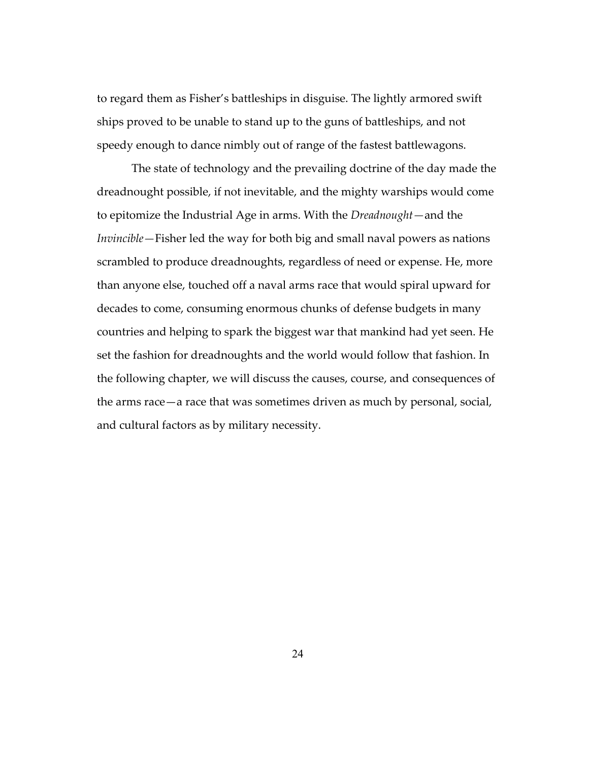to regard them as Fisher's battleships in disguise. The lightly armored swift ships proved to be unable to stand up to the guns of battleships, and not speedy enough to dance nimbly out of range of the fastest battlewagons.

The state of technology and the prevailing doctrine of the day made the dreadnought possible, if not inevitable, and the mighty warships would come to epitomize the Industrial Age in arms. With the *Dreadnought—*and the *Invincible—*Fisher led the way for both big and small naval powers as nations scrambled to produce dreadnoughts, regardless of need or expense. He, more than anyone else, touched off a naval arms race that would spiral upward for decades to come, consuming enormous chunks of defense budgets in many countries and helping to spark the biggest war that mankind had yet seen. He set the fashion for dreadnoughts and the world would follow that fashion. In the following chapter, we will discuss the causes, course, and consequences of the arms race—a race that was sometimes driven as much by personal, social, and cultural factors as by military necessity.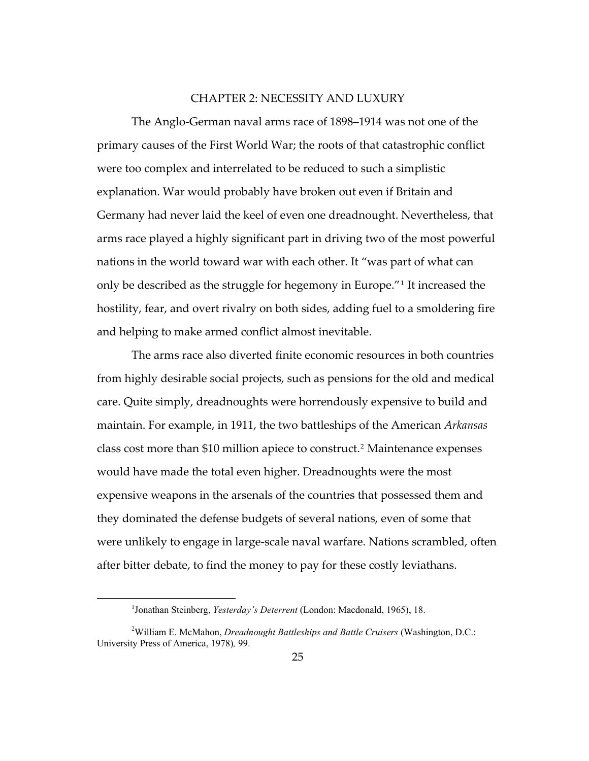#### CHAPTER 2: NECESSITY AND LUXURY

<span id="page-28-0"></span>The Anglo-German naval arms race of 1898–1914 was not one of the primary causes of the First World War; the roots of that catastrophic conflict were too complex and interrelated to be reduced to such a simplistic explanation. War would probably have broken out even if Britain and Germany had never laid the keel of even one dreadnought. Nevertheless, that arms race played a highly significant part in driving two of the most powerful nations in the world toward war with each other. It "was part of what can only be described as the struggle for hegemony in Europe."[1](#page-28-1) It increased the hostility, fear, and overt rivalry on both sides, adding fuel to a smoldering fire and helping to make armed conflict almost inevitable.

The arms race also diverted finite economic resources in both countries from highly desirable social projects, such as pensions for the old and medical care. Quite simply, dreadnoughts were horrendously expensive to build and maintain. For example, in 1911, the two battleships of the American *Arkansas* class cost more than \$10 million apiece to construct.<sup>[2](#page-28-2)</sup> Maintenance expenses would have made the total even higher. Dreadnoughts were the most expensive weapons in the arsenals of the countries that possessed them and they dominated the defense budgets of several nations, even of some that were unlikely to engage in large-scale naval warfare. Nations scrambled, often after bitter debate, to find the money to pay for these costly leviathans.

<sup>&</sup>lt;sup>1</sup> Jonathan Steinberg, *Yesterday's Deterrent* (London: Macdonald, 1965), 18.

<span id="page-28-2"></span><span id="page-28-1"></span><sup>&</sup>lt;sup>2</sup>William E. McMahon, *Dreadnought Battleships and Battle Cruisers* (Washington, D.C.: University Press of America, 1978)*,* 99.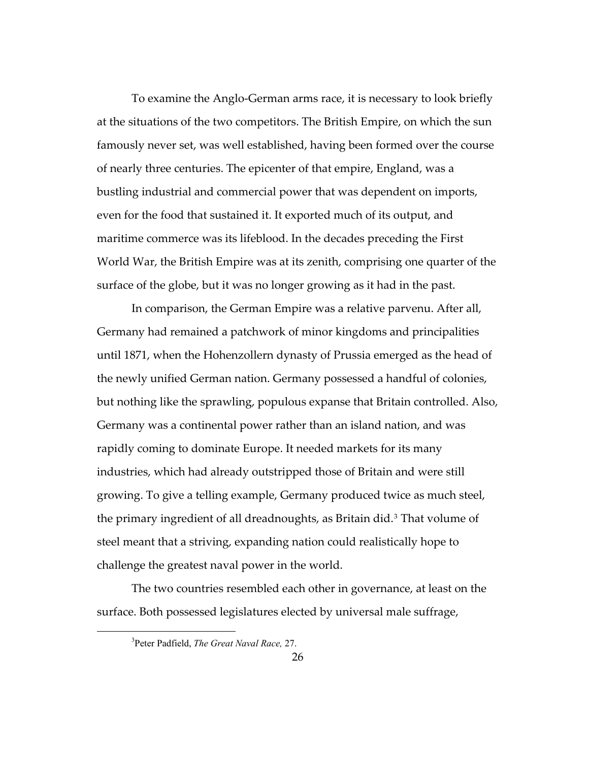To examine the Anglo-German arms race, it is necessary to look briefly at the situations of the two competitors. The British Empire, on which the sun famously never set, was well established, having been formed over the course of nearly three centuries. The epicenter of that empire, England, was a bustling industrial and commercial power that was dependent on imports, even for the food that sustained it. It exported much of its output, and maritime commerce was its lifeblood. In the decades preceding the First World War, the British Empire was at its zenith, comprising one quarter of the surface of the globe, but it was no longer growing as it had in the past.

In comparison, the German Empire was a relative parvenu. After all, Germany had remained a patchwork of minor kingdoms and principalities until 1871, when the Hohenzollern dynasty of Prussia emerged as the head of the newly unified German nation. Germany possessed a handful of colonies, but nothing like the sprawling, populous expanse that Britain controlled. Also, Germany was a continental power rather than an island nation, and was rapidly coming to dominate Europe. It needed markets for its many industries, which had already outstripped those of Britain and were still growing. To give a telling example, Germany produced twice as much steel, the primary ingredient of all dreadnoughts, as Britain did.<sup>[3](#page-29-0)</sup> That volume of steel meant that a striving, expanding nation could realistically hope to challenge the greatest naval power in the world.

<span id="page-29-0"></span>The two countries resembled each other in governance, at least on the surface. Both possessed legislatures elected by universal male suffrage,

<sup>3</sup> Peter Padfield, *The Great Naval Race,* 27.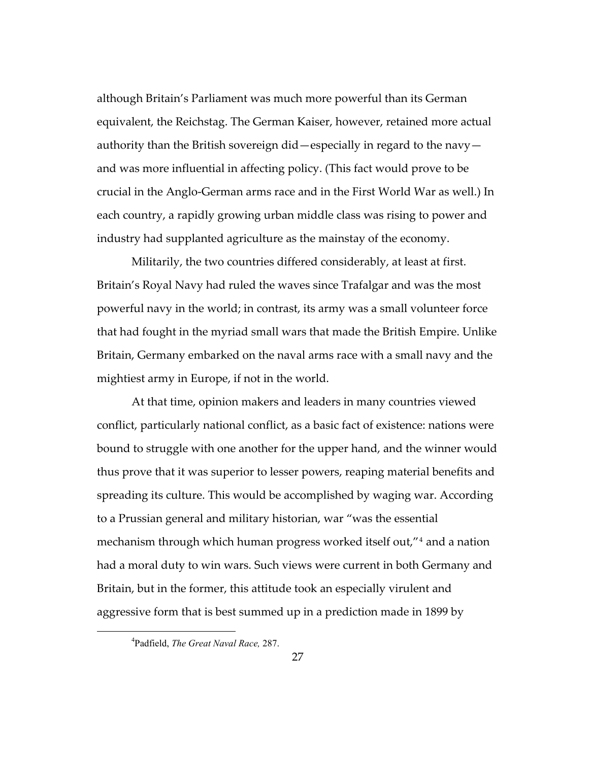although Britain's Parliament was much more powerful than its German equivalent, the Reichstag. The German Kaiser, however, retained more actual authority than the British sovereign did—especially in regard to the navy and was more influential in affecting policy. (This fact would prove to be crucial in the Anglo-German arms race and in the First World War as well.) In each country, a rapidly growing urban middle class was rising to power and industry had supplanted agriculture as the mainstay of the economy.

Militarily, the two countries differed considerably, at least at first. Britain's Royal Navy had ruled the waves since Trafalgar and was the most powerful navy in the world; in contrast, its army was a small volunteer force that had fought in the myriad small wars that made the British Empire. Unlike Britain, Germany embarked on the naval arms race with a small navy and the mightiest army in Europe, if not in the world.

At that time, opinion makers and leaders in many countries viewed conflict, particularly national conflict, as a basic fact of existence: nations were bound to struggle with one another for the upper hand, and the winner would thus prove that it was superior to lesser powers, reaping material benefits and spreading its culture. This would be accomplished by waging war. According to a Prussian general and military historian, war "was the essential mechanism through which human progress worked itself out,"[4](#page-30-0) and a nation had a moral duty to win wars. Such views were current in both Germany and Britain, but in the former, this attitude took an especially virulent and aggressive form that is best summed up in a prediction made in 1899 by

<span id="page-30-0"></span><sup>4</sup> Padfield, *The Great Naval Race,* 287.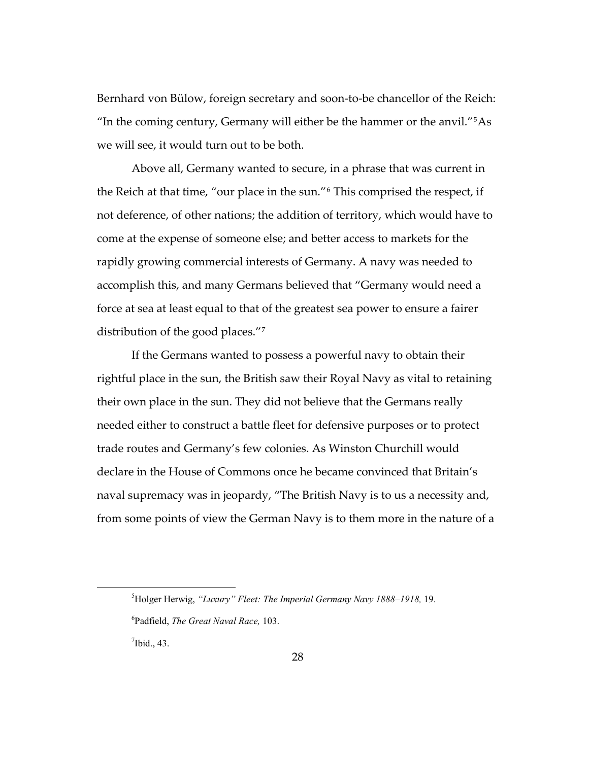Bernhard von Bülow, foreign secretary and soon-to-be chancellor of the Reich: "In the coming century, Germany will either be the hammer or the anvil."<sup>[5](#page-31-0)</sup>As we will see, it would turn out to be both.

Above all, Germany wanted to secure, in a phrase that was current in the Reich at that time, "our place in the sun."[6](#page-31-1) This comprised the respect, if not deference, of other nations; the addition of territory, which would have to come at the expense of someone else; and better access to markets for the rapidly growing commercial interests of Germany. A navy was needed to accomplish this, and many Germans believed that "Germany would need a force at sea at least equal to that of the greatest sea power to ensure a fairer distribution of the good places."[7](#page-31-2)

If the Germans wanted to possess a powerful navy to obtain their rightful place in the sun, the British saw their Royal Navy as vital to retaining their own place in the sun. They did not believe that the Germans really needed either to construct a battle fleet for defensive purposes or to protect trade routes and Germany's few colonies. As Winston Churchill would declare in the House of Commons once he became convinced that Britain's naval supremacy was in jeopardy, "The British Navy is to us a necessity and, from some points of view the German Navy is to them more in the nature of a

<span id="page-31-2"></span> $<sup>7</sup>$  Ibid., 43.</sup>

<span id="page-31-0"></span><sup>5</sup> Holger Herwig, *"Luxury" Fleet: The Imperial Germany Navy 1888–1918,* 19.

<span id="page-31-1"></span><sup>6</sup> Padfield, *The Great Naval Race,* 103.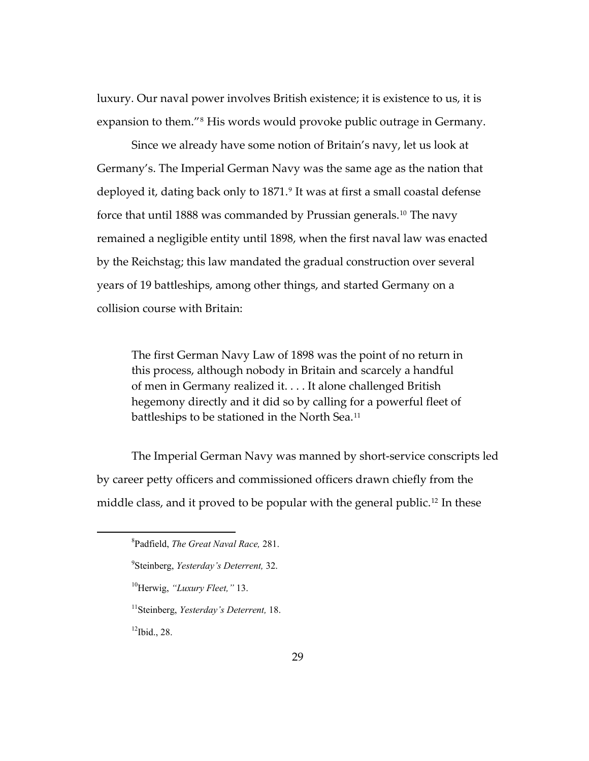luxury. Our naval power involves British existence; it is existence to us, it is expansion to them."[8](#page-32-0) His words would provoke public outrage in Germany.

Since we already have some notion of Britain's navy, let us look at Germany's. The Imperial German Navy was the same age as the nation that deployed it, dating back only to 1871.<sup>[9](#page-32-1)</sup> It was at first a small coastal defense force that until 1888 was commanded by Prussian generals.[10](#page-32-2) The navy remained a negligible entity until 1898, when the first naval law was enacted by the Reichstag; this law mandated the gradual construction over several years of 19 battleships, among other things, and started Germany on a collision course with Britain:

The first German Navy Law of 1898 was the point of no return in this process, although nobody in Britain and scarcely a handful of men in Germany realized it. . . . It alone challenged British hegemony directly and it did so by calling for a powerful fleet of battleships to be stationed in the North Sea.<sup>[11](#page-32-3)</sup>

<span id="page-32-0"></span>The Imperial German Navy was manned by short-service conscripts led by career petty officers and commissioned officers drawn chiefly from the middle class, and it proved to be popular with the general public.<sup>[12](#page-32-4)</sup> In these

- <span id="page-32-2"></span>10Herwig, *"Luxury Fleet,"* 13.
- <span id="page-32-3"></span>11Steinberg, *Yesterday's Deterrent,* 18.

<span id="page-32-4"></span> $12$ Ibid., 28.

<sup>8</sup> Padfield, *The Great Naval Race,* 281.

<span id="page-32-1"></span><sup>9</sup> Steinberg, *Yesterday's Deterrent,* 32.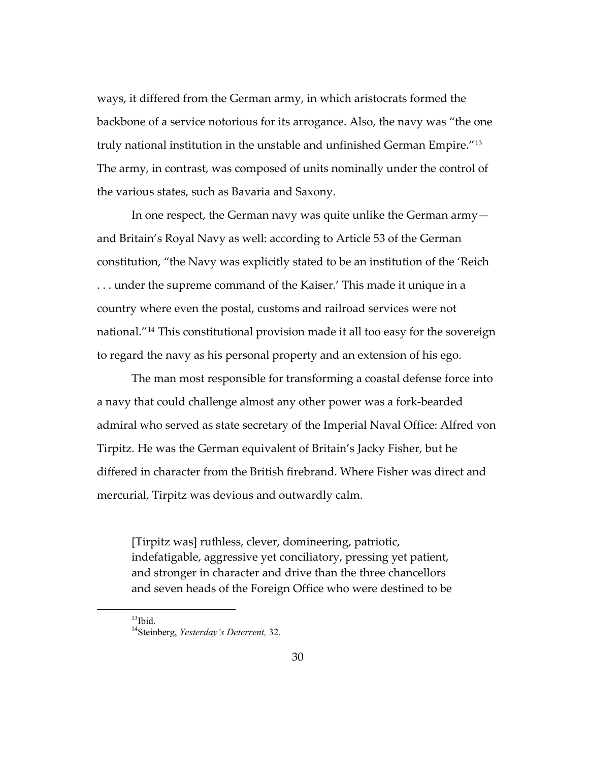ways, it differed from the German army, in which aristocrats formed the backbone of a service notorious for its arrogance. Also, the navy was "the one truly national institution in the unstable and unfinished German Empire."[13](#page-33-0) The army, in contrast, was composed of units nominally under the control of the various states, such as Bavaria and Saxony.

In one respect, the German navy was quite unlike the German army and Britain's Royal Navy as well: according to Article 53 of the German constitution, "the Navy was explicitly stated to be an institution of the 'Reich . . . under the supreme command of the Kaiser.' This made it unique in a country where even the postal, customs and railroad services were not national."[14](#page-33-1) This constitutional provision made it all too easy for the sovereign to regard the navy as his personal property and an extension of his ego.

The man most responsible for transforming a coastal defense force into a navy that could challenge almost any other power was a fork-bearded admiral who served as state secretary of the Imperial Naval Office: Alfred von Tirpitz. He was the German equivalent of Britain's Jacky Fisher, but he differed in character from the British firebrand. Where Fisher was direct and mercurial, Tirpitz was devious and outwardly calm.

[Tirpitz was] ruthless, clever, domineering, patriotic, indefatigable, aggressive yet conciliatory, pressing yet patient, and stronger in character and drive than the three chancellors and seven heads of the Foreign Office who were destined to be

<span id="page-33-1"></span><span id="page-33-0"></span> $13$ Ibid.

<sup>14</sup>Steinberg, *Yesterday's Deterrent,* 32.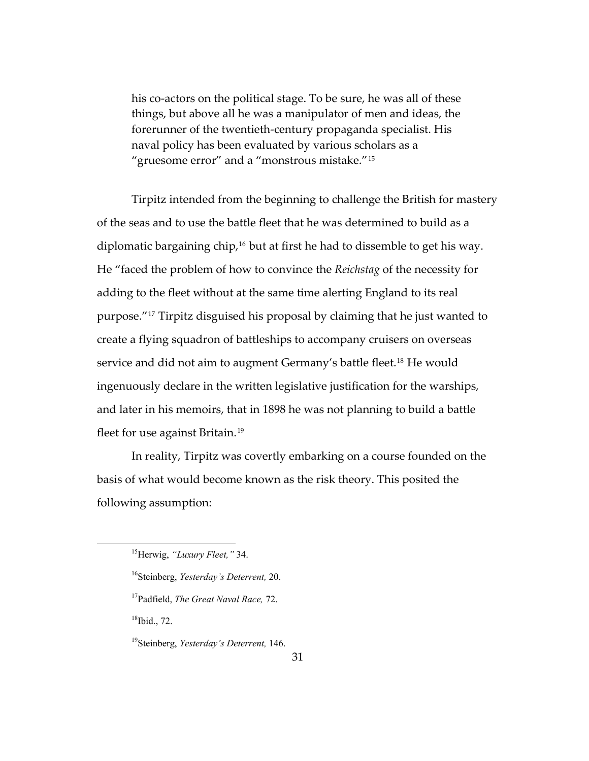his co-actors on the political stage. To be sure, he was all of these things, but above all he was a manipulator of men and ideas, the forerunner of the twentieth-century propaganda specialist. His naval policy has been evaluated by various scholars as a "gruesome error" and a "monstrous mistake."[15](#page-34-0)

Tirpitz intended from the beginning to challenge the British for mastery of the seas and to use the battle fleet that he was determined to build as a diplomatic bargaining chip,<sup>[16](#page-34-1)</sup> but at first he had to dissemble to get his way. He "faced the problem of how to convince the *Reichstag* of the necessity for adding to the fleet without at the same time alerting England to its real purpose."[17](#page-34-2) Tirpitz disguised his proposal by claiming that he just wanted to create a flying squadron of battleships to accompany cruisers on overseas service and did not aim to augment Germany's battle fleet.<sup>[18](#page-34-3)</sup> He would ingenuously declare in the written legislative justification for the warships, and later in his memoirs, that in 1898 he was not planning to build a battle fleet for use against Britain.<sup>[19](#page-34-4)</sup>

In reality, Tirpitz was covertly embarking on a course founded on the basis of what would become known as the risk theory. This posited the following assumption:

 $18$ Ibid., 72.

<span id="page-34-3"></span><span id="page-34-2"></span><span id="page-34-1"></span><span id="page-34-0"></span> $\overline{a}$ 

<span id="page-34-4"></span>19Steinberg, *Yesterday's Deterrent,* 146.

<sup>15</sup>Herwig, *"Luxury Fleet,"* 34.

<sup>16</sup>Steinberg, *Yesterday's Deterrent,* 20.

<sup>17</sup>Padfield, *The Great Naval Race,* 72.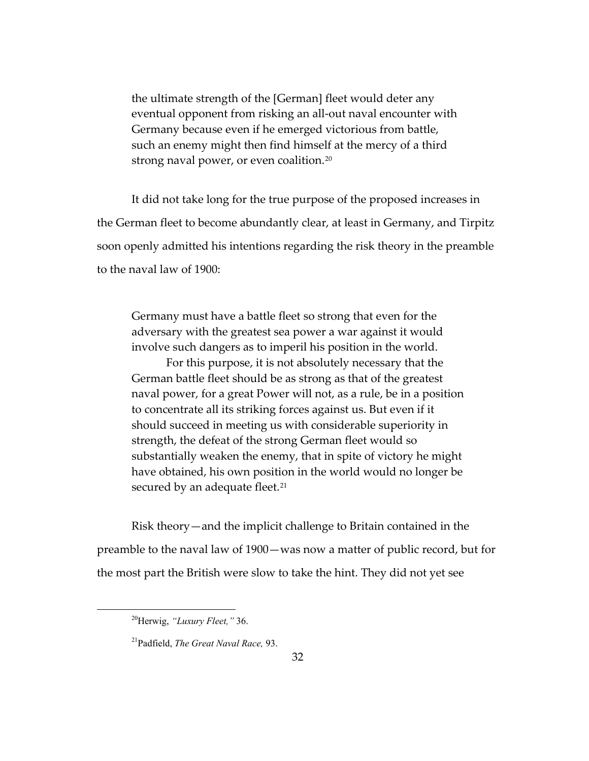the ultimate strength of the [German] fleet would deter any eventual opponent from risking an all-out naval encounter with Germany because even if he emerged victorious from battle, such an enemy might then find himself at the mercy of a third strong naval power, or even coalition.<sup>[20](#page-35-0)</sup>

It did not take long for the true purpose of the proposed increases in the German fleet to become abundantly clear, at least in Germany, and Tirpitz soon openly admitted his intentions regarding the risk theory in the preamble to the naval law of 1900:

Germany must have a battle fleet so strong that even for the adversary with the greatest sea power a war against it would involve such dangers as to imperil his position in the world.

For this purpose, it is not absolutely necessary that the German battle fleet should be as strong as that of the greatest naval power, for a great Power will not, as a rule, be in a position to concentrate all its striking forces against us. But even if it should succeed in meeting us with considerable superiority in strength, the defeat of the strong German fleet would so substantially weaken the enemy, that in spite of victory he might have obtained, his own position in the world would no longer be secured by an adequate fleet.<sup>[21](#page-35-1)</sup>

Risk theory—and the implicit challenge to Britain contained in the preamble to the naval law of 1900—was now a matter of public record, but for the most part the British were slow to take the hint. They did not yet see

<span id="page-35-0"></span><sup>20</sup>Herwig, *"Luxury Fleet,"* 36.

<span id="page-35-1"></span><sup>21</sup>Padfield, *The Great Naval Race,* 93.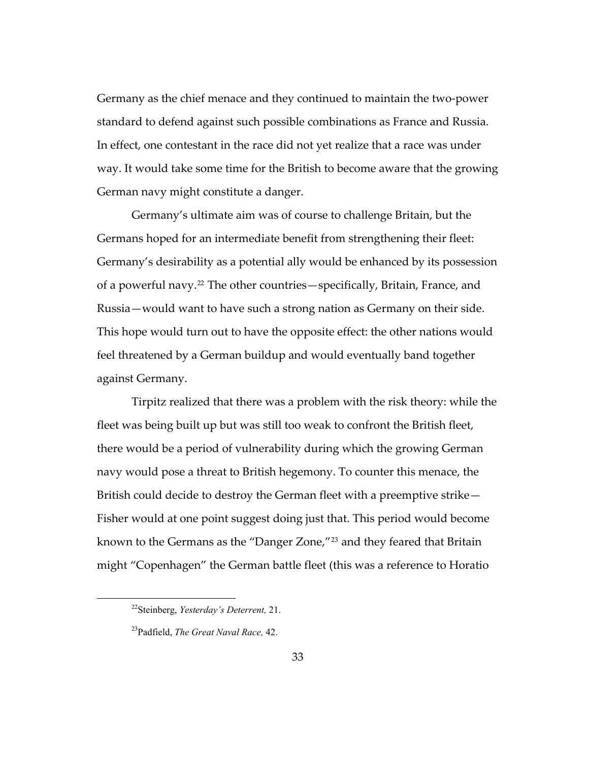Germany as the chief menace and they continued to maintain the two-power standard to defend against such possible combinations as France and Russia. In effect, one contestant in the race did not yet realize that a race was under way. It would take some time for the British to become aware that the growing German navy might constitute a danger.

Germany's ultimate aim was of course to challenge Britain, but the Germans hoped for an intermediate benefit from strengthening their fleet: Germany's desirability as a potential ally would be enhanced by its possession of a powerful navy.[22](#page-36-0) The other countries—specifically, Britain, France, and Russia—would want to have such a strong nation as Germany on their side. This hope would turn out to have the opposite effect: the other nations would feel threatened by a German buildup and would eventually band together against Germany.

Tirpitz realized that there was a problem with the risk theory: while the fleet was being built up but was still too weak to confront the British fleet, there would be a period of vulnerability during which the growing German navy would pose a threat to British hegemony. To counter this menace, the British could decide to destroy the German fleet with a preemptive strike— Fisher would at one point suggest doing just that. This period would become known to the Germans as the "Danger Zone,"[23](#page-36-1) and they feared that Britain might "Copenhagen" the German battle fleet (this was a reference to Horatio

<span id="page-36-0"></span><sup>22</sup>Steinberg, *Yesterday's Deterrent,* 21.

<span id="page-36-1"></span><sup>23</sup>Padfield, *The Great Naval Race,* 42.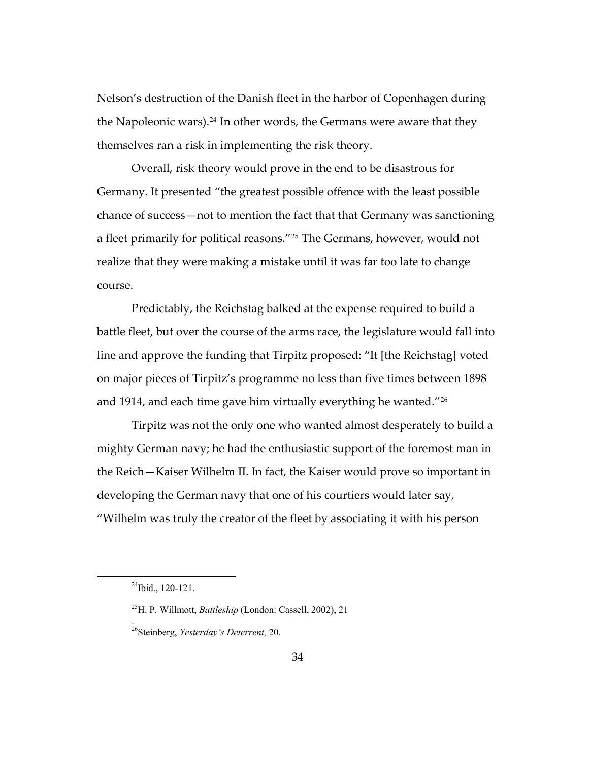Nelson's destruction of the Danish fleet in the harbor of Copenhagen during the Napoleonic wars).<sup>[24](#page-37-0)</sup> In other words, the Germans were aware that they themselves ran a risk in implementing the risk theory.

Overall, risk theory would prove in the end to be disastrous for Germany. It presented "the greatest possible offence with the least possible chance of success—not to mention the fact that that Germany was sanctioning a fleet primarily for political reasons."[25](#page-37-1) The Germans, however, would not realize that they were making a mistake until it was far too late to change course.

Predictably, the Reichstag balked at the expense required to build a battle fleet, but over the course of the arms race, the legislature would fall into line and approve the funding that Tirpitz proposed: "It [the Reichstag] voted on major pieces of Tirpitz's programme no less than five times between 1898 and 1914, and each time gave him virtually everything he wanted."<sup>[26](#page-37-2)</sup>

Tirpitz was not the only one who wanted almost desperately to build a mighty German navy; he had the enthusiastic support of the foremost man in the Reich—Kaiser Wilhelm II. In fact, the Kaiser would prove so important in developing the German navy that one of his courtiers would later say, "Wilhelm was truly the creator of the fleet by associating it with his person

.

<span id="page-37-2"></span><span id="page-37-1"></span><span id="page-37-0"></span>l

 $^{24}$ Ibid., 120-121.

<sup>25</sup>H. P. Willmott, *Battleship* (London: Cassell, 2002), 21

<sup>26</sup>Steinberg, *Yesterday's Deterrent,* 20.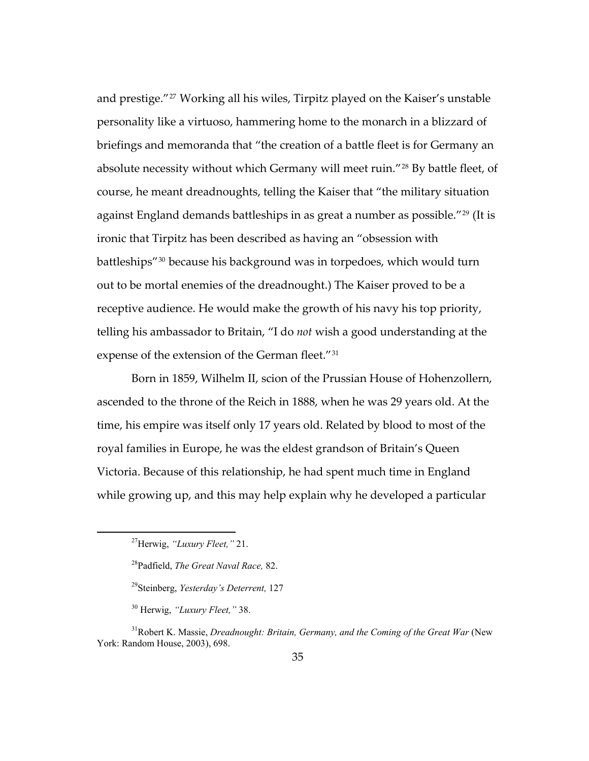expense of the extension of the German fleet. $^{\prime\prime}{}^{31}$ and prestige."[27](#page-38-0) Working all his wiles, Tirpitz played on the Kaiser's unstable personality like a virtuoso, hammering home to the monarch in a blizzard of briefings and memoranda that "the creation of a battle fleet is for Germany an absolute necessity without which Germany will meet ruin."[28](#page-38-1) By battle fleet, of course, he meant dreadnoughts, telling the Kaiser that "the military situation against England demands battleships in as great a number as possible."<sup>[29](#page-38-2)</sup> (It is ironic that Tirpitz has been described as having an "obsession with battleships"[30](#page-38-3) because his background was in torpedoes, which would turn out to be mortal enemies of the dreadnought.) The Kaiser proved to be a receptive audience. He would make the growth of his navy his top priority, telling his ambassador to Britain, "I do *not* wish a good understanding at the

Born in 1859, Wilhelm II, scion of the Prussian House of Hohenzollern, ascended to the throne of the Reich in 1888, when he was 29 years old. At the time, his empire was itself only 17 years old. Related by blood to most of the royal families in Europe, he was the eldest grandson of Britain's Queen Victoria. Because of this relationship, he had spent much time in England while growing up, and this may help explain why he developed a particular

<span id="page-38-1"></span><span id="page-38-0"></span>l

<sup>27</sup>Herwig, *"Luxury Fleet,"* 21.

<sup>28</sup>Padfield, *The Great Naval Race,* 82.

<sup>29</sup>Steinberg, *Yesterday's Deterrent,* 127

<sup>30</sup> Herwig, *"Luxury Fleet,"* 38.

<span id="page-38-3"></span><span id="page-38-2"></span><sup>&</sup>lt;sup>31</sup>Robert K. Massie, *Dreadnought: Britain, Germany, and the Coming of the Great War* (New York: Random House, 2003), 698.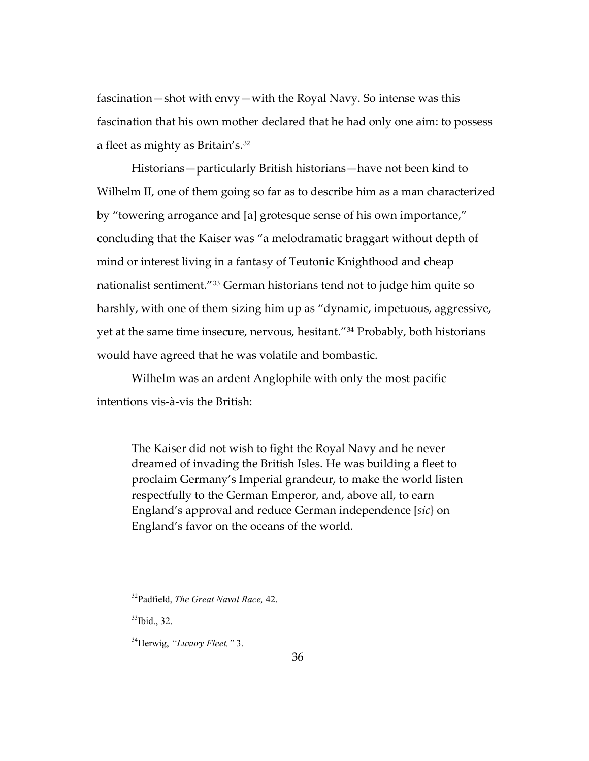fascination—shot with envy—with the Royal Navy. So intense was this fascination that his own mother declared that he had only one aim: to possess a fleet as mighty as Britain's.[32](#page-39-0)

Historians—particularly British historians—have not been kind to Wilhelm II, one of them going so far as to describe him as a man characterized by "towering arrogance and [a] grotesque sense of his own importance," concluding that the Kaiser was "a melodramatic braggart without depth of mind or interest living in a fantasy of Teutonic Knighthood and cheap nationalist sentiment."[33](#page-39-1) German historians tend not to judge him quite so harshly, with one of them sizing him up as "dynamic, impetuous, aggressive, yet at the same time insecure, nervous, hesitant."[34](#page-39-2) Probably, both historians would have agreed that he was volatile and bombastic.

Wilhelm was an ardent Anglophile with only the most pacific intentions vis-à-vis the British:

The Kaiser did not wish to fight the Royal Navy and he never dreamed of invading the British Isles. He was building a fleet to proclaim Germany's Imperial grandeur, to make the world listen respectfully to the German Emperor, and, above all, to earn England's approval and reduce German independence [*sic*} on England's favor on the oceans of the world.

<span id="page-39-1"></span><span id="page-39-0"></span> $33$ Ibid., 32.

<sup>32</sup>Padfield, *The Great Naval Race,* 42.

<span id="page-39-2"></span><sup>34</sup>Herwig, *"Luxury Fleet,"* 3.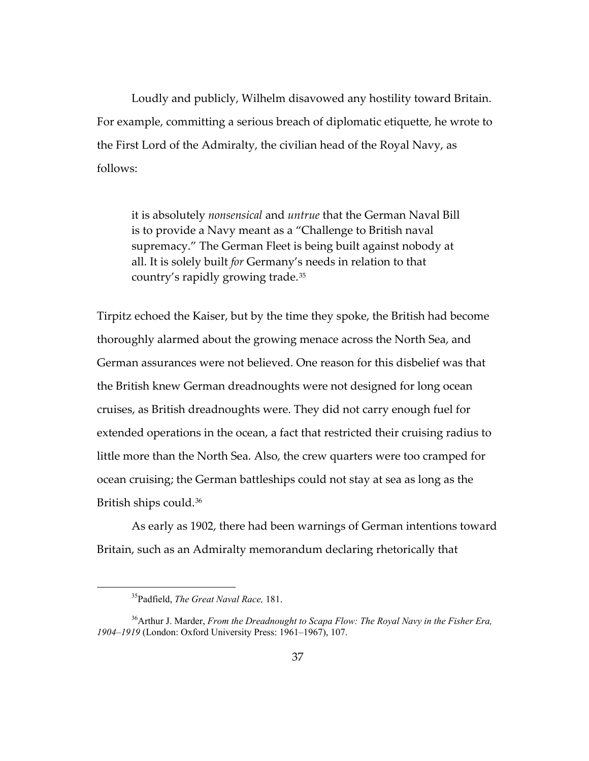Loudly and publicly, Wilhelm disavowed any hostility toward Britain. For example, committing a serious breach of diplomatic etiquette, he wrote to the First Lord of the Admiralty, the civilian head of the Royal Navy, as follows:

it is absolutely *nonsensical* and *untrue* that the German Naval Bill is to provide a Navy meant as a "Challenge to British naval supremacy." The German Fleet is being built against nobody at all. It is solely built *for* Germany's needs in relation to that country's rapidly growing trade.[35](#page-40-0)

Tirpitz echoed the Kaiser, but by the time they spoke, the British had become thoroughly alarmed about the growing menace across the North Sea, and German assurances were not believed. One reason for this disbelief was that the British knew German dreadnoughts were not designed for long ocean cruises, as British dreadnoughts were. They did not carry enough fuel for extended operations in the ocean, a fact that restricted their cruising radius to little more than the North Sea. Also, the crew quarters were too cramped for ocean cruising; the German battleships could not stay at sea as long as the British ships could.[36](#page-40-1)

As early as 1902, there had been warnings of German intentions toward Britain, such as an Admiralty memorandum declaring rhetorically that

<sup>35</sup>Padfield, *The Great Naval Race,* 181.

<span id="page-40-1"></span><span id="page-40-0"></span><sup>36</sup>Arthur J. Marder, *From the Dreadnought to Scapa Flow: The Royal Navy in the Fisher Era, 1904–1919* (London: Oxford University Press: 1961–1967), 107.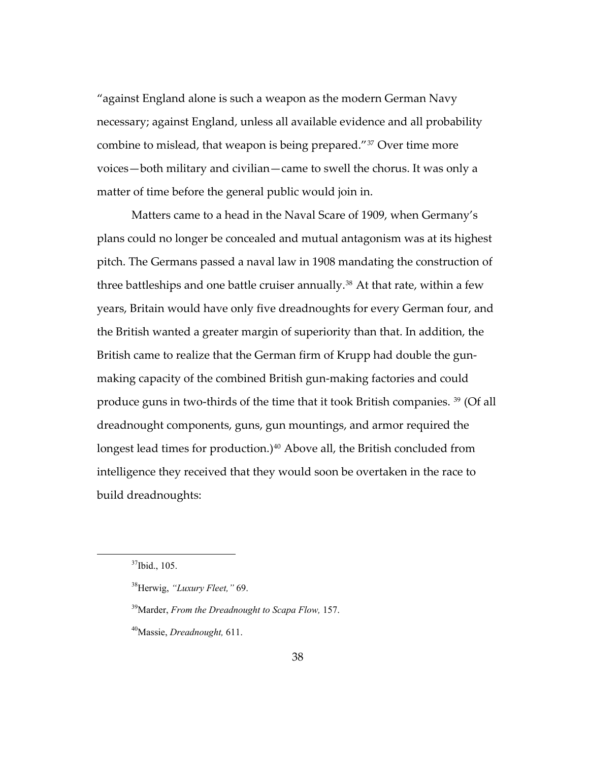"against England alone is such a weapon as the modern German Navy necessary; against England, unless all available evidence and all probability combine to mislead, that weapon is being prepared."[37](#page-41-0) Over time more voices—both military and civilian—came to swell the chorus. It was only a matter of time before the general public would join in.

Matters came to a head in the Naval Scare of 1909, when Germany's plans could no longer be concealed and mutual antagonism was at its highest pitch. The Germans passed a naval law in 1908 mandating the construction of three battleships and one battle cruiser annually.<sup>[38](#page-41-1)</sup> At that rate, within a few years, Britain would have only five dreadnoughts for every German four, and the British wanted a greater margin of superiority than that. In addition, the British came to realize that the German firm of Krupp had double the gunmaking capacity of the combined British gun-making factories and could produce guns in two-thirds of the time that it took British companies. [39](#page-41-2) (Of all dreadnought components, guns, gun mountings, and armor required the longest lead times for production.)<sup>[40](#page-41-3)</sup> Above all, the British concluded from intelligence they received that they would soon be overtaken in the race to build dreadnoughts:

<span id="page-41-0"></span><sup>37</sup>Ibid., 105.

<span id="page-41-1"></span><sup>38</sup>Herwig, *"Luxury Fleet,"* 69.

<span id="page-41-2"></span><sup>39</sup>Marder, *From the Dreadnought to Scapa Flow,* 157.

<span id="page-41-3"></span><sup>40</sup>Massie, *Dreadnought,* 611.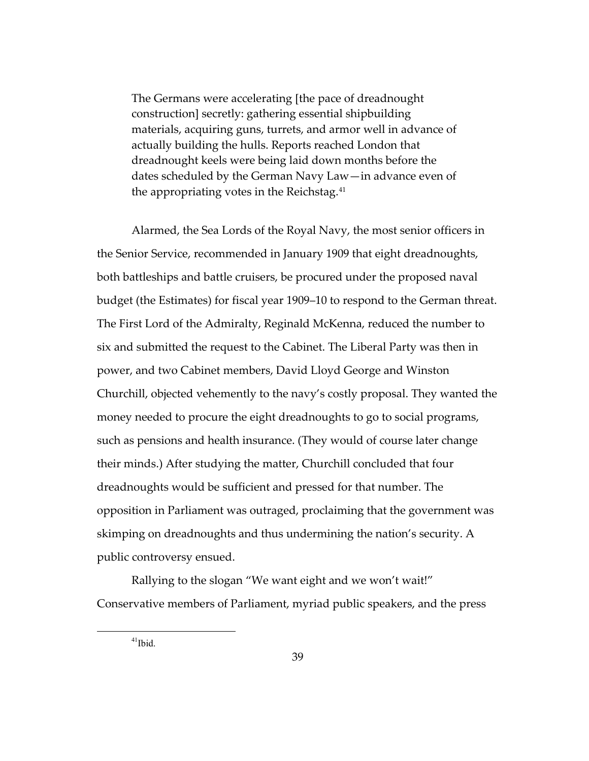The Germans were accelerating [the pace of dreadnought construction] secretly: gathering essential shipbuilding materials, acquiring guns, turrets, and armor well in advance of actually building the hulls. Reports reached London that dreadnought keels were being laid down months before the dates scheduled by the German Navy Law—in advance even of the appropriating votes in the Reichstag.<sup>[41](#page-42-0)</sup>

Alarmed, the Sea Lords of the Royal Navy, the most senior officers in the Senior Service, recommended in January 1909 that eight dreadnoughts, both battleships and battle cruisers, be procured under the proposed naval budget (the Estimates) for fiscal year 1909–10 to respond to the German threat. The First Lord of the Admiralty, Reginald McKenna, reduced the number to six and submitted the request to the Cabinet. The Liberal Party was then in power, and two Cabinet members, David Lloyd George and Winston Churchill, objected vehemently to the navy's costly proposal. They wanted the money needed to procure the eight dreadnoughts to go to social programs, such as pensions and health insurance. (They would of course later change their minds.) After studying the matter, Churchill concluded that four dreadnoughts would be sufficient and pressed for that number. The opposition in Parliament was outraged, proclaiming that the government was skimping on dreadnoughts and thus undermining the nation's security. A public controversy ensued.

<span id="page-42-0"></span>Rallying to the slogan "We want eight and we won't wait!" Conservative members of Parliament, myriad public speakers, and the press

 $41$ Ibid.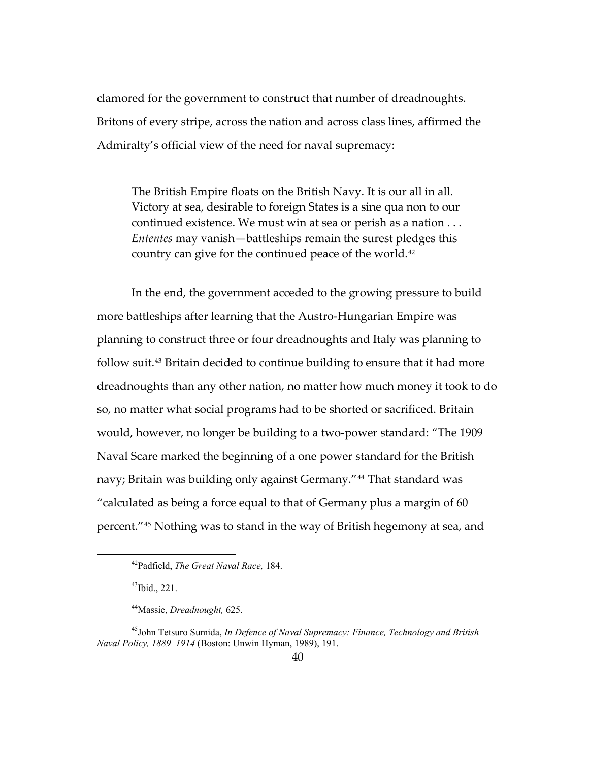clamored for the government to construct that number of dreadnoughts. Britons of every stripe, across the nation and across class lines, affirmed the Admiralty's official view of the need for naval supremacy:

The British Empire floats on the British Navy. It is our all in all. Victory at sea, desirable to foreign States is a sine qua non to our continued existence. We must win at sea or perish as a nation . . . *Ententes* may vanish—battleships remain the surest pledges this country can give for the continued peace of the world.<sup>[42](#page-43-0)</sup>

In the end, the government acceded to the growing pressure to build more battleships after learning that the Austro-Hungarian Empire was planning to construct three or four dreadnoughts and Italy was planning to follow suit.[43](#page-43-1) Britain decided to continue building to ensure that it had more dreadnoughts than any other nation, no matter how much money it took to do so, no matter what social programs had to be shorted or sacrificed. Britain would, however, no longer be building to a two-power standard: "The 1909 Naval Scare marked the beginning of a one power standard for the British navy; Britain was building only against Germany."[44](#page-43-2) That standard was "calculated as being a force equal to that of Germany plus a margin of 60 percent."[45](#page-43-3) Nothing was to stand in the way of British hegemony at sea, and

 $43$ Ibid., 221.

<sup>42</sup>Padfield, *The Great Naval Race,* 184.

<sup>44</sup>Massie, *Dreadnought,* 625.

<span id="page-43-3"></span><span id="page-43-2"></span><span id="page-43-1"></span><span id="page-43-0"></span><sup>45</sup>John Tetsuro Sumida, *In Defence of Naval Supremacy: Finance, Technology and British Naval Policy, 1889–1914* (Boston: Unwin Hyman, 1989), 191.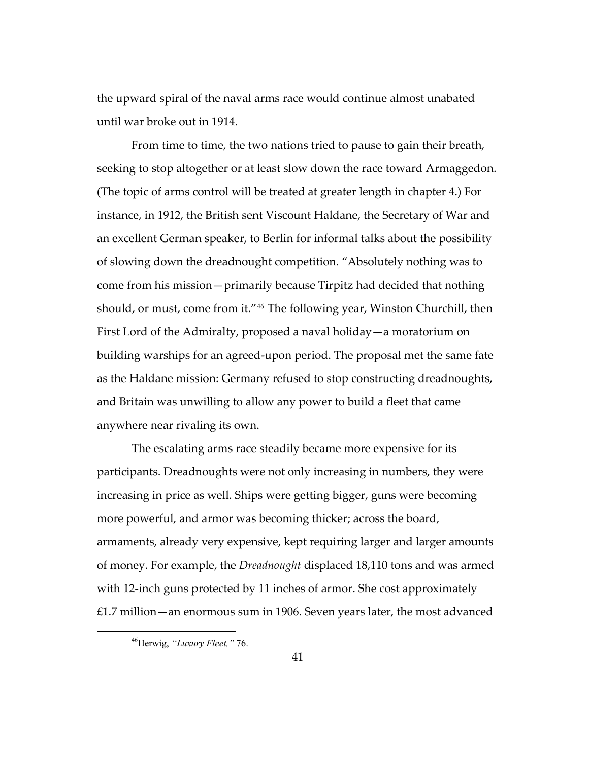the upward spiral of the naval arms race would continue almost unabated until war broke out in 1914.

From time to time, the two nations tried to pause to gain their breath, seeking to stop altogether or at least slow down the race toward Armaggedon. (The topic of arms control will be treated at greater length in chapter 4.) For instance, in 1912, the British sent Viscount Haldane, the Secretary of War and an excellent German speaker, to Berlin for informal talks about the possibility of slowing down the dreadnought competition. "Absolutely nothing was to come from his mission—primarily because Tirpitz had decided that nothing should, or must, come from it."[46](#page-44-0) The following year, Winston Churchill, then First Lord of the Admiralty, proposed a naval holiday—a moratorium on building warships for an agreed-upon period. The proposal met the same fate as the Haldane mission: Germany refused to stop constructing dreadnoughts, and Britain was unwilling to allow any power to build a fleet that came anywhere near rivaling its own.

The escalating arms race steadily became more expensive for its participants. Dreadnoughts were not only increasing in numbers, they were increasing in price as well. Ships were getting bigger, guns were becoming more powerful, and armor was becoming thicker; across the board, armaments, already very expensive, kept requiring larger and larger amounts of money. For example, the *Dreadnought* displaced 18,110 tons and was armed with 12-inch guns protected by 11 inches of armor. She cost approximately £1.7 million—an enormous sum in 1906. Seven years later, the most advanced

<span id="page-44-0"></span><sup>46</sup>Herwig, *"Luxury Fleet,"* 76.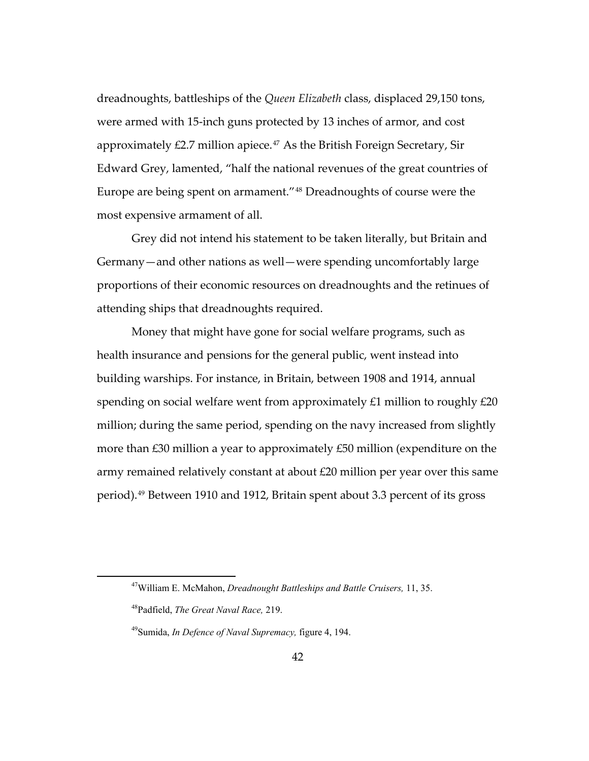dreadnoughts, battleships of the *Queen Elizabeth* class, displaced 29,150 tons, were armed with 15-inch guns protected by 13 inches of armor, and cost approximately  $£2.7$  million apiece.<sup>[47](#page-45-0)</sup> As the British Foreign Secretary, Sir Edward Grey, lamented, "half the national revenues of the great countries of Europe are being spent on armament."[48](#page-45-1) Dreadnoughts of course were the most expensive armament of all.

Grey did not intend his statement to be taken literally, but Britain and Germany—and other nations as well—were spending uncomfortably large proportions of their economic resources on dreadnoughts and the retinues of attending ships that dreadnoughts required.

Money that might have gone for social welfare programs, such as health insurance and pensions for the general public, went instead into building warships. For instance, in Britain, between 1908 and 1914, annual spending on social welfare went from approximately £1 million to roughly £20 million; during the same period, spending on the navy increased from slightly more than £30 million a year to approximately £50 million (expenditure on the army remained relatively constant at about £20 million per year over this same period).[49](#page-45-2) Between 1910 and 1912, Britain spent about 3.3 percent of its gross

<span id="page-45-0"></span><sup>47</sup>William E. McMahon, *Dreadnought Battleships and Battle Cruisers,* 11, 35.

<span id="page-45-1"></span><sup>48</sup>Padfield, *The Great Naval Race,* 219.

<span id="page-45-2"></span><sup>49</sup>Sumida, *In Defence of Naval Supremacy,* figure 4, 194.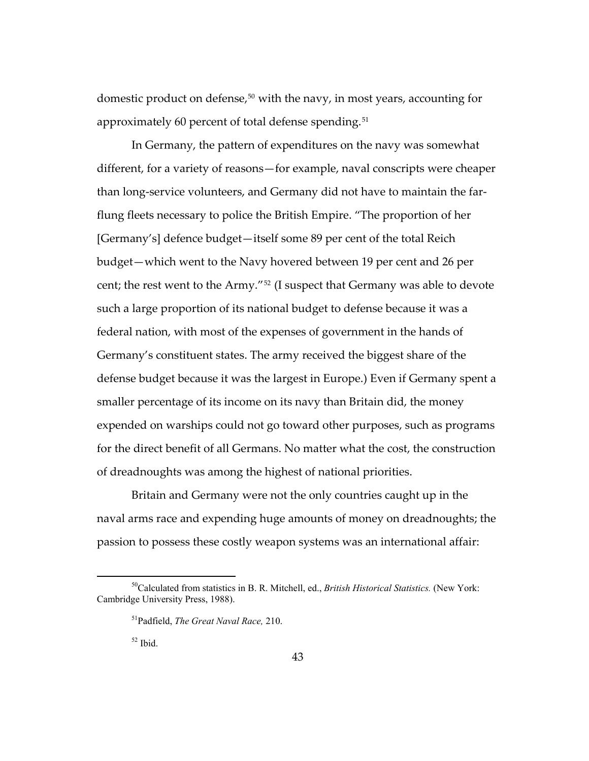domestic product on defense,<sup>[50](#page-46-0)</sup> with the navy, in most years, accounting for approximately 60 percent of total defense spending.<sup>[51](#page-46-1)</sup>

In Germany, the pattern of expenditures on the navy was somewhat different, for a variety of reasons—for example, naval conscripts were cheaper than long-service volunteers, and Germany did not have to maintain the farflung fleets necessary to police the British Empire. "The proportion of her [Germany's] defence budget—itself some 89 per cent of the total Reich budget—which went to the Navy hovered between 19 per cent and 26 per cent; the rest went to the Army.["52](#page-46-2) (I suspect that Germany was able to devote such a large proportion of its national budget to defense because it was a federal nation, with most of the expenses of government in the hands of Germany's constituent states. The army received the biggest share of the defense budget because it was the largest in Europe.) Even if Germany spent a smaller percentage of its income on its navy than Britain did, the money expended on warships could not go toward other purposes, such as programs for the direct benefit of all Germans. No matter what the cost, the construction of dreadnoughts was among the highest of national priorities.

Britain and Germany were not the only countries caught up in the naval arms race and expending huge amounts of money on dreadnoughts; the passion to possess these costly weapon systems was an international affair:

<span id="page-46-2"></span><span id="page-46-1"></span><span id="page-46-0"></span><sup>50</sup>Calculated from statistics in B. R. Mitchell, ed., *British Historical Statistics.* (New York: Cambridge University Press, 1988).

<sup>51</sup>Padfield, *The Great Naval Race,* 210.

 $52$  Ibid.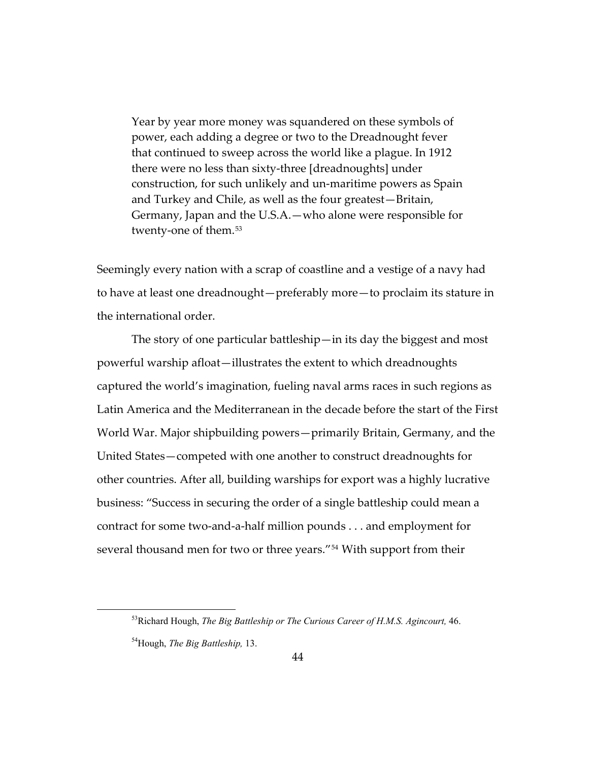Year by year more money was squandered on these symbols of power, each adding a degree or two to the Dreadnought fever that continued to sweep across the world like a plague. In 1912 there were no less than sixty-three [dreadnoughts] under construction, for such unlikely and un-maritime powers as Spain and Turkey and Chile, as well as the four greatest—Britain, Germany, Japan and the U.S.A.—who alone were responsible for twenty-one of them.<sup>[53](#page-47-0)</sup>

Seemingly every nation with a scrap of coastline and a vestige of a navy had to have at least one dreadnought—preferably more—to proclaim its stature in the international order.

The story of one particular battleship—in its day the biggest and most powerful warship afloat—illustrates the extent to which dreadnoughts captured the world's imagination, fueling naval arms races in such regions as Latin America and the Mediterranean in the decade before the start of the First World War. Major shipbuilding powers—primarily Britain, Germany, and the United States—competed with one another to construct dreadnoughts for other countries. After all, building warships for export was a highly lucrative business: "Success in securing the order of a single battleship could mean a contract for some two-and-a-half million pounds . . . and employment for several thousand men for two or three years."<sup>[54](#page-47-1)</sup> With support from their

<span id="page-47-1"></span>54Hough, *The Big Battleship,* 13.

<span id="page-47-0"></span><sup>53</sup>Richard Hough, *The Big Battleship or The Curious Career of H.M.S. Agincourt,* 46.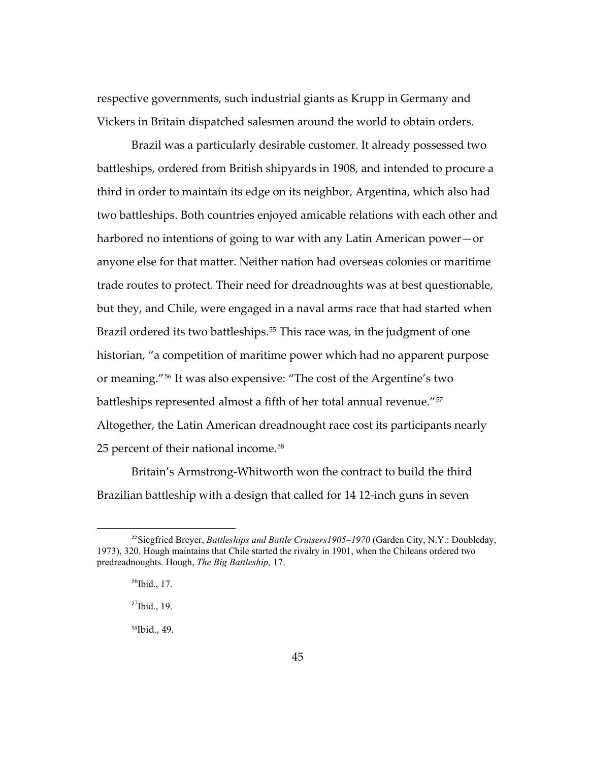respective governments, such industrial giants as Krupp in Germany and Vickers in Britain dispatched salesmen around the world to obtain orders.

Brazil was a particularly desirable customer. It already possessed two battleships, ordered from British shipyards in 1908, and intended to procure a third in order to maintain its edge on its neighbor, Argentina, which also had two battleships. Both countries enjoyed amicable relations with each other and harbored no intentions of going to war with any Latin American power—or anyone else for that matter. Neither nation had overseas colonies or maritime trade routes to protect. Their need for dreadnoughts was at best questionable, but they, and Chile, were engaged in a naval arms race that had started when Brazil ordered its two battleships.<sup>[55](#page-48-0)</sup> This race was, in the judgment of one historian, "a competition of maritime power which had no apparent purpose or meaning."[56](#page-48-1) It was also expensive: "The cost of the Argentine's two battleships represented almost a fifth of her total annual revenue."[57](#page-48-2) Altogether, the Latin American dreadnought race cost its participants nearly 25 percent of their national income.<sup>[58](#page-48-3)</sup>

Britain's Armstrong-Whitworth won the contract to build the third Brazilian battleship with a design that called for 14 12-inch guns in seven

<span id="page-48-3"></span><span id="page-48-2"></span><span id="page-48-1"></span><span id="page-48-0"></span><sup>55</sup>Siegfried Breyer, *Battleships and Battle Cruisers1905–1970* (Garden City, N.Y.: Doubleday, 1973), 320. Hough maintains that Chile started the rivalry in 1901, when the Chileans ordered two predreadnoughts. Hough, *The Big Battleship,* 17.

 $56$ Ibid., 17.

 $57$ Ibid., 19.

<sup>58</sup>Ibid., 49.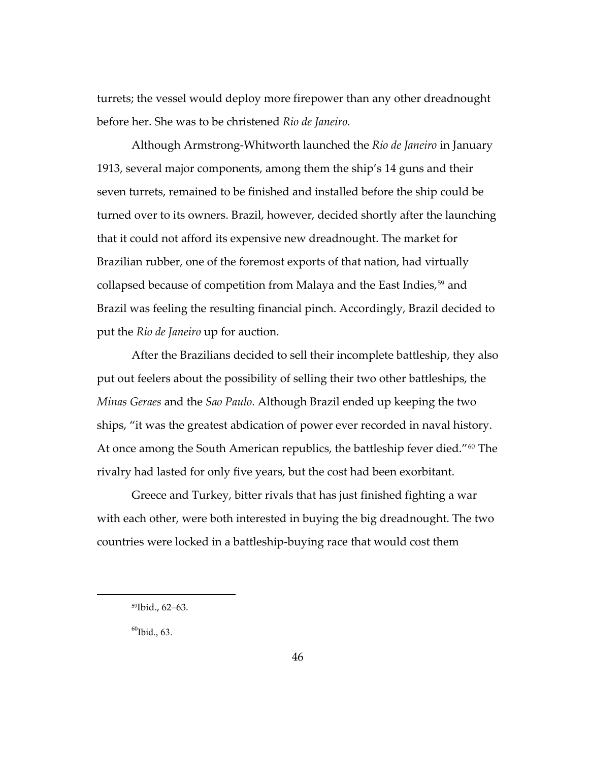turrets; the vessel would deploy more firepower than any other dreadnought before her. She was to be christened *Rio de Janeiro.*

Although Armstrong-Whitworth launched the *Rio de Janeiro* in January 1913, several major components, among them the ship's 14 guns and their seven turrets, remained to be finished and installed before the ship could be turned over to its owners. Brazil, however, decided shortly after the launching that it could not afford its expensive new dreadnought. The market for Brazilian rubber, one of the foremost exports of that nation, had virtually collapsed because of competition from Malaya and the East Indies,<sup>[59](#page-49-0)</sup> and Brazil was feeling the resulting financial pinch. Accordingly, Brazil decided to put the *Rio de Janeiro* up for auction.

After the Brazilians decided to sell their incomplete battleship, they also put out feelers about the possibility of selling their two other battleships, the *Minas Geraes* and the *Sao Paulo.* Although Brazil ended up keeping the two ships, "it was the greatest abdication of power ever recorded in naval history. At once among the South American republics, the battleship fever died."<sup>[60](#page-49-1)</sup> The rivalry had lasted for only five years, but the cost had been exorbitant.

Greece and Turkey, bitter rivals that has just finished fighting a war with each other, were both interested in buying the big dreadnought. The two countries were locked in a battleship-buying race that would cost them

<span id="page-49-1"></span> $60$ Ibid., 63.

<span id="page-49-0"></span><sup>59</sup>Ibid., 62–63.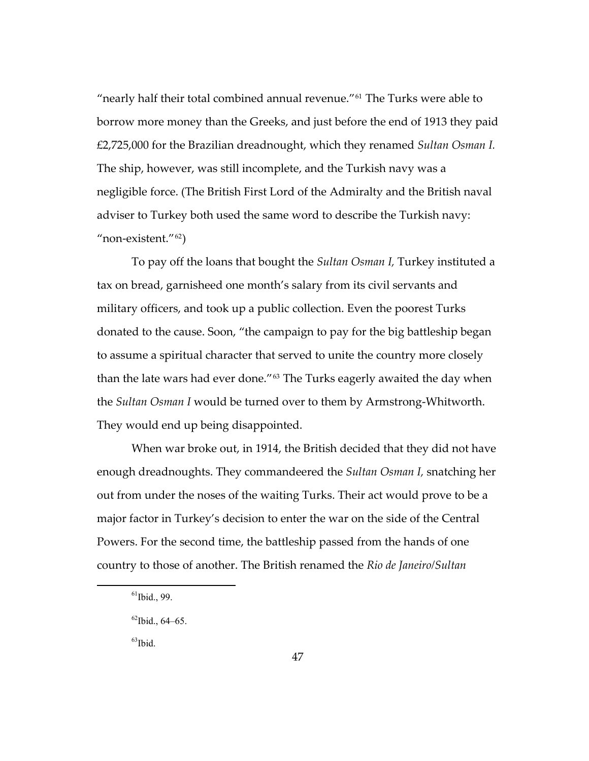"nearly half their total combined annual revenue.["61](#page-50-0) The Turks were able to borrow more money than the Greeks, and just before the end of 1913 they paid £2,725,000 for the Brazilian dreadnought, which they renamed *Sultan Osman I.* The ship, however, was still incomplete, and the Turkish navy was a negligible force. (The British First Lord of the Admiralty and the British naval adviser to Turkey both used the same word to describe the Turkish navy: "non-existent."[62](#page-50-1))

To pay off the loans that bought the *Sultan Osman I,* Turkey instituted a tax on bread, garnisheed one month's salary from its civil servants and military officers, and took up a public collection. Even the poorest Turks donated to the cause. Soon, "the campaign to pay for the big battleship began to assume a spiritual character that served to unite the country more closely than the late wars had ever done."<sup>[63](#page-50-2)</sup> The Turks eagerly awaited the day when the *Sultan Osman I* would be turned over to them by Armstrong-Whitworth. They would end up being disappointed.

When war broke out, in 1914, the British decided that they did not have enough dreadnoughts. They commandeered the *Sultan Osman I,* snatching her out from under the noses of the waiting Turks. Their act would prove to be a major factor in Turkey's decision to enter the war on the side of the Central Powers. For the second time, the battleship passed from the hands of one country to those of another. The British renamed the *Rio de Janeiro/Sultan* 

<span id="page-50-2"></span> $63$ Ibid.

<span id="page-50-0"></span> $^{61}$ Ibid., 99.

<span id="page-50-1"></span> $62$ Ibid., 64–65.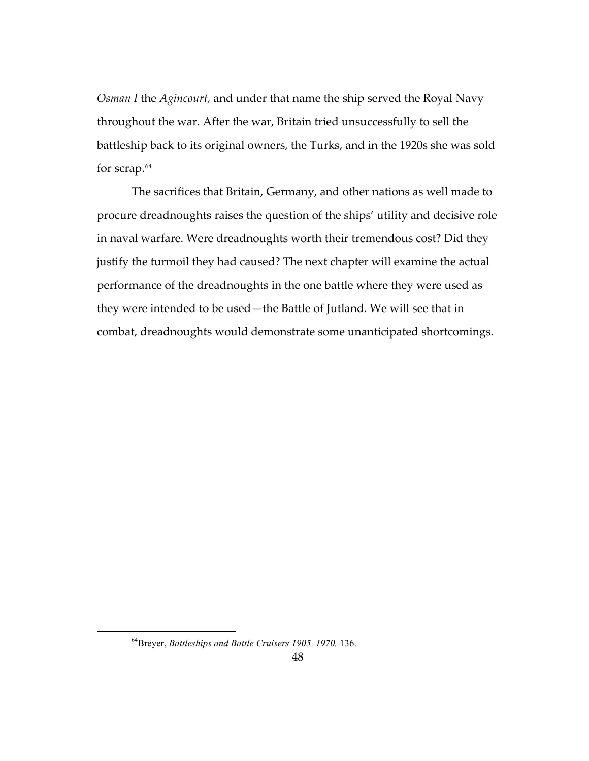*Osman I* the *Agincourt,* and under that name the ship served the Royal Navy throughout the war. After the war, Britain tried unsuccessfully to sell the battleship back to its original owners, the Turks, and in the 1920s she was sold for scrap.[64](#page-51-0)

The sacrifices that Britain, Germany, and other nations as well made to procure dreadnoughts raises the question of the ships' utility and decisive role in naval warfare. Were dreadnoughts worth their tremendous cost? Did they justify the turmoil they had caused? The next chapter will examine the actual performance of the dreadnoughts in the one battle where they were used as they were intended to be used—the Battle of Jutland. We will see that in combat, dreadnoughts would demonstrate some unanticipated shortcomings.

<span id="page-51-0"></span><sup>64</sup>Breyer, *Battleships and Battle Cruisers 1905–1970,* 136.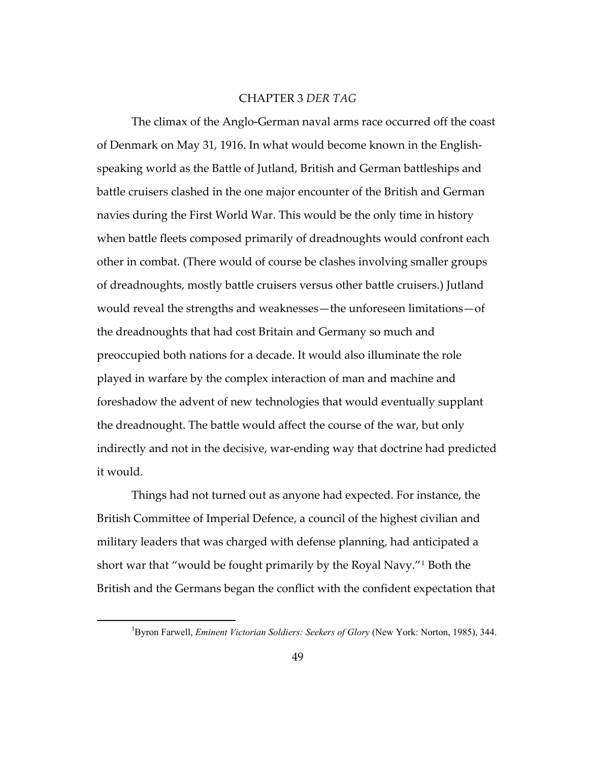## CHAPTER 3 *DER TAG*

The climax of the Anglo-German naval arms race occurred off the coast of Denmark on May 31, 1916. In what would become known in the Englishspeaking world as the Battle of Jutland, British and German battleships and battle cruisers clashed in the one major encounter of the British and German navies during the First World War. This would be the only time in history when battle fleets composed primarily of dreadnoughts would confront each other in combat. (There would of course be clashes involving smaller groups of dreadnoughts, mostly battle cruisers versus other battle cruisers.) Jutland would reveal the strengths and weaknesses—the unforeseen limitations—of the dreadnoughts that had cost Britain and Germany so much and preoccupied both nations for a decade. It would also illuminate the role played in warfare by the complex interaction of man and machine and foreshadow the advent of new technologies that would eventually supplant the dreadnought. The battle would affect the course of the war, but only indirectly and not in the decisive, war-ending way that doctrine had predicted it would.

Things had not turned out as anyone had expected. For instance, the British Committee of Imperial Defence, a council of the highest civilian and military leaders that was charged with defense planning, had anticipated a short war that "would be fought primarily by the Royal Navy."[1](#page-52-0) Both the British and the Germans began the conflict with the confident expectation that

<span id="page-52-0"></span><sup>&</sup>lt;sup>1</sup>Byron Farwell, *Eminent Victorian Soldiers: Seekers of Glory* (New York: Norton, 1985), 344.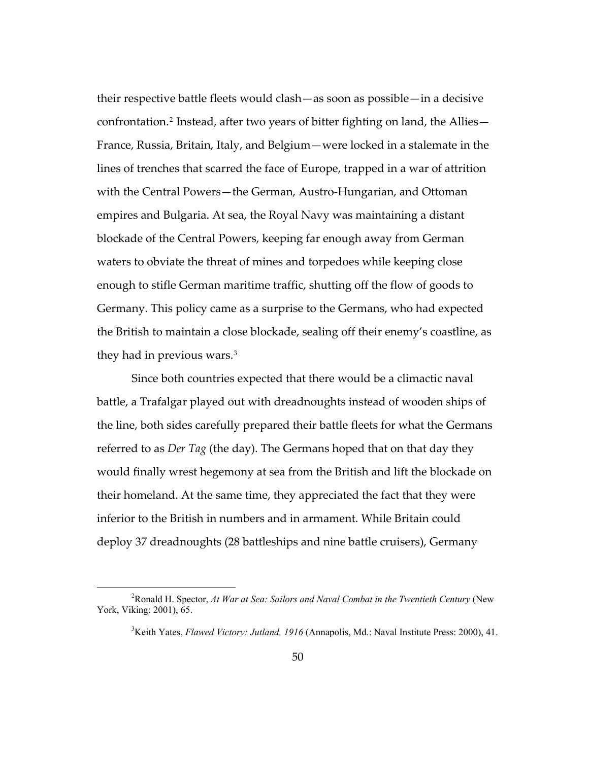their respective battle fleets would clash—as soon as possible—in a decisive confrontation.[2](#page-53-0) Instead, after two years of bitter fighting on land, the Allies— France, Russia, Britain, Italy, and Belgium—were locked in a stalemate in the lines of trenches that scarred the face of Europe, trapped in a war of attrition with the Central Powers—the German, Austro-Hungarian, and Ottoman empires and Bulgaria. At sea, the Royal Navy was maintaining a distant blockade of the Central Powers, keeping far enough away from German waters to obviate the threat of mines and torpedoes while keeping close enough to stifle German maritime traffic, shutting off the flow of goods to Germany. This policy came as a surprise to the Germans, who had expected the British to maintain a close blockade, sealing off their enemy's coastline, as they had in previous wars.<sup>[3](#page-53-1)</sup>

Since both countries expected that there would be a climactic naval battle, a Trafalgar played out with dreadnoughts instead of wooden ships of the line, both sides carefully prepared their battle fleets for what the Germans referred to as *Der Tag* (the day). The Germans hoped that on that day they would finally wrest hegemony at sea from the British and lift the blockade on their homeland. At the same time, they appreciated the fact that they were inferior to the British in numbers and in armament. While Britain could deploy 37 dreadnoughts (28 battleships and nine battle cruisers), Germany

<span id="page-53-1"></span><span id="page-53-0"></span><sup>2</sup> Ronald H. Spector, *At War at Sea: Sailors and Naval Combat in the Twentieth Century* (New York, Viking: 2001), 65.

<sup>&</sup>lt;sup>3</sup>Keith Yates, *Flawed Victory: Jutland, 1916* (Annapolis, Md.: Naval Institute Press: 2000), 41.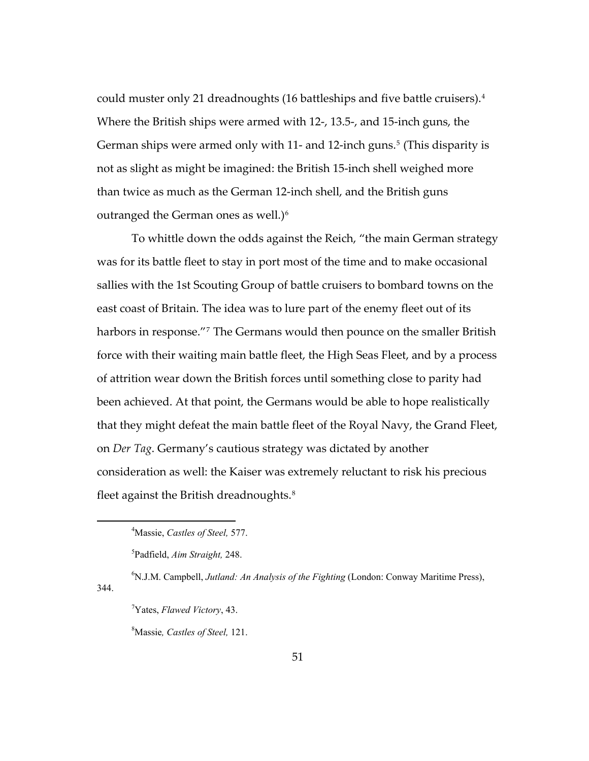could muster only 21 dreadnoughts (16 battleships and five battle cruisers).[4](#page-54-0) Where the British ships were armed with 12-, 13.5-, and 15-inch guns, the German ships were armed only with 11- and 12-inch guns.<sup>[5](#page-54-1)</sup> (This disparity is not as slight as might be imagined: the British 15-inch shell weighed more than twice as much as the German 12-inch shell, and the British guns outranged the German ones as well.) $\delta$ 

To whittle down the odds against the Reich, "the main German strategy was for its battle fleet to stay in port most of the time and to make occasional sallies with the 1st Scouting Group of battle cruisers to bombard towns on the east coast of Britain. The idea was to lure part of the enemy fleet out of its harbors in response."<sup>[7](#page-54-3)</sup> The Germans would then pounce on the smaller British force with their waiting main battle fleet, the High Seas Fleet, and by a process of attrition wear down the British forces until something close to parity had been achieved. At that point, the Germans would be able to hope realistically that they might defeat the main battle fleet of the Royal Navy, the Grand Fleet, on *Der Tag*. Germany's cautious strategy was dictated by another consideration as well: the Kaiser was extremely reluctant to risk his precious fleet against the British dreadnoughts.<sup>[8](#page-54-4)</sup>

6 N.J.M. Campbell, *Jutland: An Analysis of the Fighting* (London: Conway Maritime Press),

<span id="page-54-0"></span> $\overline{a}$ 

<span id="page-54-4"></span><span id="page-54-3"></span><span id="page-54-2"></span><span id="page-54-1"></span>344.

8 Massie*, Castles of Steel,* 121.

<sup>4</sup> Massie, *Castles of Steel,* 577.

<sup>5</sup> Padfield, *Aim Straight,* 248.

<sup>7</sup> Yates, *Flawed Victory*, 43.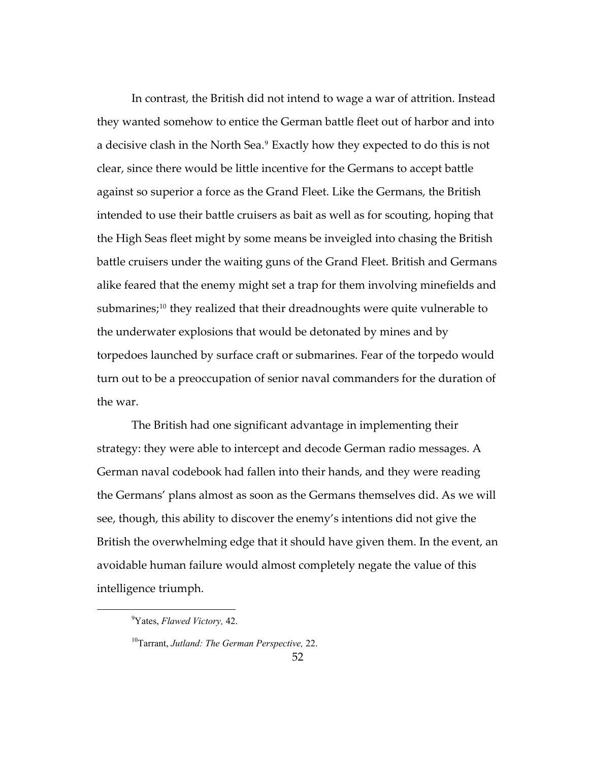In contrast, the British did not intend to wage a war of attrition. Instead they wanted somehow to entice the German battle fleet out of harbor and into a decisive clash in the North Sea.<sup>[9](#page-55-0)</sup> Exactly how they expected to do this is not clear, since there would be little incentive for the Germans to accept battle against so superior a force as the Grand Fleet. Like the Germans, the British intended to use their battle cruisers as bait as well as for scouting, hoping that the High Seas fleet might by some means be inveigled into chasing the British battle cruisers under the waiting guns of the Grand Fleet. British and Germans alike feared that the enemy might set a trap for them involving minefields and submarines;<sup>[10](#page-55-1)</sup> they realized that their dreadnoughts were quite vulnerable to the underwater explosions that would be detonated by mines and by torpedoes launched by surface craft or submarines. Fear of the torpedo would turn out to be a preoccupation of senior naval commanders for the duration of the war.

The British had one significant advantage in implementing their strategy: they were able to intercept and decode German radio messages. A German naval codebook had fallen into their hands, and they were reading the Germans' plans almost as soon as the Germans themselves did. As we will see, though, this ability to discover the enemy's intentions did not give the British the overwhelming edge that it should have given them. In the event, an avoidable human failure would almost completely negate the value of this intelligence triumph.

<span id="page-55-0"></span><sup>9</sup> Yates, *Flawed Victory,* 42.

<span id="page-55-1"></span><sup>10</sup>Tarrant, *Jutland: The German Perspective,* 22.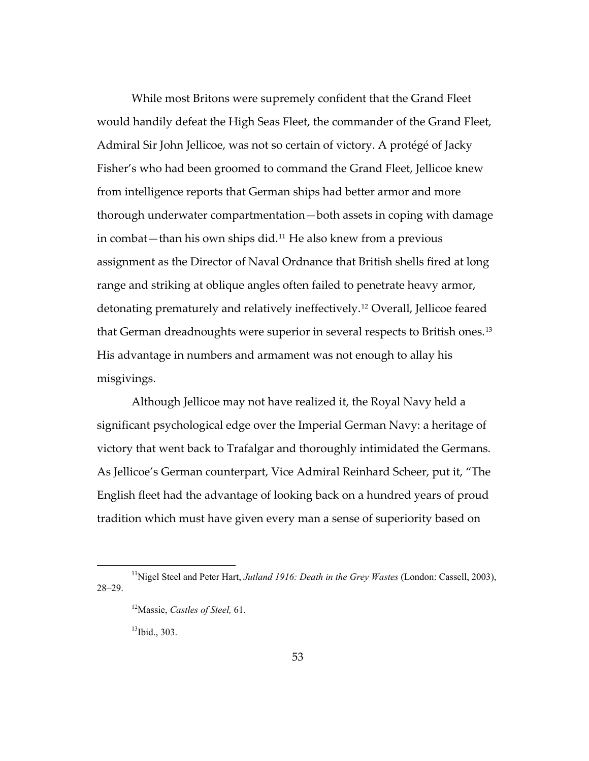While most Britons were supremely confident that the Grand Fleet would handily defeat the High Seas Fleet, the commander of the Grand Fleet, Admiral Sir John Jellicoe, was not so certain of victory. A protégé of Jacky Fisher's who had been groomed to command the Grand Fleet, Jellicoe knew from intelligence reports that German ships had better armor and more thorough underwater compartmentation—both assets in coping with damage in combat—than his own ships did.[11](#page-56-0) He also knew from a previous assignment as the Director of Naval Ordnance that British shells fired at long range and striking at oblique angles often failed to penetrate heavy armor, detonating prematurely and relatively ineffectively.[12](#page-56-1) Overall, Jellicoe feared that German dreadnoughts were superior in several respects to British ones.[13](#page-56-2) His advantage in numbers and armament was not enough to allay his misgivings.

Although Jellicoe may not have realized it, the Royal Navy held a significant psychological edge over the Imperial German Navy: a heritage of victory that went back to Trafalgar and thoroughly intimidated the Germans. As Jellicoe's German counterpart, Vice Admiral Reinhard Scheer, put it, "The English fleet had the advantage of looking back on a hundred years of proud tradition which must have given every man a sense of superiority based on

 $13$ Ibid., 303.

<span id="page-56-2"></span><span id="page-56-1"></span><span id="page-56-0"></span><sup>11</sup>Nigel Steel and Peter Hart, *Jutland 1916: Death in the Grey Wastes* (London: Cassell, 2003), 28–29.

<sup>12</sup>Massie, *Castles of Steel,* 61.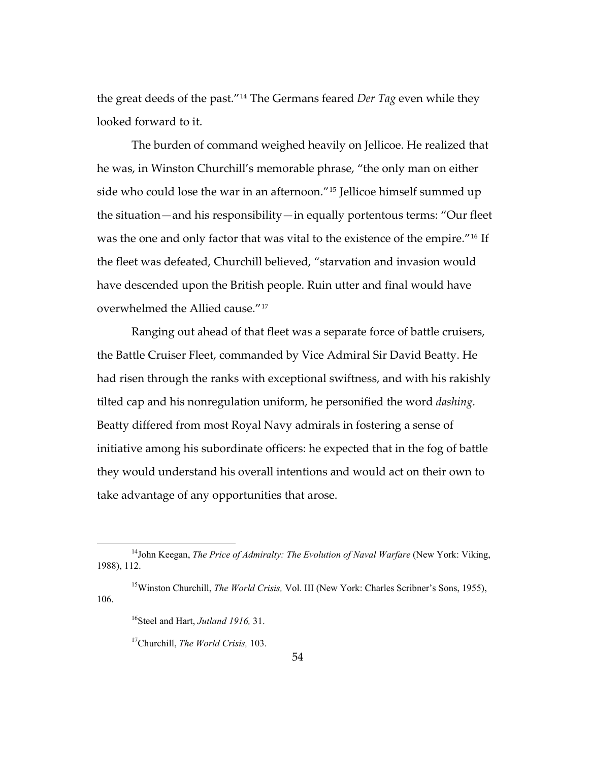the great deeds of the past."[14](#page-57-0) The Germans feared *Der Tag* even while they looked forward to it.

The burden of command weighed heavily on Jellicoe. He realized that he was, in Winston Churchill's memorable phrase, "the only man on either side who could lose the war in an afternoon."[15](#page-57-1) Jellicoe himself summed up the situation—and his responsibility—in equally portentous terms: "Our fleet was the one and only factor that was vital to the existence of the empire."<sup>[16](#page-57-2)</sup> If the fleet was defeated, Churchill believed, "starvation and invasion would have descended upon the British people. Ruin utter and final would have overwhelmed the Allied cause."[17](#page-57-3)

Ranging out ahead of that fleet was a separate force of battle cruisers, the Battle Cruiser Fleet, commanded by Vice Admiral Sir David Beatty. He had risen through the ranks with exceptional swiftness, and with his rakishly tilted cap and his nonregulation uniform, he personified the word *dashing.* Beatty differed from most Royal Navy admirals in fostering a sense of initiative among his subordinate officers: he expected that in the fog of battle they would understand his overall intentions and would act on their own to take advantage of any opportunities that arose.

<span id="page-57-0"></span><sup>&</sup>lt;sup>14</sup>John Keegan, *The Price of Admiralty: The Evolution of Naval Warfare* (New York: Viking, 1988), 112.

<span id="page-57-3"></span><span id="page-57-2"></span><span id="page-57-1"></span><sup>&</sup>lt;sup>15</sup>Winston Churchill, *The World Crisis*, Vol. III (New York: Charles Scribner's Sons, 1955), 106.

<sup>16</sup>Steel and Hart, *Jutland 1916,* 31.

<sup>17</sup>Churchill, *The World Crisis,* 103.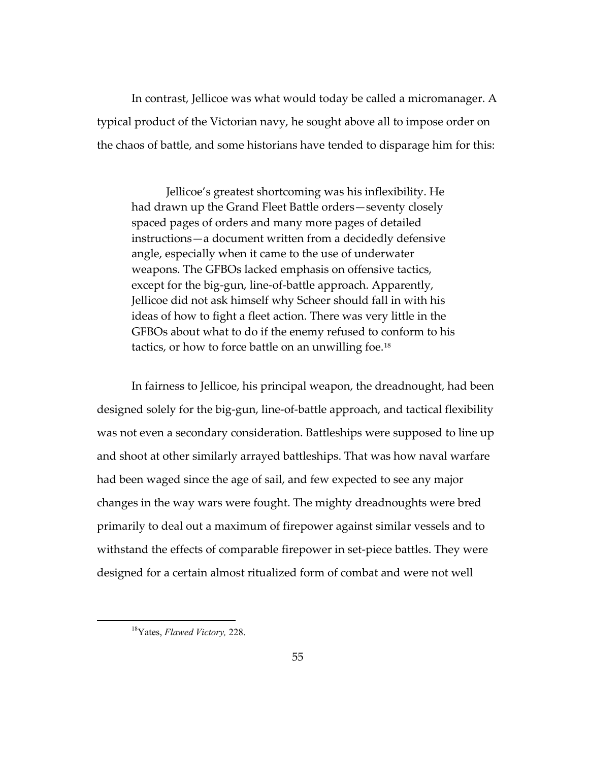In contrast, Jellicoe was what would today be called a micromanager. A typical product of the Victorian navy, he sought above all to impose order on the chaos of battle, and some historians have tended to disparage him for this:

Jellicoe's greatest shortcoming was his inflexibility. He had drawn up the Grand Fleet Battle orders—seventy closely spaced pages of orders and many more pages of detailed instructions—a document written from a decidedly defensive angle, especially when it came to the use of underwater weapons. The GFBOs lacked emphasis on offensive tactics, except for the big-gun, line-of-battle approach. Apparently, Jellicoe did not ask himself why Scheer should fall in with his ideas of how to fight a fleet action. There was very little in the GFBOs about what to do if the enemy refused to conform to his tactics, or how to force battle on an unwilling foe.[18](#page-58-0)

In fairness to Jellicoe, his principal weapon, the dreadnought, had been designed solely for the big-gun, line-of-battle approach, and tactical flexibility was not even a secondary consideration. Battleships were supposed to line up and shoot at other similarly arrayed battleships. That was how naval warfare had been waged since the age of sail, and few expected to see any major changes in the way wars were fought. The mighty dreadnoughts were bred primarily to deal out a maximum of firepower against similar vessels and to withstand the effects of comparable firepower in set-piece battles. They were designed for a certain almost ritualized form of combat and were not well

<span id="page-58-0"></span><sup>18</sup>Yates, *Flawed Victory,* 228.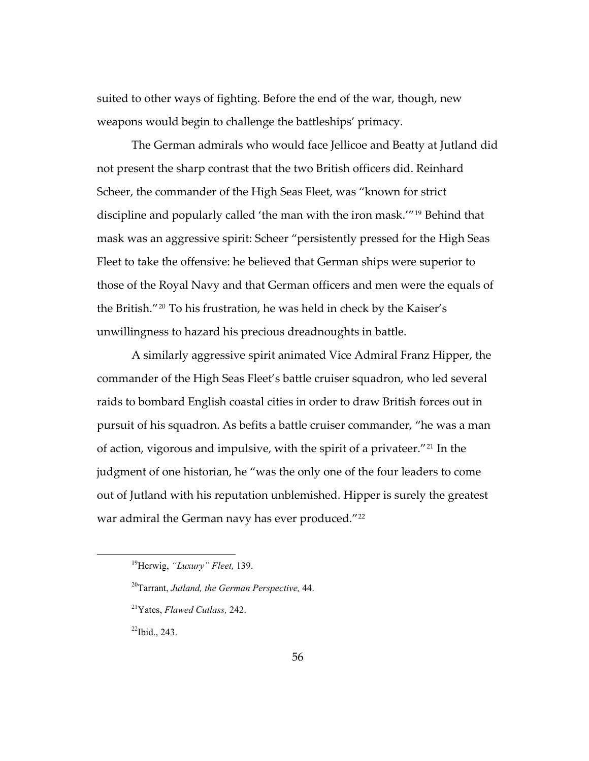suited to other ways of fighting. Before the end of the war, though, new weapons would begin to challenge the battleships' primacy.

The German admirals who would face Jellicoe and Beatty at Jutland did not present the sharp contrast that the two British officers did. Reinhard Scheer, the commander of the High Seas Fleet, was "known for strict discipline and popularly called 'the man with the iron mask.'"[19](#page-59-0) Behind that mask was an aggressive spirit: Scheer "persistently pressed for the High Seas Fleet to take the offensive: he believed that German ships were superior to those of the Royal Navy and that German officers and men were the equals of the British."[20](#page-59-1) To his frustration, he was held in check by the Kaiser's unwillingness to hazard his precious dreadnoughts in battle.

A similarly aggressive spirit animated Vice Admiral Franz Hipper, the commander of the High Seas Fleet's battle cruiser squadron, who led several raids to bombard English coastal cities in order to draw British forces out in pursuit of his squadron. As befits a battle cruiser commander, "he was a man of action, vigorous and impulsive, with the spirit of a privateer."[21](#page-59-2) In the judgment of one historian, he "was the only one of the four leaders to come out of Jutland with his reputation unblemished. Hipper is surely the greatest war admiral the German navy has ever produced."<sup>[22](#page-59-3)</sup>

<span id="page-59-3"></span> $^{22}$ Ibid., 243.

<span id="page-59-0"></span><sup>19</sup>Herwig, *"Luxury" Fleet,* 139.

<span id="page-59-1"></span><sup>20</sup>Tarrant, *Jutland, the German Perspective,* 44.

<span id="page-59-2"></span><sup>21</sup>Yates, *Flawed Cutlass,* 242.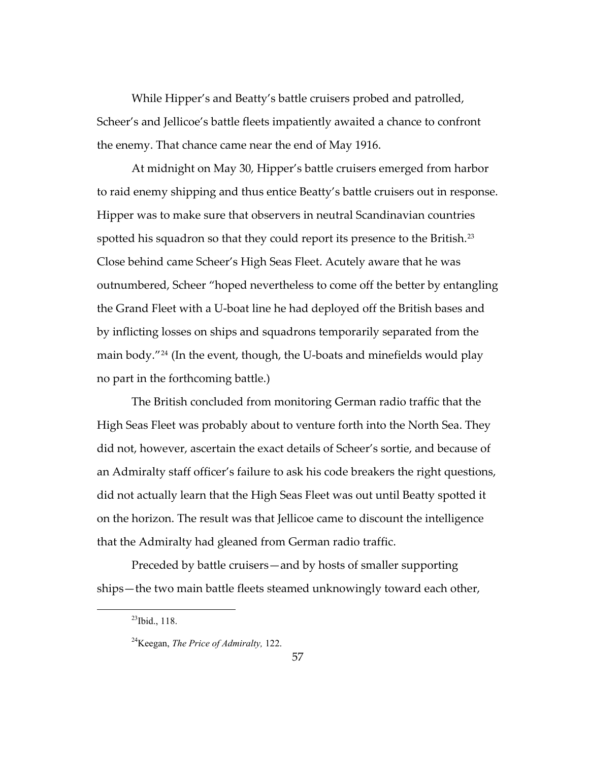While Hipper's and Beatty's battle cruisers probed and patrolled, Scheer's and Jellicoe's battle fleets impatiently awaited a chance to confront the enemy. That chance came near the end of May 1916.

no part in the forthcoming battle.) At midnight on May 30, Hipper's battle cruisers emerged from harbor to raid enemy shipping and thus entice Beatty's battle cruisers out in response. Hipper was to make sure that observers in neutral Scandinavian countries spotted his squadron so that they could report its presence to the British.<sup>[23](#page-60-0)</sup> Close behind came Scheer's High Seas Fleet. Acutely aware that he was outnumbered, Scheer "hoped nevertheless to come off the better by entangling the Grand Fleet with a U-boat line he had deployed off the British bases and by inflicting losses on ships and squadrons temporarily separated from the main body."[24](#page-60-1) (In the event, though, the U-boats and minefields would play

The British concluded from monitoring German radio traffic that the High Seas Fleet was probably about to venture forth into the North Sea. They did not, however, ascertain the exact details of Scheer's sortie, and because of an Admiralty staff officer's failure to ask his code breakers the right questions, did not actually learn that the High Seas Fleet was out until Beatty spotted it on the horizon. The result was that Jellicoe came to discount the intelligence that the Admiralty had gleaned from German radio traffic.

<span id="page-60-1"></span><span id="page-60-0"></span>Preceded by battle cruisers—and by hosts of smaller supporting ships—the two main battle fleets steamed unknowingly toward each other,

 $^{23}$ Ibid., 118.

<sup>24</sup>Keegan, *The Price of Admiralty,* 122.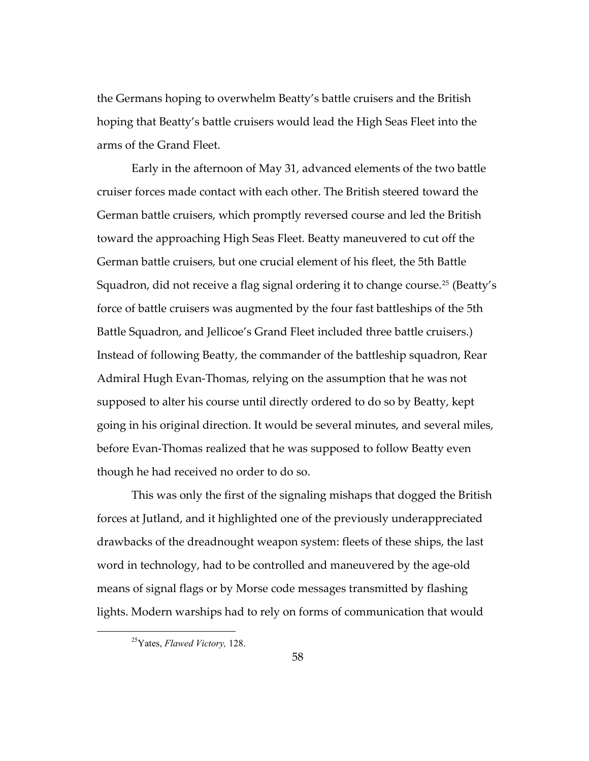the Germans hoping to overwhelm Beatty's battle cruisers and the British hoping that Beatty's battle cruisers would lead the High Seas Fleet into the arms of the Grand Fleet.

Early in the afternoon of May 31, advanced elements of the two battle cruiser forces made contact with each other. The British steered toward the German battle cruisers, which promptly reversed course and led the British toward the approaching High Seas Fleet. Beatty maneuvered to cut off the German battle cruisers, but one crucial element of his fleet, the 5th Battle Squadron, did not receive a flag signal ordering it to change course.<sup>[25](#page-61-0)</sup> (Beatty's force of battle cruisers was augmented by the four fast battleships of the 5th Battle Squadron, and Jellicoe's Grand Fleet included three battle cruisers.) Instead of following Beatty, the commander of the battleship squadron, Rear Admiral Hugh Evan-Thomas, relying on the assumption that he was not supposed to alter his course until directly ordered to do so by Beatty, kept going in his original direction. It would be several minutes, and several miles, before Evan-Thomas realized that he was supposed to follow Beatty even though he had received no order to do so.

This was only the first of the signaling mishaps that dogged the British forces at Jutland, and it highlighted one of the previously underappreciated drawbacks of the dreadnought weapon system: fleets of these ships, the last word in technology, had to be controlled and maneuvered by the age-old means of signal flags or by Morse code messages transmitted by flashing lights. Modern warships had to rely on forms of communication that would

<span id="page-61-0"></span><sup>25</sup>Yates, *Flawed Victory,* 128.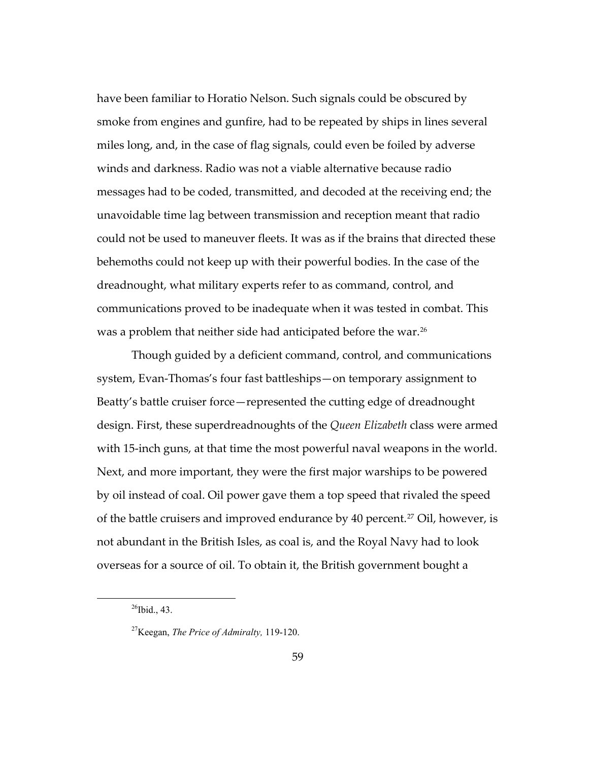have been familiar to Horatio Nelson. Such signals could be obscured by smoke from engines and gunfire, had to be repeated by ships in lines several miles long, and, in the case of flag signals, could even be foiled by adverse winds and darkness. Radio was not a viable alternative because radio messages had to be coded, transmitted, and decoded at the receiving end; the unavoidable time lag between transmission and reception meant that radio could not be used to maneuver fleets. It was as if the brains that directed these behemoths could not keep up with their powerful bodies. In the case of the dreadnought, what military experts refer to as command, control, and communications proved to be inadequate when it was tested in combat. This was a problem that neither side had anticipated before the war.<sup>[26](#page-62-0)</sup>

Though guided by a deficient command, control, and communications system, Evan-Thomas's four fast battleships—on temporary assignment to Beatty's battle cruiser force—represented the cutting edge of dreadnought design. First, these superdreadnoughts of the *Queen Elizabeth* class were armed with 15-inch guns, at that time the most powerful naval weapons in the world. Next, and more important, they were the first major warships to be powered by oil instead of coal. Oil power gave them a top speed that rivaled the speed of the battle cruisers and improved endurance by 40 percent.<sup>[27](#page-62-1)</sup> Oil, however, is not abundant in the British Isles, as coal is, and the Royal Navy had to look overseas for a source of oil. To obtain it, the British government bought a

<span id="page-62-0"></span> $^{26}$ Ibid., 43.

<span id="page-62-1"></span><sup>27</sup>Keegan, *The Price of Admiralty,* 119-120.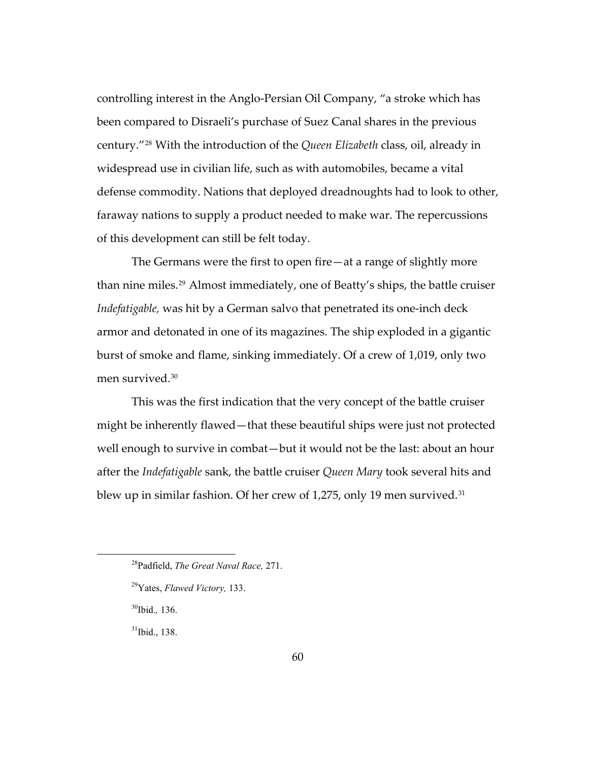controlling interest in the Anglo-Persian Oil Company, "a stroke which has been compared to Disraeli's purchase of Suez Canal shares in the previous century."[28](#page-63-0) With the introduction of the *Queen Elizabeth* class, oil, already in widespread use in civilian life, such as with automobiles, became a vital defense commodity. Nations that deployed dreadnoughts had to look to other, faraway nations to supply a product needed to make war. The repercussions of this development can still be felt today.

The Germans were the first to open fire—at a range of slightly more than nine miles.<sup>[29](#page-63-1)</sup> Almost immediately, one of Beatty's ships, the battle cruiser *Indefatigable,* was hit by a German salvo that penetrated its one-inch deck armor and detonated in one of its magazines. The ship exploded in a gigantic burst of smoke and flame, sinking immediately. Of a crew of 1,019, only two men survived.[30](#page-63-2)

This was the first indication that the very concept of the battle cruiser might be inherently flawed—that these beautiful ships were just not protected well enough to survive in combat—but it would not be the last: about an hour after the *Indefatigable* sank, the battle cruiser *Queen Mary* took several hits and blew up in similar fashion. Of her crew of 1,275, only 19 men survived.<sup>[31](#page-63-3)</sup>

<span id="page-63-0"></span><sup>28</sup>Padfield, *The Great Naval Race,* 271.

<span id="page-63-1"></span><sup>29</sup>Yates, *Flawed Victory,* 133.

<span id="page-63-2"></span><sup>30</sup>Ibid.*,* 136.

<span id="page-63-3"></span> $31$ Ibid., 138.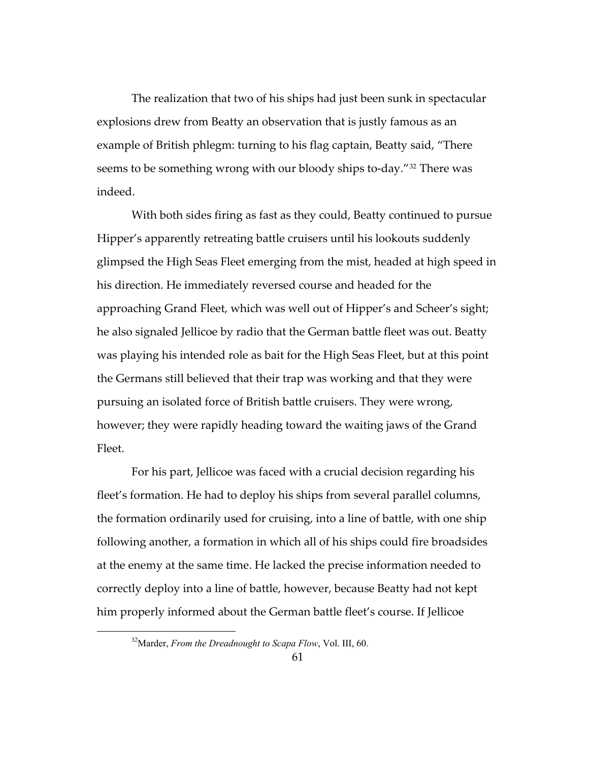The realization that two of his ships had just been sunk in spectacular explosions drew from Beatty an observation that is justly famous as an example of British phlegm: turning to his flag captain, Beatty said, "There seems to be something wrong with our bloody ships to-day."[32](#page-64-0) There was indeed.

With both sides firing as fast as they could, Beatty continued to pursue Hipper's apparently retreating battle cruisers until his lookouts suddenly glimpsed the High Seas Fleet emerging from the mist, headed at high speed in his direction. He immediately reversed course and headed for the approaching Grand Fleet, which was well out of Hipper's and Scheer's sight; he also signaled Jellicoe by radio that the German battle fleet was out. Beatty was playing his intended role as bait for the High Seas Fleet, but at this point the Germans still believed that their trap was working and that they were pursuing an isolated force of British battle cruisers. They were wrong, however; they were rapidly heading toward the waiting jaws of the Grand Fleet.

For his part, Jellicoe was faced with a crucial decision regarding his fleet's formation. He had to deploy his ships from several parallel columns, the formation ordinarily used for cruising, into a line of battle, with one ship following another, a formation in which all of his ships could fire broadsides at the enemy at the same time. He lacked the precise information needed to correctly deploy into a line of battle, however, because Beatty had not kept him properly informed about the German battle fleet's course. If Jellicoe

<span id="page-64-0"></span><sup>32</sup>Marder, *From the Dreadnought to Scapa Flow*, Vol. III, 60.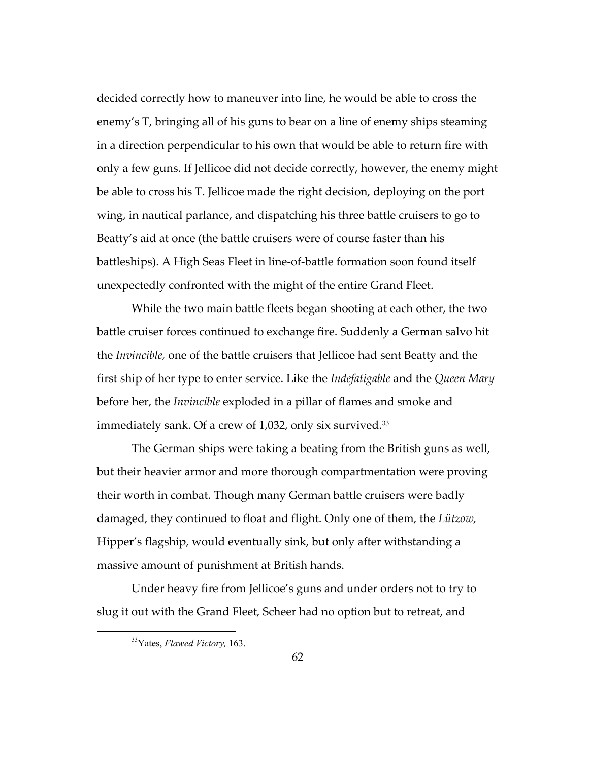decided correctly how to maneuver into line, he would be able to cross the enemy's T, bringing all of his guns to bear on a line of enemy ships steaming in a direction perpendicular to his own that would be able to return fire with only a few guns. If Jellicoe did not decide correctly, however, the enemy might be able to cross his T. Jellicoe made the right decision, deploying on the port wing, in nautical parlance, and dispatching his three battle cruisers to go to Beatty's aid at once (the battle cruisers were of course faster than his battleships). A High Seas Fleet in line-of-battle formation soon found itself unexpectedly confronted with the might of the entire Grand Fleet.

While the two main battle fleets began shooting at each other, the two battle cruiser forces continued to exchange fire. Suddenly a German salvo hit the *Invincible,* one of the battle cruisers that Jellicoe had sent Beatty and the first ship of her type to enter service. Like the *Indefatigable* and the *Queen Mary* before her, the *Invincible* exploded in a pillar of flames and smoke and immediately sank. Of a crew of 1,032, only six survived.<sup>[33](#page-65-0)</sup>

The German ships were taking a beating from the British guns as well, but their heavier armor and more thorough compartmentation were proving their worth in combat. Though many German battle cruisers were badly damaged, they continued to float and flight. Only one of them, the *Lützow,* Hipper's flagship, would eventually sink, but only after withstanding a massive amount of punishment at British hands.

<span id="page-65-0"></span>Under heavy fire from Jellicoe's guns and under orders not to try to slug it out with the Grand Fleet, Scheer had no option but to retreat, and

<sup>33</sup>Yates, *Flawed Victory,* 163.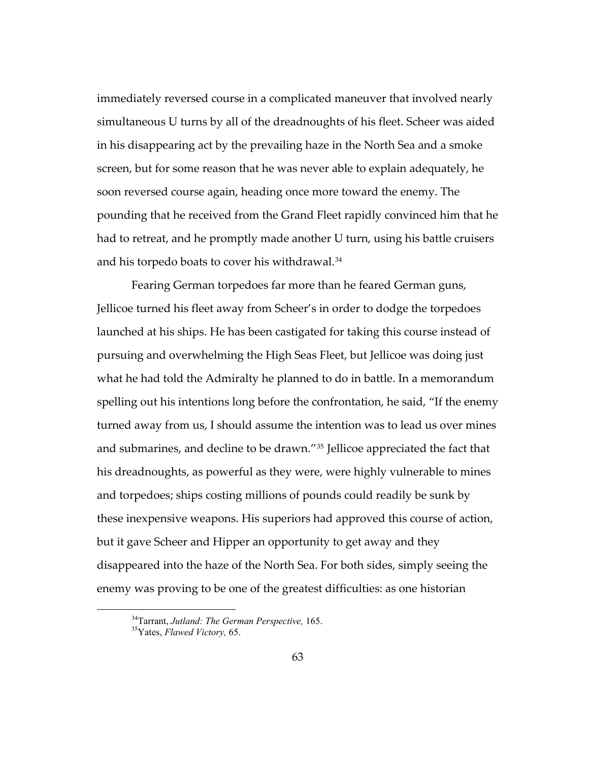immediately reversed course in a complicated maneuver that involved nearly simultaneous U turns by all of the dreadnoughts of his fleet. Scheer was aided in his disappearing act by the prevailing haze in the North Sea and a smoke screen, but for some reason that he was never able to explain adequately, he soon reversed course again, heading once more toward the enemy. The pounding that he received from the Grand Fleet rapidly convinced him that he had to retreat, and he promptly made another U turn, using his battle cruisers and his torpedo boats to cover his withdrawal.<sup>[34](#page-66-0)</sup>

Fearing German torpedoes far more than he feared German guns, Jellicoe turned his fleet away from Scheer's in order to dodge the torpedoes launched at his ships. He has been castigated for taking this course instead of pursuing and overwhelming the High Seas Fleet, but Jellicoe was doing just what he had told the Admiralty he planned to do in battle. In a memorandum spelling out his intentions long before the confrontation, he said, "If the enemy turned away from us, I should assume the intention was to lead us over mines and submarines, and decline to be drawn."[35](#page-66-1) Jellicoe appreciated the fact that his dreadnoughts, as powerful as they were, were highly vulnerable to mines and torpedoes; ships costing millions of pounds could readily be sunk by these inexpensive weapons. His superiors had approved this course of action, but it gave Scheer and Hipper an opportunity to get away and they disappeared into the haze of the North Sea. For both sides, simply seeing the enemy was proving to be one of the greatest difficulties: as one historian

<sup>34</sup>Tarrant, *Jutland: The German Perspective,* 165. 35Yates, *Flawed Victory,* 65.

<span id="page-66-1"></span><span id="page-66-0"></span>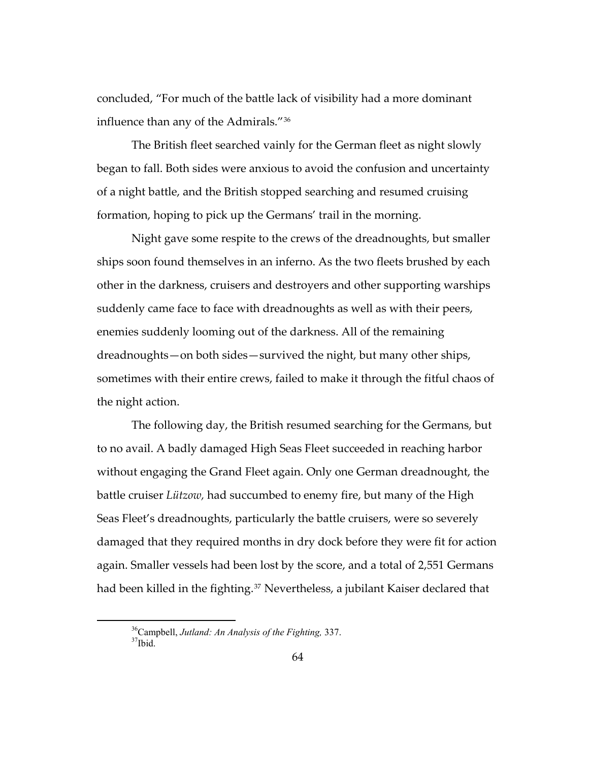concluded, "For much of the battle lack of visibility had a more dominant influence than any of the Admirals."[36](#page-67-0)

The British fleet searched vainly for the German fleet as night slowly began to fall. Both sides were anxious to avoid the confusion and uncertainty of a night battle, and the British stopped searching and resumed cruising formation, hoping to pick up the Germans' trail in the morning.

Night gave some respite to the crews of the dreadnoughts, but smaller ships soon found themselves in an inferno. As the two fleets brushed by each other in the darkness, cruisers and destroyers and other supporting warships suddenly came face to face with dreadnoughts as well as with their peers, enemies suddenly looming out of the darkness. All of the remaining dreadnoughts—on both sides—survived the night, but many other ships, sometimes with their entire crews, failed to make it through the fitful chaos of the night action.

The following day, the British resumed searching for the Germans, but to no avail. A badly damaged High Seas Fleet succeeded in reaching harbor without engaging the Grand Fleet again. Only one German dreadnought, the battle cruiser *Lützow,* had succumbed to enemy fire, but many of the High Seas Fleet's dreadnoughts, particularly the battle cruisers, were so severely damaged that they required months in dry dock before they were fit for action again. Smaller vessels had been lost by the score, and a total of 2,551 Germans had been killed in the fighting.<sup>[37](#page-67-1)</sup> Nevertheless, a jubilant Kaiser declared that

<span id="page-67-1"></span><span id="page-67-0"></span><sup>&</sup>lt;sup>36</sup>Campbell, *Jutland: An Analysis of the Fighting*, 337. <sup>37</sup>Ibid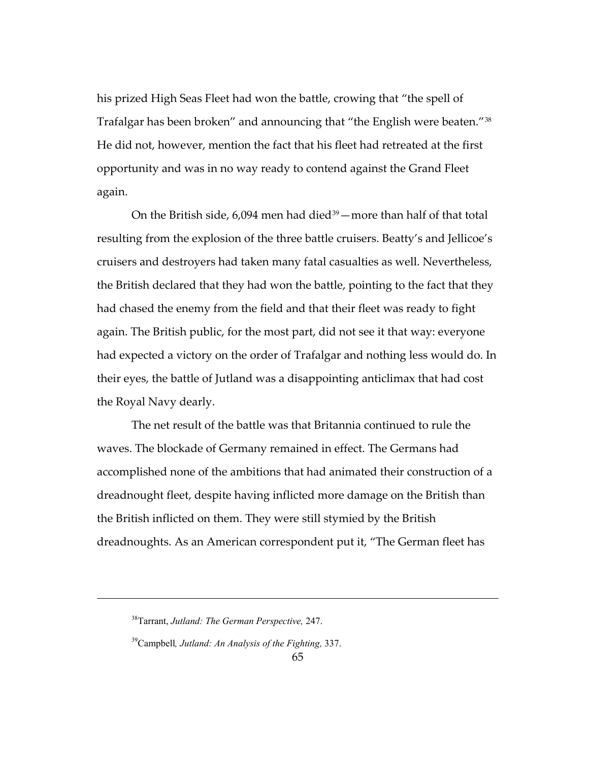his prized High Seas Fleet had won the battle, crowing that "the spell of Trafalgar has been broken" and announcing that "the English were beaten."[38](#page-68-0) He did not, however, mention the fact that his fleet had retreated at the first opportunity and was in no way ready to contend against the Grand Fleet again.

On the British side,  $6,094$  men had died<sup>[39](#page-68-1)</sup> — more than half of that total resulting from the explosion of the three battle cruisers. Beatty's and Jellicoe's cruisers and destroyers had taken many fatal casualties as well. Nevertheless, the British declared that they had won the battle, pointing to the fact that they had chased the enemy from the field and that their fleet was ready to fight again. The British public, for the most part, did not see it that way: everyone had expected a victory on the order of Trafalgar and nothing less would do. In their eyes, the battle of Jutland was a disappointing anticlimax that had cost the Royal Navy dearly.

The net result of the battle was that Britannia continued to rule the waves. The blockade of Germany remained in effect. The Germans had accomplished none of the ambitions that had animated their construction of a dreadnought fleet, despite having inflicted more damage on the British than the British inflicted on them. They were still stymied by the British dreadnoughts. As an American correspondent put it, "The German fleet has

<span id="page-68-1"></span><span id="page-68-0"></span>-

<sup>38</sup>Tarrant, *Jutland: The German Perspective,* 247.

<sup>39</sup>Campbell*, Jutland: An Analysis of the Fighting,* 337.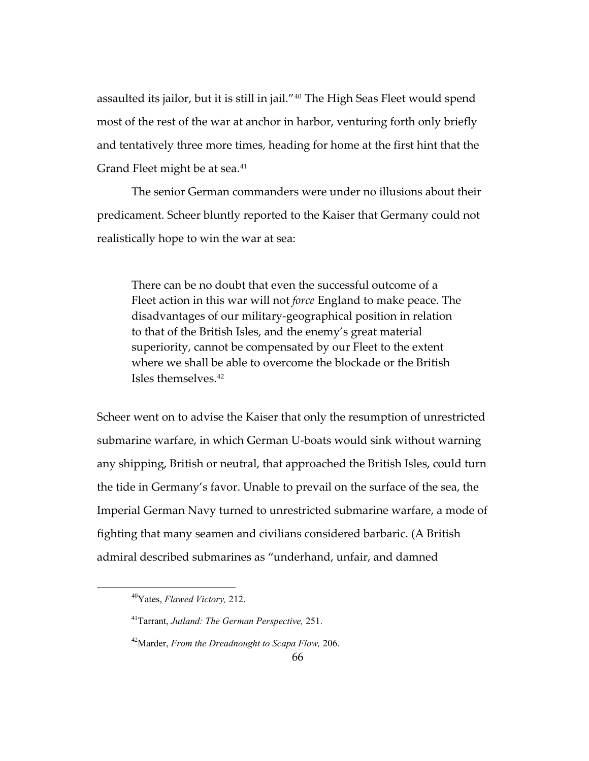assaulted its jailor, but it is still in jail."[40](#page-69-0) The High Seas Fleet would spend most of the rest of the war at anchor in harbor, venturing forth only briefly and tentatively three more times, heading for home at the first hint that the Grand Fleet might be at sea.<sup>[41](#page-69-1)</sup>

The senior German commanders were under no illusions about their predicament. Scheer bluntly reported to the Kaiser that Germany could not realistically hope to win the war at sea:

There can be no doubt that even the successful outcome of a Fleet action in this war will not *force* England to make peace. The disadvantages of our military-geographical position in relation to that of the British Isles, and the enemy's great material superiority, cannot be compensated by our Fleet to the extent where we shall be able to overcome the blockade or the British Isles themselves.[42](#page-69-2)

Scheer went on to advise the Kaiser that only the resumption of unrestricted submarine warfare, in which German U-boats would sink without warning any shipping, British or neutral, that approached the British Isles, could turn the tide in Germany's favor. Unable to prevail on the surface of the sea, the Imperial German Navy turned to unrestricted submarine warfare, a mode of fighting that many seamen and civilians considered barbaric. (A British admiral described submarines as "underhand, unfair, and damned

<span id="page-69-0"></span><sup>40</sup>Yates, *Flawed Victory,* 212.

<span id="page-69-1"></span><sup>41</sup>Tarrant, *Jutland: The German Perspective,* 251.

<span id="page-69-2"></span><sup>42</sup>Marder, *From the Dreadnought to Scapa Flow,* 206.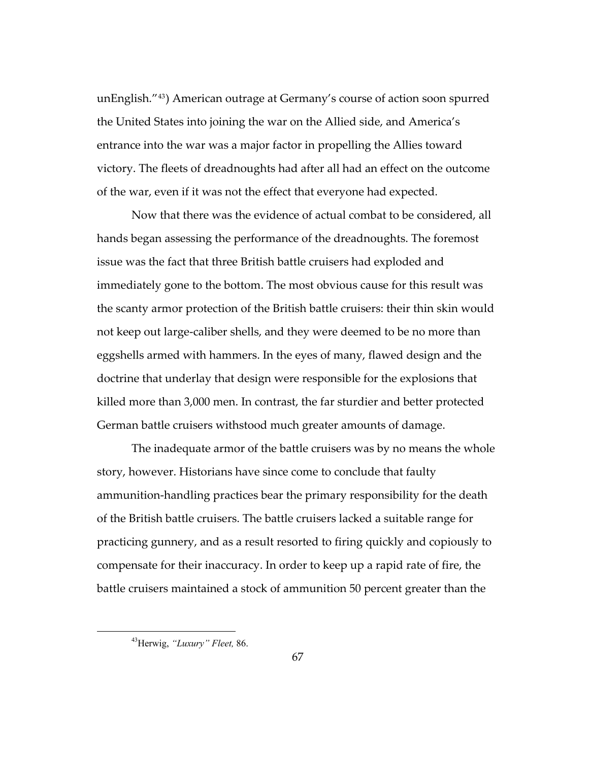unEnglish."[43](#page-70-0)) American outrage at Germany's course of action soon spurred the United States into joining the war on the Allied side, and America's entrance into the war was a major factor in propelling the Allies toward victory. The fleets of dreadnoughts had after all had an effect on the outcome of the war, even if it was not the effect that everyone had expected.

Now that there was the evidence of actual combat to be considered, all hands began assessing the performance of the dreadnoughts. The foremost issue was the fact that three British battle cruisers had exploded and immediately gone to the bottom. The most obvious cause for this result was the scanty armor protection of the British battle cruisers: their thin skin would not keep out large-caliber shells, and they were deemed to be no more than eggshells armed with hammers. In the eyes of many, flawed design and the doctrine that underlay that design were responsible for the explosions that killed more than 3,000 men. In contrast, the far sturdier and better protected German battle cruisers withstood much greater amounts of damage.

The inadequate armor of the battle cruisers was by no means the whole story, however. Historians have since come to conclude that faulty ammunition-handling practices bear the primary responsibility for the death of the British battle cruisers. The battle cruisers lacked a suitable range for practicing gunnery, and as a result resorted to firing quickly and copiously to compensate for their inaccuracy. In order to keep up a rapid rate of fire, the battle cruisers maintained a stock of ammunition 50 percent greater than the

<span id="page-70-0"></span><sup>43</sup>Herwig, *"Luxury" Fleet,* 86.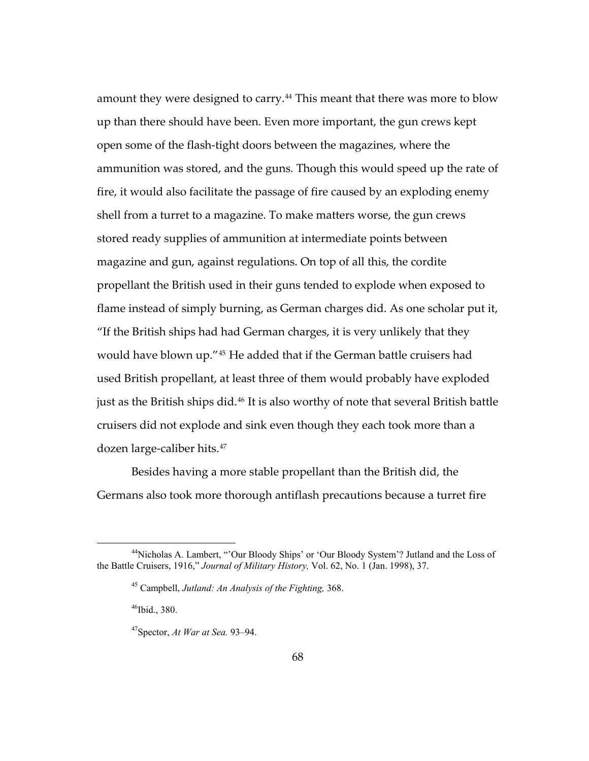amount they were designed to carry.<sup>[44](#page-71-0)</sup> This meant that there was more to blow up than there should have been. Even more important, the gun crews kept open some of the flash-tight doors between the magazines, where the ammunition was stored, and the guns. Though this would speed up the rate of fire, it would also facilitate the passage of fire caused by an exploding enemy shell from a turret to a magazine. To make matters worse, the gun crews stored ready supplies of ammunition at intermediate points between magazine and gun, against regulations. On top of all this, the cordite propellant the British used in their guns tended to explode when exposed to flame instead of simply burning, as German charges did. As one scholar put it, "If the British ships had had German charges, it is very unlikely that they would have blown up."[45](#page-71-1) He added that if the German battle cruisers had used British propellant, at least three of them would probably have exploded just as the British ships did.<sup>[46](#page-71-2)</sup> It is also worthy of note that several British battle cruisers did not explode and sink even though they each took more than a dozen large-caliber hits.[47](#page-71-3)

Besides having a more stable propellant than the British did, the Germans also took more thorough antiflash precautions because a turret fire

<span id="page-71-3"></span><span id="page-71-2"></span><span id="page-71-1"></span><span id="page-71-0"></span><sup>44</sup>Nicholas A. Lambert, "'Our Bloody Ships' or 'Our Bloody System'? Jutland and the Loss of the Battle Cruisers, 1916," *Journal of Military History,* Vol. 62, No. 1 (Jan. 1998), 37.

<sup>45</sup> Campbell, *Jutland: An Analysis of the Fighting,* 368.

 $46$ Ibid., 380.

<sup>47</sup>Spector, *At War at Sea.* 93–94.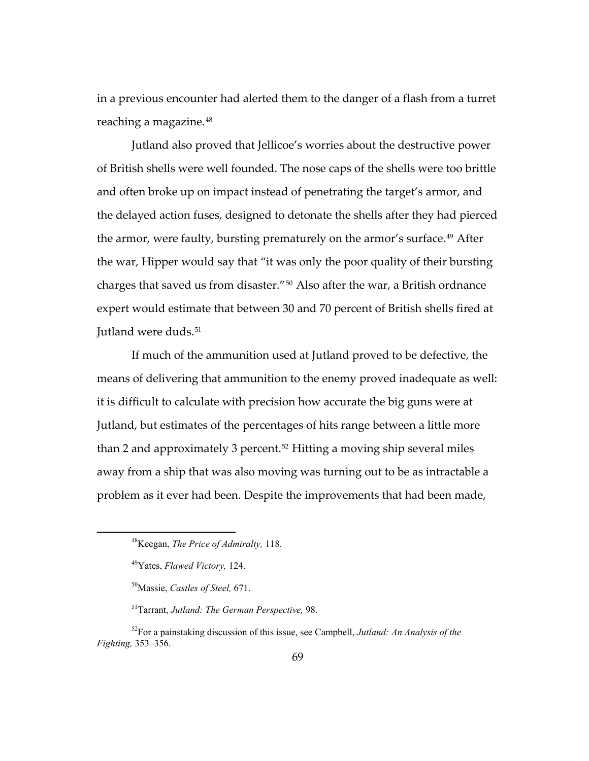in a previous encounter had alerted them to the danger of a flash from a turret reaching a magazine.[48](#page-72-0)

Jutland also proved that Jellicoe's worries about the destructive power of British shells were well founded. The nose caps of the shells were too brittle and often broke up on impact instead of penetrating the target's armor, and the delayed action fuses, designed to detonate the shells after they had pierced the armor, were faulty, bursting prematurely on the armor's surface.<sup>[49](#page-72-1)</sup> After the war, Hipper would say that "it was only the poor quality of their bursting charges that saved us from disaster."[50](#page-72-2) Also after the war, a British ordnance expert would estimate that between 30 and 70 percent of British shells fired at Jutland were duds.<sup>51</sup>

If much of the ammunition used at Jutland proved to be defective, the means of delivering that ammunition to the enemy proved inadequate as well: it is difficult to calculate with precision how accurate the big guns were at Jutland, but estimates of the percentages of hits range between a little more than 2 and approximately 3 percent.<sup>[52](#page-72-4)</sup> Hitting a moving ship several miles away from a ship that was also moving was turning out to be as intractable a problem as it ever had been. Despite the improvements that had been made,

<sup>48</sup>Keegan, *The Price of Admiralty,* 118.

<sup>49</sup>Yates, *Flawed Victory,* 124.

<sup>50</sup>Massie, *Castles of Steel,* 671.

<sup>51</sup>Tarrant, *Jutland: The German Perspective,* 98.

<span id="page-72-4"></span><span id="page-72-3"></span><span id="page-72-2"></span><span id="page-72-1"></span><span id="page-72-0"></span><sup>52</sup>For a painstaking discussion of this issue, see Campbell, *Jutland: An Analysis of the Fighting,* 353–356.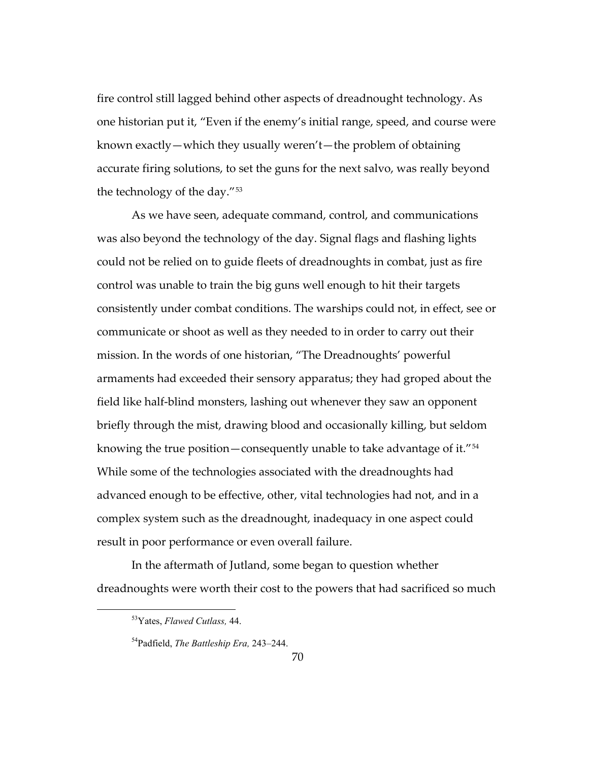fire control still lagged behind other aspects of dreadnought technology. As one historian put it, "Even if the enemy's initial range, speed, and course were known exactly—which they usually weren't—the problem of obtaining accurate firing solutions, to set the guns for the next salvo, was really beyond the technology of the day."[53](#page-73-0)

As we have seen, adequate command, control, and communications was also beyond the technology of the day. Signal flags and flashing lights could not be relied on to guide fleets of dreadnoughts in combat, just as fire control was unable to train the big guns well enough to hit their targets consistently under combat conditions. The warships could not, in effect, see or communicate or shoot as well as they needed to in order to carry out their mission. In the words of one historian, "The Dreadnoughts' powerful armaments had exceeded their sensory apparatus; they had groped about the field like half-blind monsters, lashing out whenever they saw an opponent briefly through the mist, drawing blood and occasionally killing, but seldom knowing the true position—consequently unable to take advantage of it."[54](#page-73-1) While some of the technologies associated with the dreadnoughts had advanced enough to be effective, other, vital technologies had not, and in a complex system such as the dreadnought, inadequacy in one aspect could result in poor performance or even overall failure.

<span id="page-73-1"></span><span id="page-73-0"></span>In the aftermath of Jutland, some began to question whether dreadnoughts were worth their cost to the powers that had sacrificed so much

<sup>53</sup>Yates, *Flawed Cutlass,* 44.

<sup>54</sup>Padfield, *The Battleship Era,* 243–244.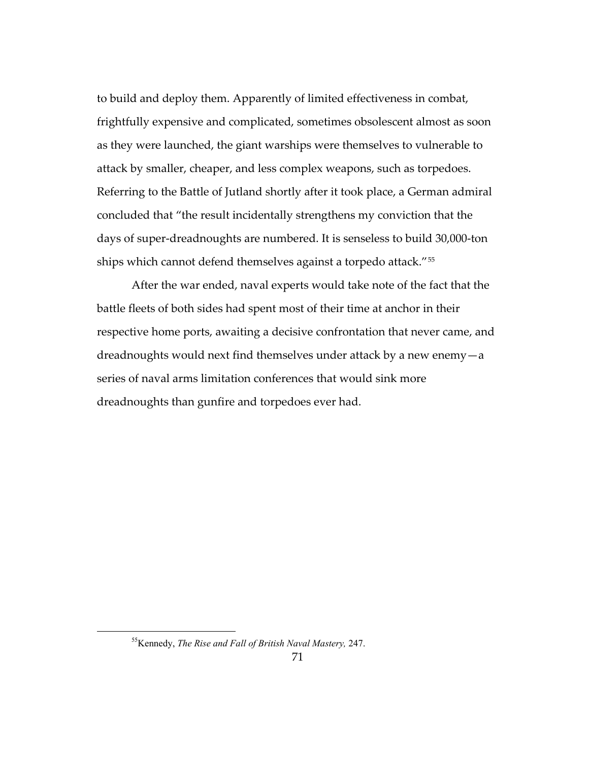to build and deploy them. Apparently of limited effectiveness in combat, frightfully expensive and complicated, sometimes obsolescent almost as soon as they were launched, the giant warships were themselves to vulnerable to attack by smaller, cheaper, and less complex weapons, such as torpedoes. Referring to the Battle of Jutland shortly after it took place, a German admiral concluded that "the result incidentally strengthens my conviction that the days of super-dreadnoughts are numbered. It is senseless to build 30,000-ton ships which cannot defend themselves against a torpedo attack."[55](#page-74-0)

After the war ended, naval experts would take note of the fact that the battle fleets of both sides had spent most of their time at anchor in their respective home ports, awaiting a decisive confrontation that never came, and dreadnoughts would next find themselves under attack by a new enemy—a series of naval arms limitation conferences that would sink more dreadnoughts than gunfire and torpedoes ever had.

<span id="page-74-0"></span><sup>55</sup>Kennedy, *The Rise and Fall of British Naval Mastery,* 247.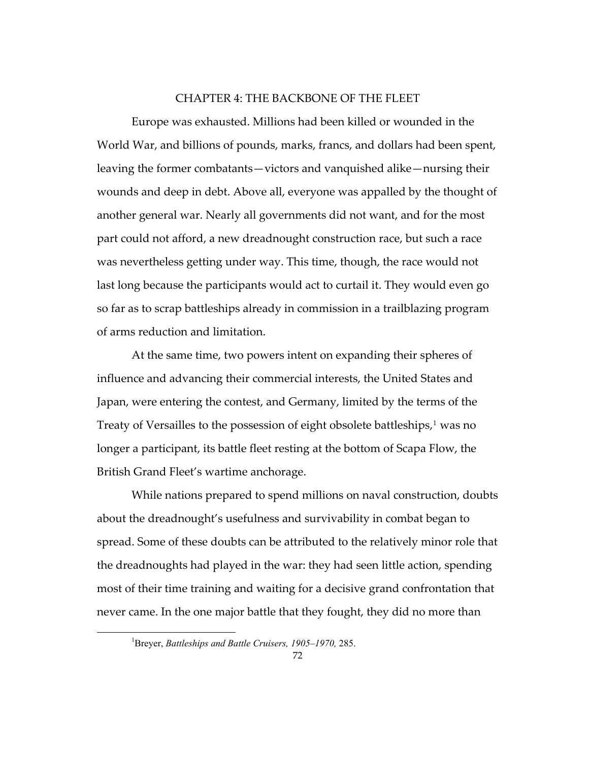## CHAPTER 4: THE BACKBONE OF THE FLEET

Europe was exhausted. Millions had been killed or wounded in the World War, and billions of pounds, marks, francs, and dollars had been spent, leaving the former combatants—victors and vanquished alike—nursing their wounds and deep in debt. Above all, everyone was appalled by the thought of another general war. Nearly all governments did not want, and for the most part could not afford, a new dreadnought construction race, but such a race was nevertheless getting under way. This time, though, the race would not last long because the participants would act to curtail it. They would even go so far as to scrap battleships already in commission in a trailblazing program of arms reduction and limitation.

At the same time, two powers intent on expanding their spheres of influence and advancing their commercial interests, the United States and Japan, were entering the contest, and Germany, limited by the terms of the Treaty of Versailles to the possession of eight obsolete battleships,<sup>[1](#page-75-0)</sup> was no longer a participant, its battle fleet resting at the bottom of Scapa Flow, the British Grand Fleet's wartime anchorage.

While nations prepared to spend millions on naval construction, doubts about the dreadnought's usefulness and survivability in combat began to spread. Some of these doubts can be attributed to the relatively minor role that the dreadnoughts had played in the war: they had seen little action, spending most of their time training and waiting for a decisive grand confrontation that never came. In the one major battle that they fought, they did no more than

<span id="page-75-0"></span><sup>1</sup> Breyer, *Battleships and Battle Cruisers, 1905–1970,* 285.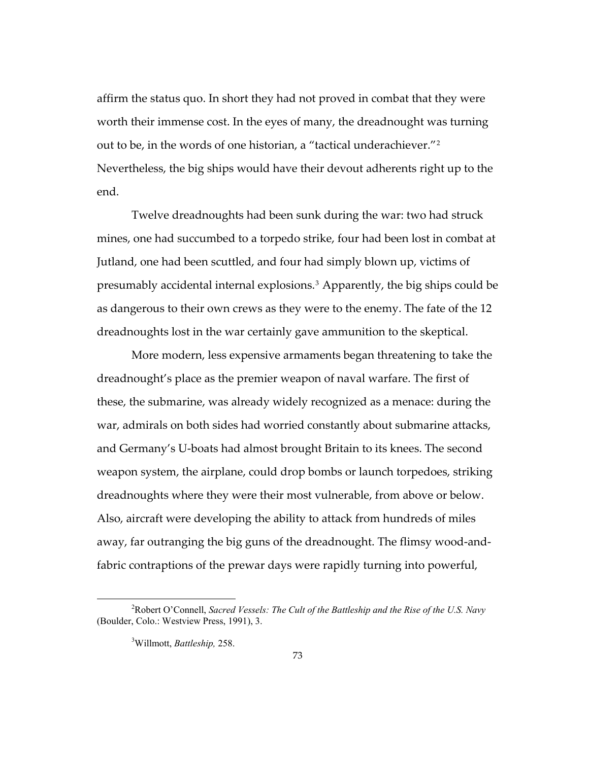affirm the status quo. In short they had not proved in combat that they were worth their immense cost. In the eyes of many, the dreadnought was turning out to be, in the words of one historian, a "tactical underachiever."[2](#page-76-0) Nevertheless, the big ships would have their devout adherents right up to the end.

Twelve dreadnoughts had been sunk during the war: two had struck mines, one had succumbed to a torpedo strike, four had been lost in combat at Jutland, one had been scuttled, and four had simply blown up, victims of presumably accidental internal explosions.[3](#page-76-1) Apparently, the big ships could be as dangerous to their own crews as they were to the enemy. The fate of the 12 dreadnoughts lost in the war certainly gave ammunition to the skeptical.

More modern, less expensive armaments began threatening to take the dreadnought's place as the premier weapon of naval warfare. The first of these, the submarine, was already widely recognized as a menace: during the war, admirals on both sides had worried constantly about submarine attacks, and Germany's U-boats had almost brought Britain to its knees. The second weapon system, the airplane, could drop bombs or launch torpedoes, striking dreadnoughts where they were their most vulnerable, from above or below. Also, aircraft were developing the ability to attack from hundreds of miles away, far outranging the big guns of the dreadnought. The flimsy wood-andfabric contraptions of the prewar days were rapidly turning into powerful,

<span id="page-76-1"></span><span id="page-76-0"></span><sup>2</sup> Robert O'Connell, *Sacred Vessels: The Cult of the Battleship and the Rise of the U.S. Navy*  (Boulder, Colo.: Westview Press, 1991), 3.

<sup>3</sup> Willmott, *Battleship,* 258.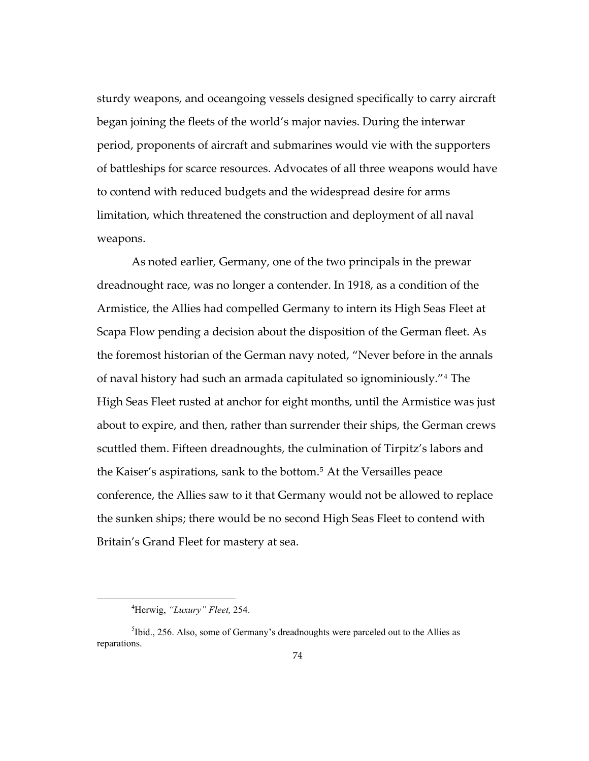sturdy weapons, and oceangoing vessels designed specifically to carry aircraft began joining the fleets of the world's major navies. During the interwar period, proponents of aircraft and submarines would vie with the supporters of battleships for scarce resources. Advocates of all three weapons would have to contend with reduced budgets and the widespread desire for arms limitation, which threatened the construction and deployment of all naval weapons.

about to expire, and then, rather than surrender their ships, the German crews As noted earlier, Germany, one of the two principals in the prewar dreadnought race, was no longer a contender. In 1918, as a condition of the Armistice, the Allies had compelled Germany to intern its High Seas Fleet at Scapa Flow pending a decision about the disposition of the German fleet. As the foremost historian of the German navy noted, "Never before in the annals of naval history had such an armada capitulated so ignominiously."[4](#page-77-0) The High Seas Fleet rusted at anchor for eight months, until the Armistice was just scuttled them. Fifteen dreadnoughts, the culmination of Tirpitz's labors and the Kaiser's aspirations, sank to the bottom.[5](#page-77-1) At the Versailles peace conference, the Allies saw to it that Germany would not be allowed to replace the sunken ships; there would be no second High Seas Fleet to contend with Britain's Grand Fleet for mastery at sea.

<sup>4</sup> Herwig, *"Luxury" Fleet,* 254.

<span id="page-77-1"></span><span id="page-77-0"></span><sup>&</sup>lt;sup>5</sup>Ibid., 256. Also, some of Germany's dreadnoughts were parceled out to the Allies as reparations.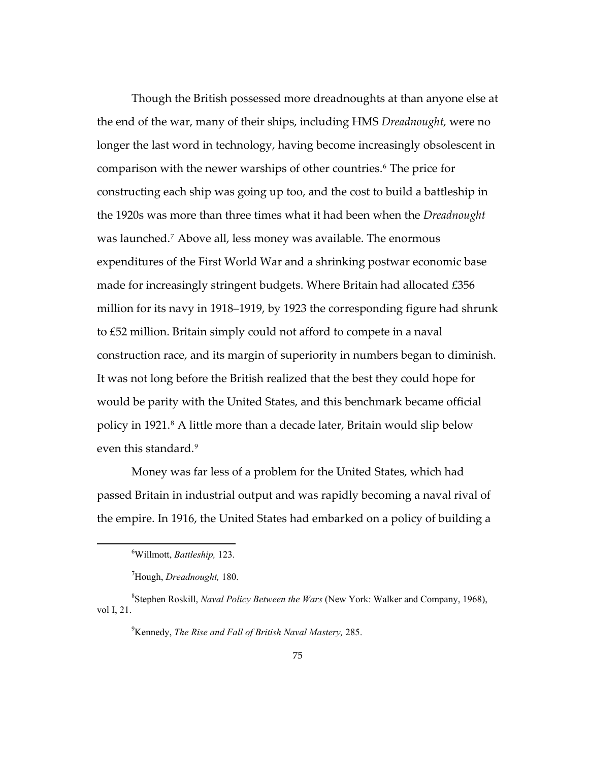Though the British possessed more dreadnoughts at than anyone else at the end of the war, many of their ships, including HMS *Dreadnought,* were no longer the last word in technology, having become increasingly obsolescent in comparison with the newer warships of other countries.<sup>[6](#page-78-0)</sup> The price for constructing each ship was going up too, and the cost to build a battleship in the 1920s was more than three times what it had been when the *Dreadnought* was launched[.7](#page-78-1) Above all, less money was available. The enormous expenditures of the First World War and a shrinking postwar economic base made for increasingly stringent budgets. Where Britain had allocated £356 million for its navy in 1918–1919, by 1923 the corresponding figure had shrunk to £52 million. Britain simply could not afford to compete in a naval construction race, and its margin of superiority in numbers began to diminish. It was not long before the British realized that the best they could hope for would be parity with the United States, and this benchmark became official policy in 1921.<sup>[8](#page-78-2)</sup> A little more than a decade later, Britain would slip below even this standard.<sup>[9](#page-78-3)</sup>

Money was far less of a problem for the United States, which had passed Britain in industrial output and was rapidly becoming a naval rival of the empire. In 1916, the United States had embarked on a policy of building a

<sup>6</sup> Willmott, *Battleship,* 123.

<sup>7</sup> Hough, *Dreadnought,* 180.

<span id="page-78-3"></span><span id="page-78-2"></span><span id="page-78-1"></span><span id="page-78-0"></span><sup>8</sup> Stephen Roskill, *Naval Policy Between the Wars* (New York: Walker and Company, 1968), vol I, 21.

<sup>9</sup> Kennedy, *The Rise and Fall of British Naval Mastery,* 285.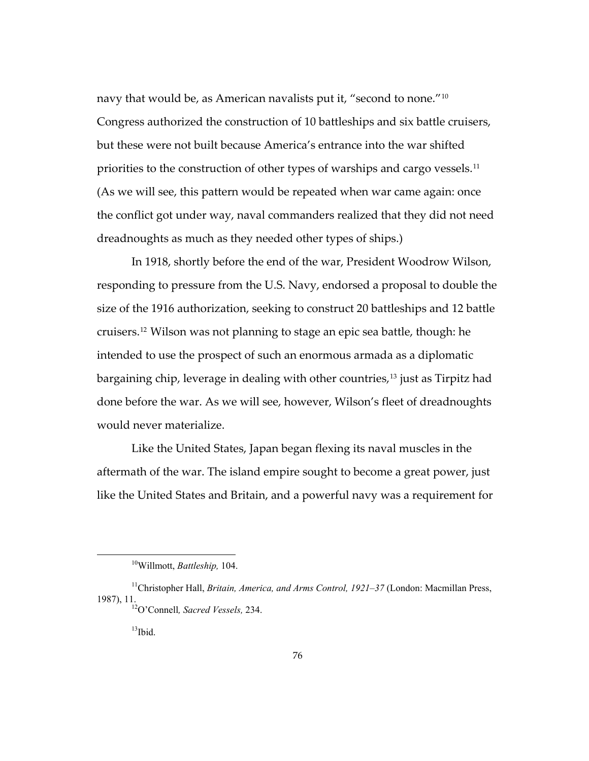dreadnoughts as much as they needed other types of ships.) navy that would be, as American navalists put it, "second to none."[10](#page-79-0) Congress authorized the construction of 10 battleships and six battle cruisers, but these were not built because America's entrance into the war shifted priorities to the construction of other types of warships and cargo vessels.<sup>[11](#page-79-1)</sup> (As we will see, this pattern would be repeated when war came again: once the conflict got under way, naval commanders realized that they did not need

In 1918, shortly before the end of the war, President Woodrow Wilson, responding to pressure from the U.S. Navy, endorsed a proposal to double the size of the 1916 authorization, seeking to construct 20 battleships and 12 battle cruisers.[12](#page-79-2) Wilson was not planning to stage an epic sea battle, though: he intended to use the prospect of such an enormous armada as a diplomatic bargaining chip, leverage in dealing with other countries,<sup>[13](#page-79-3)</sup> just as Tirpitz had done before the war. As we will see, however, Wilson's fleet of dreadnoughts would never materialize.

Like the United States, Japan began flexing its naval muscles in the aftermath of the war. The island empire sought to become a great power, just like the United States and Britain, and a powerful navy was a requirement for

<sup>10</sup>Willmott, *Battleship,* 104.

<span id="page-79-3"></span><span id="page-79-2"></span><span id="page-79-1"></span><span id="page-79-0"></span><sup>11</sup>Christopher Hall, *Britain, America, and Arms Control, 1921–37* (London: Macmillan Press, 1987), 11. 12O'Connell*, Sacred Vessels,* 234.

 $13$ Ibid.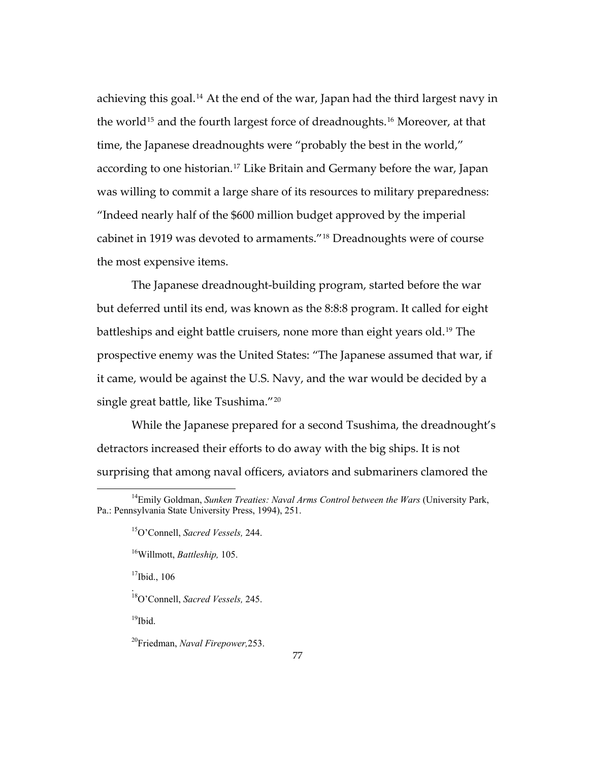achieving this goal.[14](#page-80-0) At the end of the war, Japan had the third largest navy in the world<sup>[15](#page-80-1)</sup> and the fourth largest force of dreadnoughts.<sup>[16](#page-80-2)</sup> Moreover, at that time, the Japanese dreadnoughts were "probably the best in the world," according to one historian.<sup>[17](#page-80-3)</sup> Like Britain and Germany before the war, Japan was willing to commit a large share of its resources to military preparedness: "Indeed nearly half of the \$600 million budget approved by the imperial cabinet in 1919 was devoted to armaments."[18](#page-80-4) Dreadnoughts were of course the most expensive items.

The Japanese dreadnought-building program, started before the war but deferred until its end, was known as the 8:8:8 program. It called for eight battleships and eight battle cruisers, none more than eight years old.<sup>[19](#page-80-5)</sup> The prospective enemy was the United States: "The Japanese assumed that war, if it came, would be against the U.S. Navy, and the war would be decided by a single great battle, like Tsushima."[20](#page-80-6)

While the Japanese prepared for a second Tsushima, the dreadnought's detractors increased their efforts to do away with the big ships. It is not surprising that among naval officers, aviators and submariners clamored the

 $17$ Ibid., 106

<span id="page-80-4"></span>18O'Connell, *Sacred Vessels,* 245.

<span id="page-80-5"></span> $19$ Ibid.

.

<span id="page-80-3"></span><span id="page-80-2"></span><span id="page-80-1"></span><span id="page-80-0"></span><sup>&</sup>lt;sup>14</sup>Emily Goldman, *Sunken Treaties: Naval Arms Control between the Wars* (University Park, Pa.: Pennsylvania State University Press, 1994), 251.

<sup>15</sup>O'Connell, *Sacred Vessels,* 244.

<sup>16</sup>Willmott, *Battleship,* 105.

<span id="page-80-6"></span><sup>20</sup>Friedman, *Naval Firepower,*253.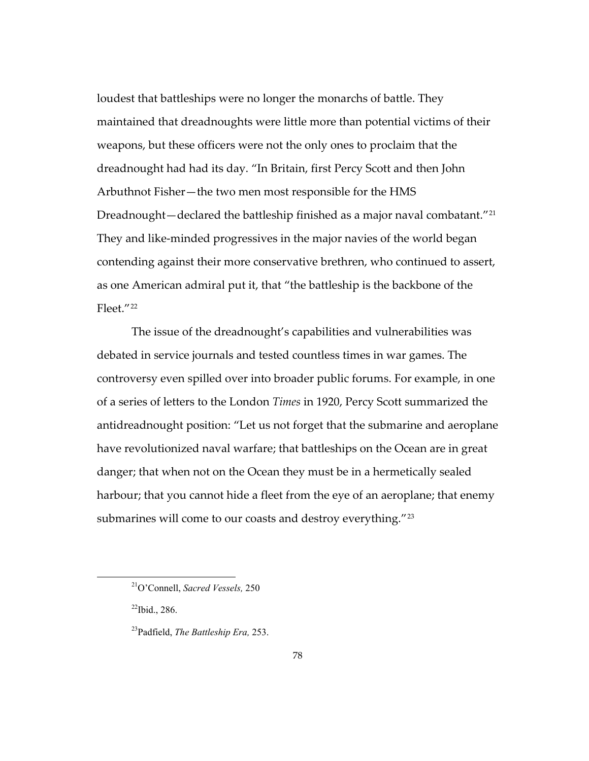loudest that battleships were no longer the monarchs of battle. They maintained that dreadnoughts were little more than potential victims of their weapons, but these officers were not the only ones to proclaim that the dreadnought had had its day. "In Britain, first Percy Scott and then John Arbuthnot Fisher—the two men most responsible for the HMS Dreadnought—declared the battleship finished as a major naval combatant."<sup>[21](#page-81-0)</sup> They and like-minded progressives in the major navies of the world began contending against their more conservative brethren, who continued to assert, as one American admiral put it, that "the battleship is the backbone of the Fleet."[22](#page-81-1)

The issue of the dreadnought's capabilities and vulnerabilities was debated in service journals and tested countless times in war games. The controversy even spilled over into broader public forums. For example, in one of a series of letters to the London *Times* in 1920, Percy Scott summarized the antidreadnought position: "Let us not forget that the submarine and aeroplane have revolutionized naval warfare; that battleships on the Ocean are in great danger; that when not on the Ocean they must be in a hermetically sealed harbour; that you cannot hide a fleet from the eye of an aeroplane; that enemy submarines will come to our coasts and destroy everything."<sup>[23](#page-81-2)</sup>

<span id="page-81-0"></span><sup>21</sup>O'Connell, *Sacred Vessels,* 250

<span id="page-81-1"></span> $^{22}$ Ibid., 286.

<span id="page-81-2"></span><sup>23</sup>Padfield, *The Battleship Era,* 253.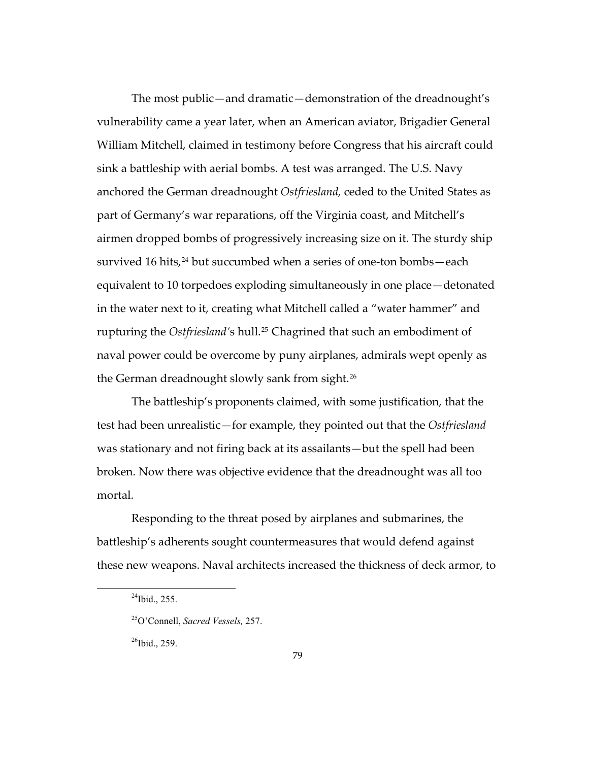The most public—and dramatic—demonstration of the dreadnought's vulnerability came a year later, when an American aviator, Brigadier General William Mitchell, claimed in testimony before Congress that his aircraft could sink a battleship with aerial bombs. A test was arranged. The U.S. Navy anchored the German dreadnought *Ostfriesland,* ceded to the United States as part of Germany's war reparations, off the Virginia coast, and Mitchell's airmen dropped bombs of progressively increasing size on it. The sturdy ship survived 16 hits, $24$  but succumbed when a series of one-ton bombs—each equivalent to 10 torpedoes exploding simultaneously in one place—detonated in the water next to it, creating what Mitchell called a "water hammer" and rupturing the *Ostfriesland'*s hull.[25](#page-82-1) Chagrined that such an embodiment of naval power could be overcome by puny airplanes, admirals wept openly as the German dreadnought slowly sank from sight.[26](#page-82-2)

The battleship's proponents claimed, with some justification, that the test had been unrealistic—for example, they pointed out that the *Ostfriesland*  was stationary and not firing back at its assailants—but the spell had been broken. Now there was objective evidence that the dreadnought was all too mortal.

Responding to the threat posed by airplanes and submarines, the battleship's adherents sought countermeasures that would defend against these new weapons. Naval architects increased the thickness of deck armor, to

<span id="page-82-2"></span><span id="page-82-1"></span><span id="page-82-0"></span> $\overline{a}$ 

 $^{26}$ Ibid., 259.

 $^{24}$ Ibid., 255.

<sup>25</sup>O'Connell, *Sacred Vessels,* 257.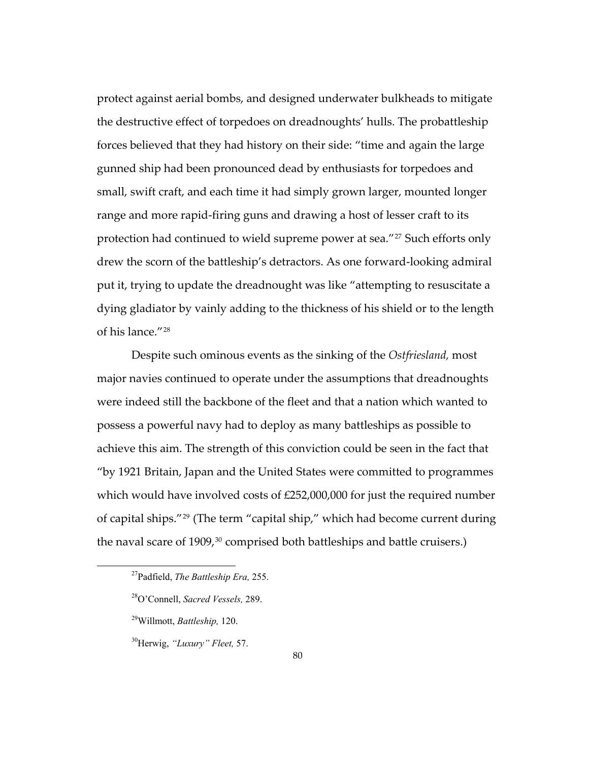protect against aerial bombs, and designed underwater bulkheads to mitigate the destructive effect of torpedoes on dreadnoughts' hulls. The probattleship forces believed that they had history on their side: "time and again the large gunned ship had been pronounced dead by enthusiasts for torpedoes and small, swift craft, and each time it had simply grown larger, mounted longer range and more rapid-firing guns and drawing a host of lesser craft to its protection had continued to wield supreme power at sea."<sup>[27](#page-83-0)</sup> Such efforts only drew the scorn of the battleship's detractors. As one forward-looking admiral put it, trying to update the dreadnought was like "attempting to resuscitate a dying gladiator by vainly adding to the thickness of his shield or to the length of his lance."[28](#page-83-1)

Despite such ominous events as the sinking of the *Ostfriesland,* most major navies continued to operate under the assumptions that dreadnoughts were indeed still the backbone of the fleet and that a nation which wanted to possess a powerful navy had to deploy as many battleships as possible to achieve this aim. The strength of this conviction could be seen in the fact that "by 1921 Britain, Japan and the United States were committed to programmes which would have involved costs of £252,000,000 for just the required number of capital ships."[29](#page-83-2) (The term "capital ship," which had become current during the naval scare of  $1909<sup>30</sup>$  $1909<sup>30</sup>$  $1909<sup>30</sup>$  comprised both battleships and battle cruisers.)

<span id="page-83-0"></span><sup>27</sup>Padfield, *The Battleship Era,* 255.

<span id="page-83-1"></span><sup>28</sup>O'Connell, *Sacred Vessels,* 289.

<span id="page-83-2"></span><sup>29</sup>Willmott, *Battleship,* 120.

<span id="page-83-3"></span><sup>30</sup>Herwig, *"Luxury" Fleet,* 57.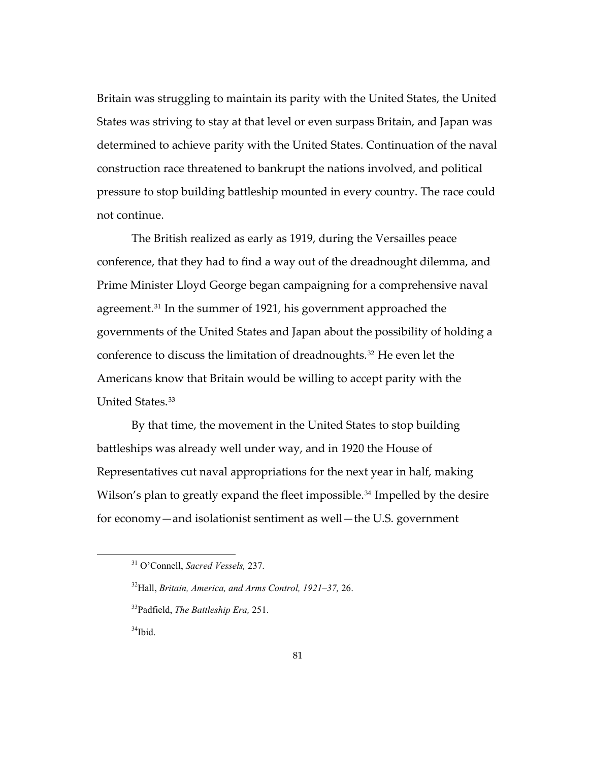Britain was struggling to maintain its parity with the United States, the United States was striving to stay at that level or even surpass Britain, and Japan was determined to achieve parity with the United States. Continuation of the naval construction race threatened to bankrupt the nations involved, and political pressure to stop building battleship mounted in every country. The race could not continue.

The British realized as early as 1919, during the Versailles peace conference, that they had to find a way out of the dreadnought dilemma, and Prime Minister Lloyd George began campaigning for a comprehensive naval agreement.[31](#page-84-0) In the summer of 1921, his government approached the governments of the United States and Japan about the possibility of holding a conference to discuss the limitation of dreadnoughts.<sup>[32](#page-84-1)</sup> He even let the Americans know that Britain would be willing to accept parity with the United States.<sup>[33](#page-84-2)</sup>

By that time, the movement in the United States to stop building battleships was already well under way, and in 1920 the House of Representatives cut naval appropriations for the next year in half, making Wilson's plan to greatly expand the fleet impossible.<sup>[34](#page-84-3)</sup> Impelled by the desire for economy—and isolationist sentiment as well—the U.S. government

<span id="page-84-3"></span>34Ibid.

<span id="page-84-0"></span><sup>31</sup> O'Connell, *Sacred Vessels,* 237.

<span id="page-84-1"></span><sup>32</sup>Hall, *Britain, America, and Arms Control, 1921–37,* 26.

<span id="page-84-2"></span><sup>33</sup>Padfield, *The Battleship Era,* 251.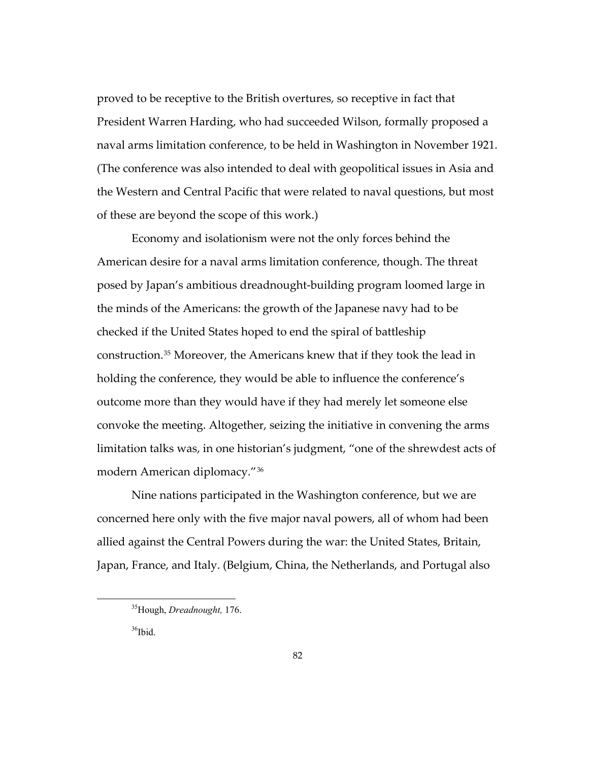proved to be receptive to the British overtures, so receptive in fact that President Warren Harding, who had succeeded Wilson, formally proposed a naval arms limitation conference, to be held in Washington in November 1921. (The conference was also intended to deal with geopolitical issues in Asia and the Western and Central Pacific that were related to naval questions, but most of these are beyond the scope of this work.)

Economy and isolationism were not the only forces behind the American desire for a naval arms limitation conference, though. The threat posed by Japan's ambitious dreadnought-building program loomed large in the minds of the Americans: the growth of the Japanese navy had to be checked if the United States hoped to end the spiral of battleship construction.[35](#page-85-0) Moreover, the Americans knew that if they took the lead in holding the conference, they would be able to influence the conference's outcome more than they would have if they had merely let someone else convoke the meeting. Altogether, seizing the initiative in convening the arms limitation talks was, in one historian's judgment, "one of the shrewdest acts of modern American diplomacy."[36](#page-85-1)

Nine nations participated in the Washington conference, but we are concerned here only with the five major naval powers, all of whom had been allied against the Central Powers during the war: the United States, Britain, Japan, France, and Italy. (Belgium, China, the Netherlands, and Portugal also

<span id="page-85-0"></span><sup>35</sup>Hough, *Dreadnought,* 176.

<span id="page-85-1"></span><sup>&</sup>lt;sup>36</sup>Ibid.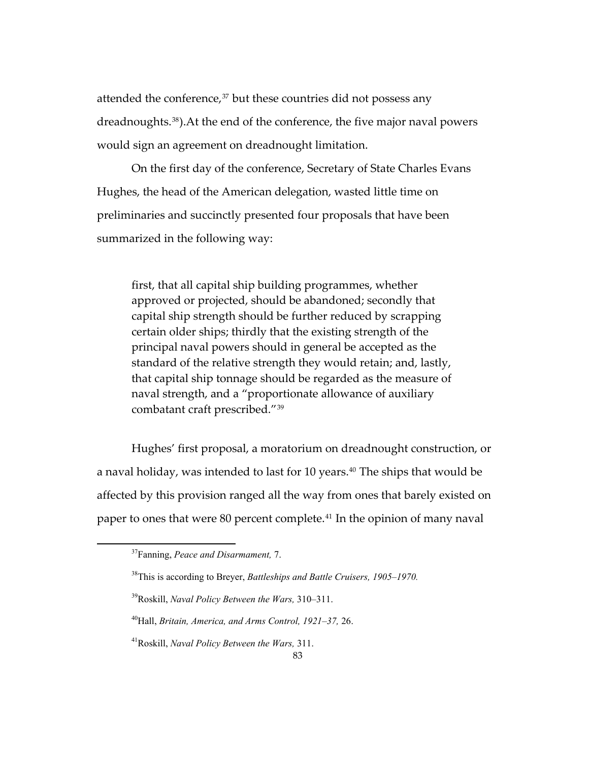attended the conference,<sup>[37](#page-86-0)</sup> but these countries did not possess any dreadnoughts.[38](#page-86-1)).At the end of the conference, the five major naval powers would sign an agreement on dreadnought limitation.

On the first day of the conference, Secretary of State Charles Evans Hughes, the head of the American delegation, wasted little time on preliminaries and succinctly presented four proposals that have been summarized in the following way:

first, that all capital ship building programmes, whether approved or projected, should be abandoned; secondly that capital ship strength should be further reduced by scrapping certain older ships; thirdly that the existing strength of the principal naval powers should in general be accepted as the standard of the relative strength they would retain; and, lastly, that capital ship tonnage should be regarded as the measure of naval strength, and a "proportionate allowance of auxiliary combatant craft prescribed."[39](#page-86-2)

Hughes' first proposal, a moratorium on dreadnought construction, or a naval holiday, was intended to last for 10 years.<sup>[40](#page-86-3)</sup> The ships that would be affected by this provision ranged all the way from ones that barely existed on paper to ones that were 80 percent complete.[41](#page-86-4) In the opinion of many naval

<span id="page-86-0"></span><sup>37</sup>Fanning, *Peace and Disarmament,* 7.

<span id="page-86-1"></span><sup>38</sup>This is according to Breyer, *Battleships and Battle Cruisers, 1905–1970.* 

<span id="page-86-2"></span><sup>39</sup>Roskill, *Naval Policy Between the Wars,* 310–311.

<span id="page-86-3"></span><sup>40</sup>Hall, *Britain, America, and Arms Control, 1921–37,* 26.

<span id="page-86-4"></span><sup>41</sup>Roskill, *Naval Policy Between the Wars,* 311.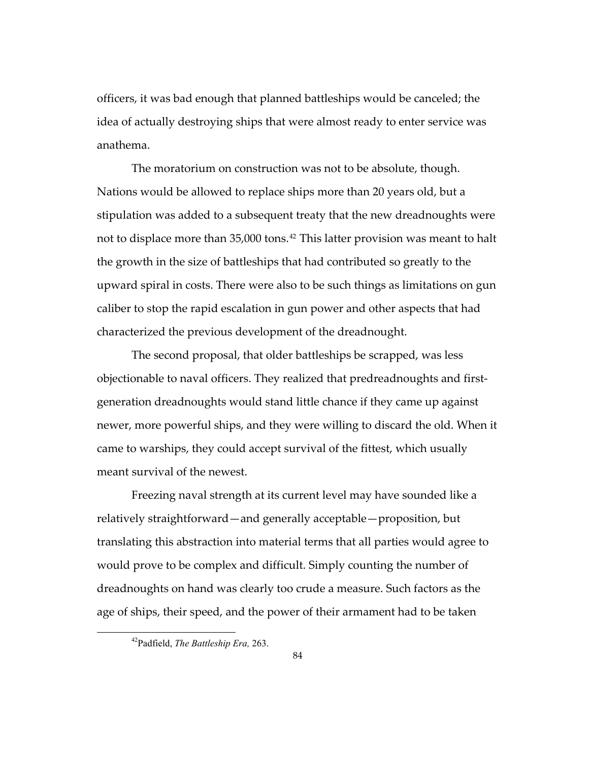officers, it was bad enough that planned battleships would be canceled; the idea of actually destroying ships that were almost ready to enter service was anathema.

The moratorium on construction was not to be absolute, though. Nations would be allowed to replace ships more than 20 years old, but a stipulation was added to a subsequent treaty that the new dreadnoughts were not to displace more than 35,000 tons.<sup>[42](#page-87-0)</sup> This latter provision was meant to halt the growth in the size of battleships that had contributed so greatly to the upward spiral in costs. There were also to be such things as limitations on gun caliber to stop the rapid escalation in gun power and other aspects that had characterized the previous development of the dreadnought.

The second proposal, that older battleships be scrapped, was less objectionable to naval officers. They realized that predreadnoughts and firstgeneration dreadnoughts would stand little chance if they came up against newer, more powerful ships, and they were willing to discard the old. When it came to warships, they could accept survival of the fittest, which usually meant survival of the newest.

Freezing naval strength at its current level may have sounded like a relatively straightforward—and generally acceptable—proposition, but translating this abstraction into material terms that all parties would agree to would prove to be complex and difficult. Simply counting the number of dreadnoughts on hand was clearly too crude a measure. Such factors as the age of ships, their speed, and the power of their armament had to be taken

<span id="page-87-0"></span><sup>42</sup>Padfield, *The Battleship Era,* 263.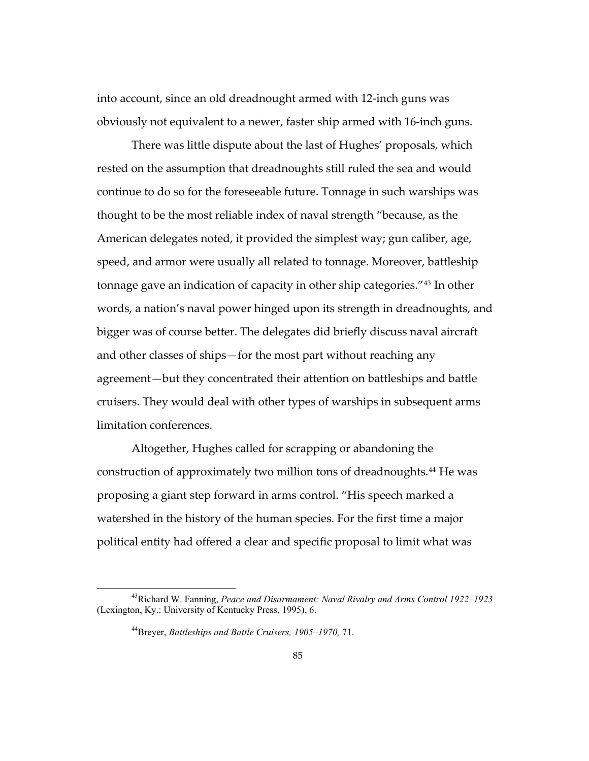into account, since an old dreadnought armed with 12-inch guns was obviously not equivalent to a newer, faster ship armed with 16-inch guns.

There was little dispute about the last of Hughes' proposals, which rested on the assumption that dreadnoughts still ruled the sea and would continue to do so for the foreseeable future. Tonnage in such warships was thought to be the most reliable index of naval strength "because, as the American delegates noted, it provided the simplest way; gun caliber, age, speed, and armor were usually all related to tonnage. Moreover, battleship tonnage gave an indication of capacity in other ship categories."[43](#page-88-0) In other words, a nation's naval power hinged upon its strength in dreadnoughts, and bigger was of course better. The delegates did briefly discuss naval aircraft and other classes of ships—for the most part without reaching any agreement—but they concentrated their attention on battleships and battle cruisers. They would deal with other types of warships in subsequent arms limitation conferences.

Altogether, Hughes called for scrapping or abandoning the construction of approximately two million tons of dreadnoughts.[44](#page-88-1) He was proposing a giant step forward in arms control. "His speech marked a watershed in the history of the human species. For the first time a major political entity had offered a clear and specific proposal to limit what was

<span id="page-88-1"></span><span id="page-88-0"></span><sup>43</sup>Richard W. Fanning, *Peace and Disarmament: Naval Rivalry and Arms Control 1922–1923* (Lexington, Ky.: University of Kentucky Press, 1995), 6.

<sup>44</sup>Breyer, *Battleships and Battle Cruisers, 1905–1970,* 71.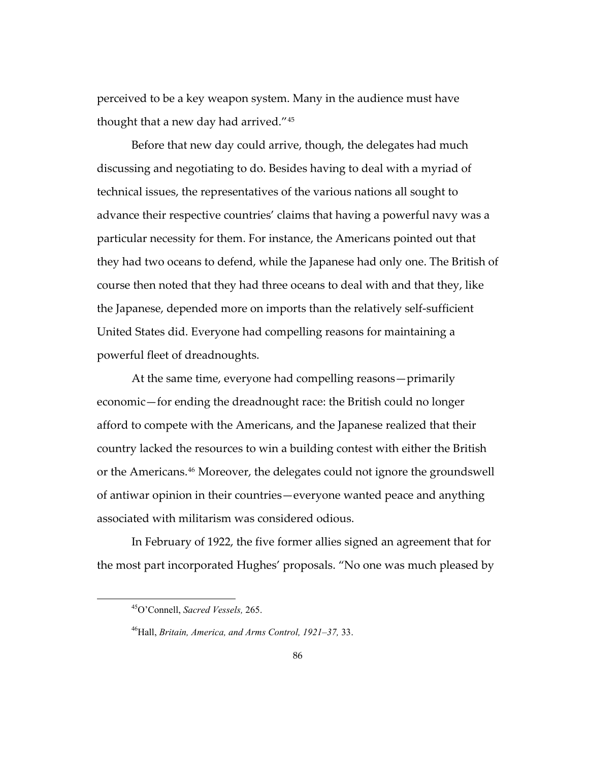perceived to be a key weapon system. Many in the audience must have thought that a new day had arrived."[45](#page-89-0)

Before that new day could arrive, though, the delegates had much discussing and negotiating to do. Besides having to deal with a myriad of technical issues, the representatives of the various nations all sought to advance their respective countries' claims that having a powerful navy was a particular necessity for them. For instance, the Americans pointed out that they had two oceans to defend, while the Japanese had only one. The British of course then noted that they had three oceans to deal with and that they, like the Japanese, depended more on imports than the relatively self-sufficient United States did. Everyone had compelling reasons for maintaining a powerful fleet of dreadnoughts.

At the same time, everyone had compelling reasons—primarily economic—for ending the dreadnought race: the British could no longer afford to compete with the Americans, and the Japanese realized that their country lacked the resources to win a building contest with either the British or the Americans.[46](#page-89-1) Moreover, the delegates could not ignore the groundswell of antiwar opinion in their countries—everyone wanted peace and anything associated with militarism was considered odious.

<span id="page-89-0"></span>In February of 1922, the five former allies signed an agreement that for the most part incorporated Hughes' proposals. "No one was much pleased by

<sup>45</sup>O'Connell, *Sacred Vessels,* 265.

<span id="page-89-1"></span><sup>46</sup>Hall, *Britain, America, and Arms Control, 1921–37,* 33.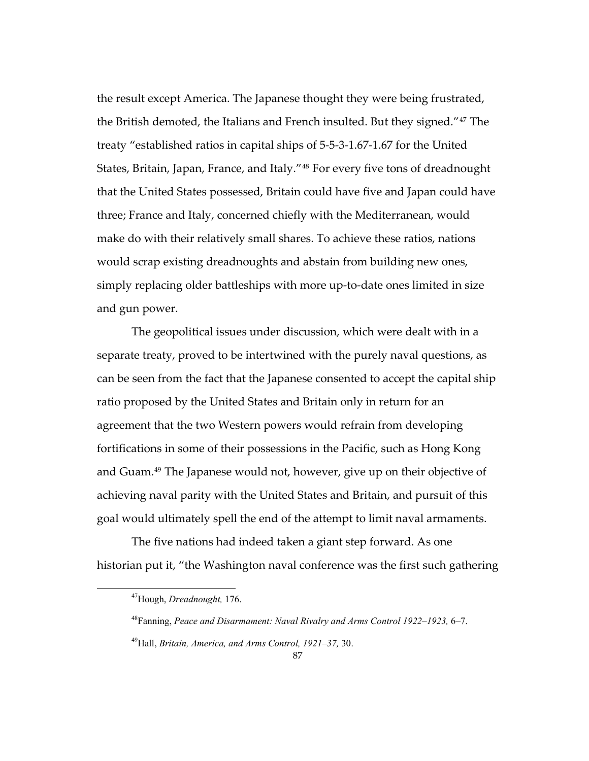the result except America. The Japanese thought they were being frustrated, the British demoted, the Italians and French insulted. But they signed."[47](#page-90-0) The treaty "established ratios in capital ships of 5-5-3-1.67-1.67 for the United States, Britain, Japan, France, and Italy."[48](#page-90-1) For every five tons of dreadnought that the United States possessed, Britain could have five and Japan could have three; France and Italy, concerned chiefly with the Mediterranean, would make do with their relatively small shares. To achieve these ratios, nations would scrap existing dreadnoughts and abstain from building new ones, simply replacing older battleships with more up-to-date ones limited in size and gun power.

The geopolitical issues under discussion, which were dealt with in a separate treaty, proved to be intertwined with the purely naval questions, as can be seen from the fact that the Japanese consented to accept the capital ship ratio proposed by the United States and Britain only in return for an agreement that the two Western powers would refrain from developing fortifications in some of their possessions in the Pacific, such as Hong Kong and Guam.[49](#page-90-2) The Japanese would not, however, give up on their objective of achieving naval parity with the United States and Britain, and pursuit of this goal would ultimately spell the end of the attempt to limit naval armaments.

<span id="page-90-1"></span><span id="page-90-0"></span>The five nations had indeed taken a giant step forward. As one historian put it, "the Washington naval conference was the first such gathering

<sup>47</sup>Hough, *Dreadnought,* 176.

<sup>48</sup>Fanning, *Peace and Disarmament: Naval Rivalry and Arms Control 1922–1923,* 6–7.

<span id="page-90-2"></span><sup>49</sup>Hall, *Britain, America, and Arms Control, 1921–37,* 30.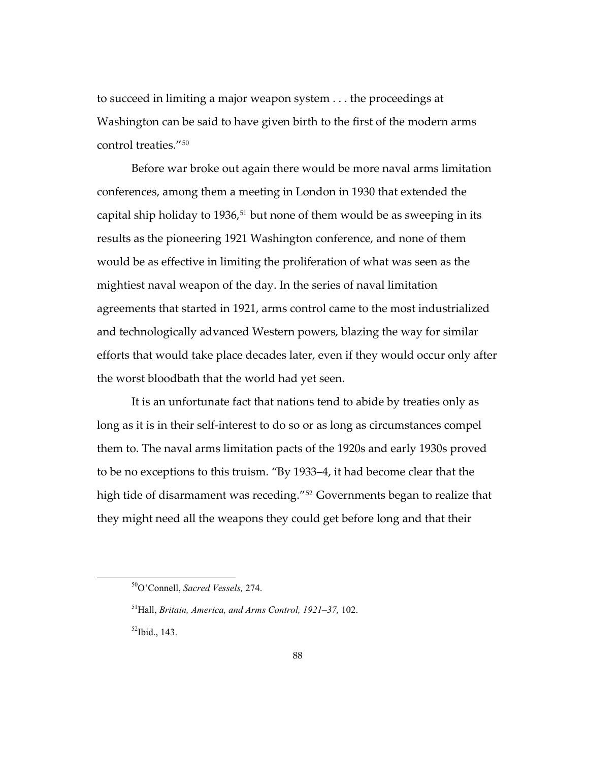to succeed in limiting a major weapon system . . . the proceedings at Washington can be said to have given birth to the first of the modern arms control treaties<sup>"[50](#page-91-0)</sup>

Before war broke out again there would be more naval arms limitation conferences, among them a meeting in London in 1930 that extended the capital ship holiday to 1936, $51$  but none of them would be as sweeping in its results as the pioneering 1921 Washington conference, and none of them would be as effective in limiting the proliferation of what was seen as the mightiest naval weapon of the day. In the series of naval limitation agreements that started in 1921, arms control came to the most industrialized and technologically advanced Western powers, blazing the way for similar efforts that would take place decades later, even if they would occur only after the worst bloodbath that the world had yet seen.

It is an unfortunate fact that nations tend to abide by treaties only as long as it is in their self-interest to do so or as long as circumstances compel them to. The naval arms limitation pacts of the 1920s and early 1930s proved to be no exceptions to this truism. "By 1933–4, it had become clear that the high tide of disarmament was receding."<sup>[52](#page-91-2)</sup> Governments began to realize that they might need all the weapons they could get before long and that their

<span id="page-91-0"></span><sup>50</sup>O'Connell, *Sacred Vessels,* 274.

<span id="page-91-1"></span><sup>51</sup>Hall, *Britain, America, and Arms Control, 1921–37,* 102.

<span id="page-91-2"></span> $^{52}$ Ibid., 143.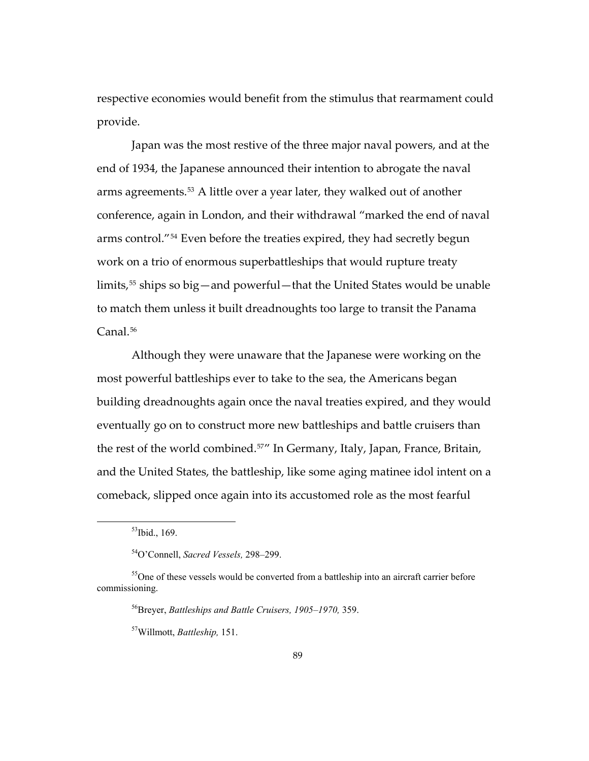respective economies would benefit from the stimulus that rearmament could provide.

Japan was the most restive of the three major naval powers, and at the end of 1934, the Japanese announced their intention to abrogate the naval arms agreements.[53](#page-92-0) A little over a year later, they walked out of another conference, again in London, and their withdrawal "marked the end of naval arms control."[54](#page-92-1) Even before the treaties expired, they had secretly begun work on a trio of enormous superbattleships that would rupture treaty limits,<sup>[55](#page-92-2)</sup> ships so big—and powerful—that the United States would be unable to match them unless it built dreadnoughts too large to transit the Panama Canal.<sup>[56](#page-92-3)</sup>

Although they were unaware that the Japanese were working on the most powerful battleships ever to take to the sea, the Americans began building dreadnoughts again once the naval treaties expired, and they would eventually go on to construct more new battleships and battle cruisers than the rest of the world combined.[57](#page-92-4)" In Germany, Italy, Japan, France, Britain, and the United States, the battleship, like some aging matinee idol intent on a comeback, slipped once again into its accustomed role as the most fearful

 $53$ Ibid., 169.

<sup>54</sup>O'Connell, *Sacred Vessels,* 298–299.

<span id="page-92-4"></span><span id="page-92-3"></span><span id="page-92-2"></span><span id="page-92-1"></span><span id="page-92-0"></span><sup>&</sup>lt;sup>55</sup>One of these vessels would be converted from a battleship into an aircraft carrier before commissioning.

<sup>56</sup>Breyer, *Battleships and Battle Cruisers, 1905–1970,* 359.

<sup>57</sup>Willmott, *Battleship,* 151.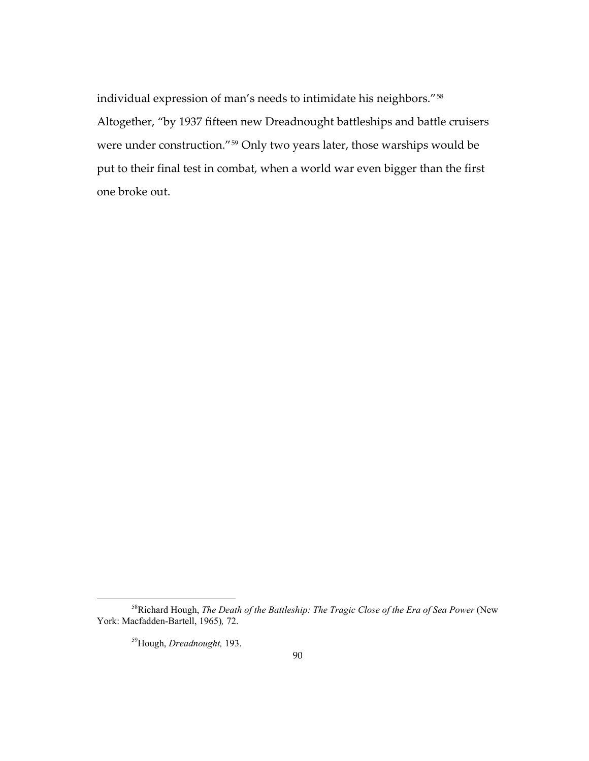individual expression of man's needs to intimidate his neighbors."[58](#page-93-0) Altogether, "by 1937 fifteen new Dreadnought battleships and battle cruisers were under construction."[59](#page-93-1) Only two years later, those warships would be put to their final test in combat, when a world war even bigger than the first one broke out.

59Hough, *Dreadnought,* 193.

<span id="page-93-1"></span><span id="page-93-0"></span><sup>&</sup>lt;sup>58</sup>Richard Hough, *The Death of the Battleship: The Tragic Close of the Era of Sea Power* (New York: Macfadden-Bartell, 1965)*,* 72.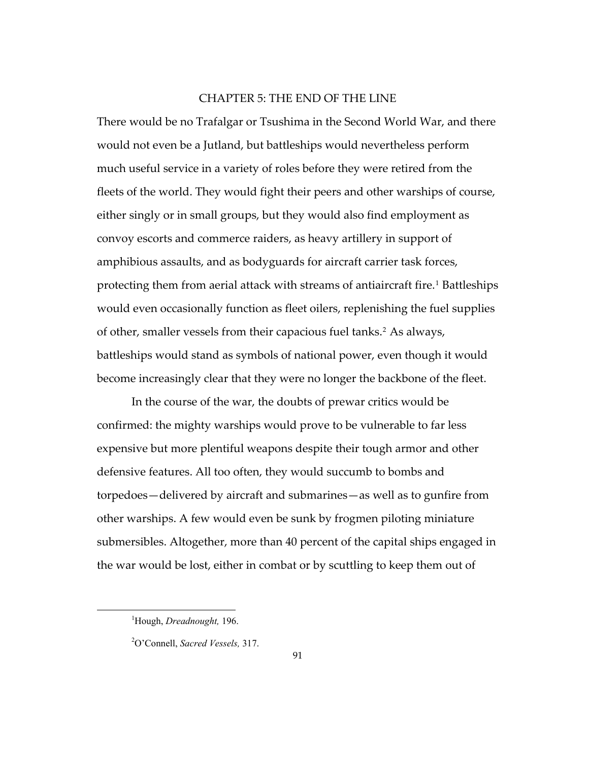## CHAPTER 5: THE END OF THE LINE

There would be no Trafalgar or Tsushima in the Second World War, and there would not even be a Jutland, but battleships would nevertheless perform much useful service in a variety of roles before they were retired from the fleets of the world. They would fight their peers and other warships of course, either singly or in small groups, but they would also find employment as convoy escorts and commerce raiders, as heavy artillery in support of amphibious assaults, and as bodyguards for aircraft carrier task forces, protecting them from aerial attack with streams of antiaircraft fire.<sup>[1](#page-94-0)</sup> Battleships would even occasionally function as fleet oilers, replenishing the fuel supplies of other, smaller vessels from their capacious fuel tanks.[2](#page-94-1) As always, battleships would stand as symbols of national power, even though it would become increasingly clear that they were no longer the backbone of the fleet.

In the course of the war, the doubts of prewar critics would be confirmed: the mighty warships would prove to be vulnerable to far less expensive but more plentiful weapons despite their tough armor and other defensive features. All too often, they would succumb to bombs and torpedoes—delivered by aircraft and submarines—as well as to gunfire from other warships. A few would even be sunk by frogmen piloting miniature submersibles. Altogether, more than 40 percent of the capital ships engaged in the war would be lost, either in combat or by scuttling to keep them out of

<span id="page-94-0"></span><sup>1</sup> Hough, *Dreadnought,* 196.

<span id="page-94-1"></span><sup>2</sup> O'Connell, *Sacred Vessels,* 317.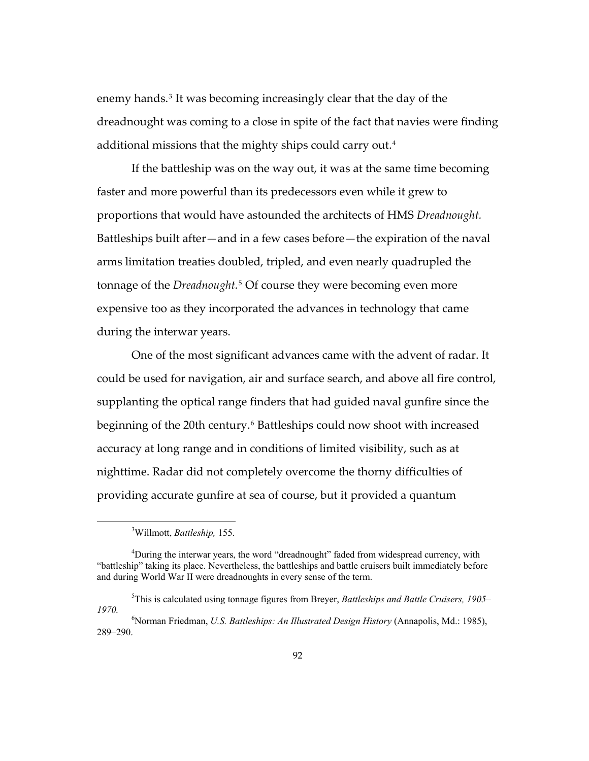enemy hands.[3](#page-95-0) It was becoming increasingly clear that the day of the dreadnought was coming to a close in spite of the fact that navies were finding additional missions that the mighty ships could carry out.[4](#page-95-1)

If the battleship was on the way out, it was at the same time becoming faster and more powerful than its predecessors even while it grew to proportions that would have astounded the architects of HMS *Dreadnought.* Battleships built after—and in a few cases before—the expiration of the naval arms limitation treaties doubled, tripled, and even nearly quadrupled the tonnage of the *Dreadnought.*[5](#page-95-2) Of course they were becoming even more expensive too as they incorporated the advances in technology that came during the interwar years.

One of the most significant advances came with the advent of radar. It could be used for navigation, air and surface search, and above all fire control, supplanting the optical range finders that had guided naval gunfire since the beginning of the 20th century.<sup>[6](#page-95-3)</sup> Battleships could now shoot with increased accuracy at long range and in conditions of limited visibility, such as at nighttime. Radar did not completely overcome the thorny difficulties of providing accurate gunfire at sea of course, but it provided a quantum

<sup>3</sup> Willmott, *Battleship,* 155.

<span id="page-95-1"></span><span id="page-95-0"></span><sup>&</sup>lt;sup>4</sup>During the interwar years, the word "dreadnought" faded from widespread currency, with "battleship" taking its place. Nevertheless, the battleships and battle cruisers built immediately before and during World War II were dreadnoughts in every sense of the term.

<span id="page-95-2"></span><sup>5</sup> This is calculated using tonnage figures from Breyer, *Battleships and Battle Cruisers, 1905– 1970.* <sup>6</sup>

<span id="page-95-3"></span>Norman Friedman, *U.S. Battleships: An Illustrated Design History* (Annapolis, Md.: 1985), 289–290.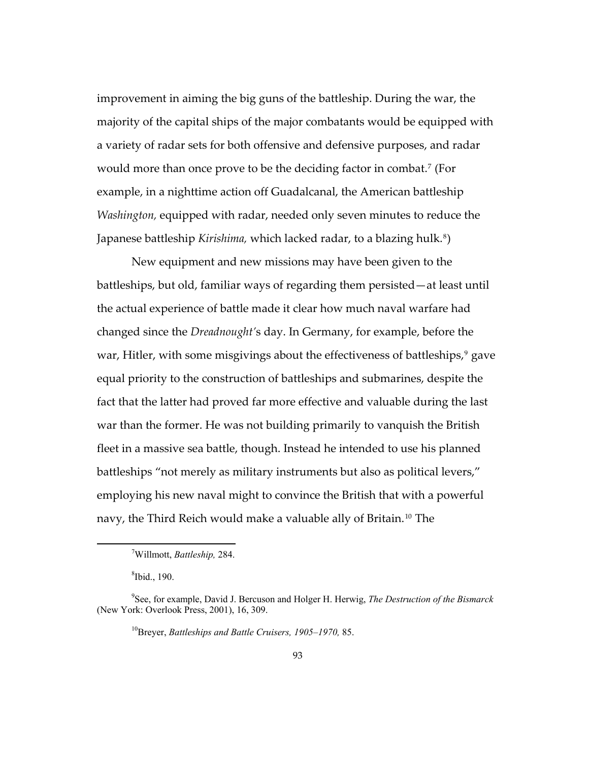improvement in aiming the big guns of the battleship. During the war, the majority of the capital ships of the major combatants would be equipped with a variety of radar sets for both offensive and defensive purposes, and radar would more than once prove to be the deciding factor in combat.<sup>[7](#page-96-0)</sup> (For example, in a nighttime action off Guadalcanal, the American battleship *Washington,* equipped with radar, needed only seven minutes to reduce the Japanese battleship *Kirishima,* which lacked radar, to a blazing hulk.[8](#page-96-1))

New equipment and new missions may have been given to the battleships, but old, familiar ways of regarding them persisted—at least until the actual experience of battle made it clear how much naval warfare had changed since the *Dreadnought'*s day. In Germany, for example, before the war, Hitler, with some misgivings about the effectiveness of battleships,<sup>[9](#page-96-2)</sup> gave equal priority to the construction of battleships and submarines, despite the fact that the latter had proved far more effective and valuable during the last war than the former. He was not building primarily to vanquish the British fleet in a massive sea battle, though. Instead he intended to use his planned battleships "not merely as military instruments but also as political levers," employing his new naval might to convince the British that with a powerful navy, the Third Reich would make a valuable ally of Britain.[10](#page-96-3) The

<sup>7</sup> Willmott, *Battleship,* 284.

<sup>8</sup> Ibid., 190.

<span id="page-96-3"></span><span id="page-96-2"></span><span id="page-96-1"></span><span id="page-96-0"></span><sup>9</sup> See, for example, David J. Bercuson and Holger H. Herwig, *The Destruction of the Bismarck* (New York: Overlook Press, 2001), 16, 309.

<sup>10</sup>Breyer, *Battleships and Battle Cruisers, 1905–1970,* 85.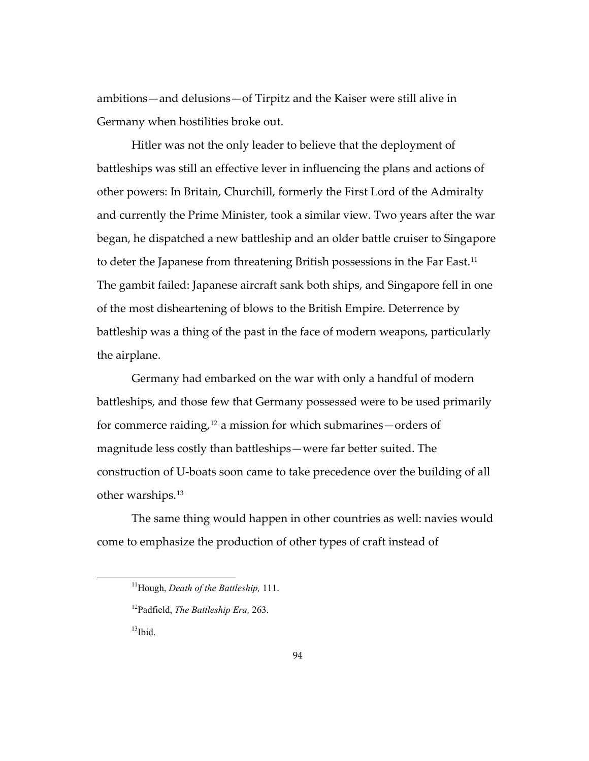Germany when hostilities broke out. ambitions—and delusions—of Tirpitz and the Kaiser were still alive in

Hitler was not the only leader to believe that the deployment of battleships was still an effective lever in influencing the plans and actions of other powers: In Britain, Churchill, formerly the First Lord of the Admiralty and currently the Prime Minister, took a similar view. Two years after the war began, he dispatched a new battleship and an older battle cruiser to Singapore to deter the Japanese from threatening British possessions in the Far East.[11](#page-97-0) The gambit failed: Japanese aircraft sank both ships, and Singapore fell in one of the most disheartening of blows to the British Empire. Deterrence by battleship was a thing of the past in the face of modern weapons, particularly the airplane.

other w arships.[13](#page-98-0) Germany had embarked on the war with only a handful of modern battleships, and those few that Germany possessed were to be used primarily for commerce raiding,<sup>[12](#page-97-1)</sup> a mission for which submarines—orders of magnitude less costly than battleships—were far better suited. The construction of U-boats soon came to take precedence over the building of all

<span id="page-97-0"></span>The same thing would happen in other countries as well: navies would come to emphasize the production of other types of craft instead of

 $13$ Ibid.

<sup>11</sup>Hough, *Death of the Battleship,* 111.

<span id="page-97-1"></span><sup>12</sup>Padfield, *The Battleship Era,* 263.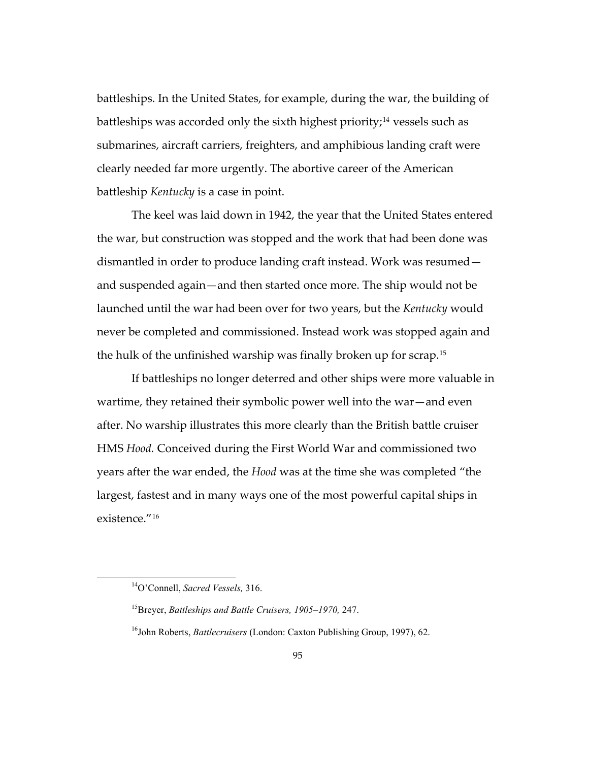battleships. In the United States, for example, during the war, the building of submarines, aircraft carriers, freighters, and amphibious landing craft were clearly needed far more urgently. The abortive career of the American battles hip *Kentucky* is a case in point. battleships was accorded only the sixth highest priority;<sup>[14](#page-98-0)</sup> vessels such as

never be completed and commissioned. Instead work was stopped again and the hu lk of the unfinished warship was finally broken up for scrap.[15](#page-98-1) The keel was laid down in 1942, the year that the United States entered the war, but construction was stopped and the work that had been done was dismantled in order to produce landing craft instead. Work was resumed and suspended again—and then started once more. The ship would not be launched until the war had been over for two years, but the *Kentucky* would

[If battleships no longer deterred and other ships were more valuable](#page-98-1) in [largest, fastest](#page-98-1) and in many ways one of the most powerful capital ships in existen ce."[16](#page-99-0) [wartime, they retained their symbolic power well into the war—and even](#page-98-1)  [after. No warship illustrates this more clearly than the British battle cruiser](#page-98-1)  HMS *Hood.* [Conceived during the First World War and commissioned two](#page-98-1)  years after the war ended, the *Hood* [was at the time she was completed "the](#page-98-1) 

<span id="page-98-0"></span><sup>14</sup>O'Connell, *Sacred Vessels,* 316.

<sup>15</sup>Breyer, *Battleships and Battle Cruisers, 1905–1970,* 247.

<span id="page-98-1"></span><sup>&</sup>lt;sup>16</sup>John Roberts, *Battlecruisers* (London: Caxton Publishing Group, 1997), 62.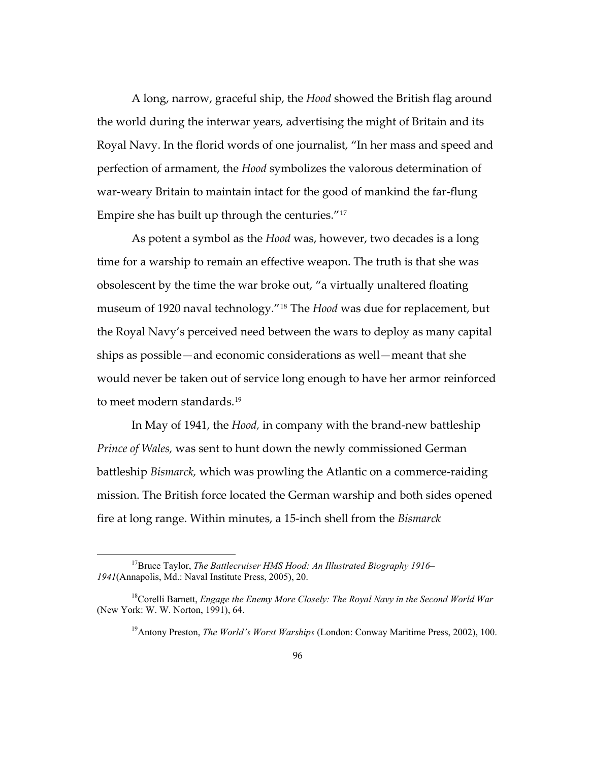Royal Navy. In the florid words of one journalist, "In her mass and speed and perfection of armament, the *Hood* symbolizes the valorous determination of war-w eary Britain to maintain intact for the good of mankind the far-flung A long, narrow, graceful ship, the *Hood* showed the British flag around the world during the interwar years, advertising the might of Britain and its Empire she has built up through the centuries."[17](#page-99-1)

[museum of 1920 naval technology."](#page-99-1)<sup>[18](#page-99-2)</sup> The *Hood* was due for replacement, but ships as possible—and economic considerations as well—meant that she would never be taken out of service long enough to have her armor reinforced As potent a symbol as the *Hood* [was, however, two decades is a long](#page-99-1) [time for a warship to remain an effective weapon. The truth is that she was](#page-99-1)  [obsolescent by the time the war broke out, "a virtually unaltered floating](#page-99-1)  the Royal Navy's perceived need between the wars to deploy as many capital to meet modern standards.<sup>[19](#page-100-0)</sup>

battleship *Bismarck,* [which was prowling the Atlantic on a commerce](#page-100-0)-raiding In May of 1941, the *Hood,* [in company with the brand-new battleship](#page-100-0)  *Prince of Wales,* [was sent to hunt down the newly commissioned German](#page-100-0)  [mission. The British force located the German warship and both sides opened](#page-100-0)  [fire at long range. Within minutes, a 15-inch shell from the](#page-100-0) *Bismarck*

<span id="page-99-0"></span><sup>17</sup>Bruce Taylor, *The Battlecruiser HMS Hood: An Illustrated Biography 1916– 1941*(Annapolis, Md.: Naval Institute Press, 2005), 20.

<span id="page-99-2"></span><span id="page-99-1"></span><sup>18</sup>Corelli Barnett, *Engage the Enemy More Closely: The Royal Navy in the Second World War* (New York: W. W. Norton, 1991), 64.

<sup>&</sup>lt;sup>19</sup>Antony Preston, *The World's Worst Warships* (London: Conway Maritime Press, 2002), 100.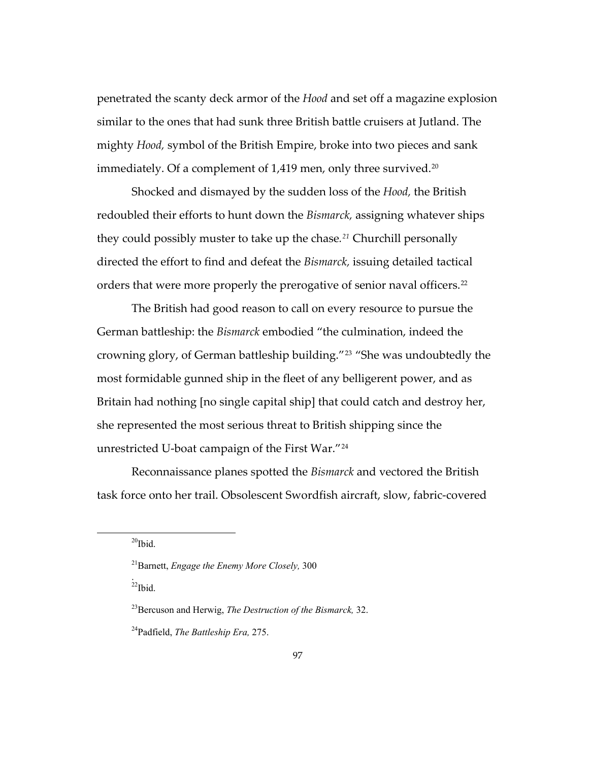penetrated the scanty deck armor of the *Hood* and set off a magazine explosion mighty k *Hood,* symbol of the British Empire, broke into two pieces and san similar to the ones that had sunk three British battle cruisers at Jutland. The immediately. Of a complement of 1,419 men, only three survived.<sup>[20](#page-100-1)</sup>

redoubled their efforts to hunt down the *Bismarck,* assigning whatever ships directe d the effort to find and defeat the *Bismarck,* issuing detailed tactical Shocked and dismayed by the sudden loss of the *Hood,* the British they could possibly muster to take up the chase*. [21](#page-100-2)* Churchill personally orders that were more properly the prerogative of senior naval officers.<sup>[22](#page-100-3)</sup>

most formidable gunned ship in the fleet of any belligerent power, and as Britain had nothing [no single capital ship] that could catch and destroy her, she rep resented the most serious threat to British shipping since the [The British had good reason to call on every resource to pursue the](#page-100-3)  German battleship: the *Bismarck* [embodied "the culmination, indeed the](#page-100-3)  [crowning glory, of German battleship building."](#page-100-3)[23](#page-100-4) "She was undoubtedly the unrestricted U-boat campaign of the First War."[24](#page-101-0)

[task force onto her trail. Obsolescent Swordfish aircraft, slow, fabric-co](#page-101-0)vered [Reconnaissance planes spotted the](#page-101-0) *Bismarck* and vectored the British

 $^{20}$ Ibid.

<span id="page-100-3"></span><span id="page-100-2"></span><span id="page-100-1"></span><span id="page-100-0"></span> $\overline{a}$ 

Ibid. .<br>22

<sup>&</sup>lt;sup>21</sup> Barnett, *Engage the Enemy More Closely*, 300

<sup>&</sup>lt;sup>23</sup> Bercuson and Herwig, *The Destruction of the Bismarck*, 32.

<span id="page-100-4"></span><sup>&</sup>lt;sup>24</sup> Padfield, *The Battleship Era*, 275.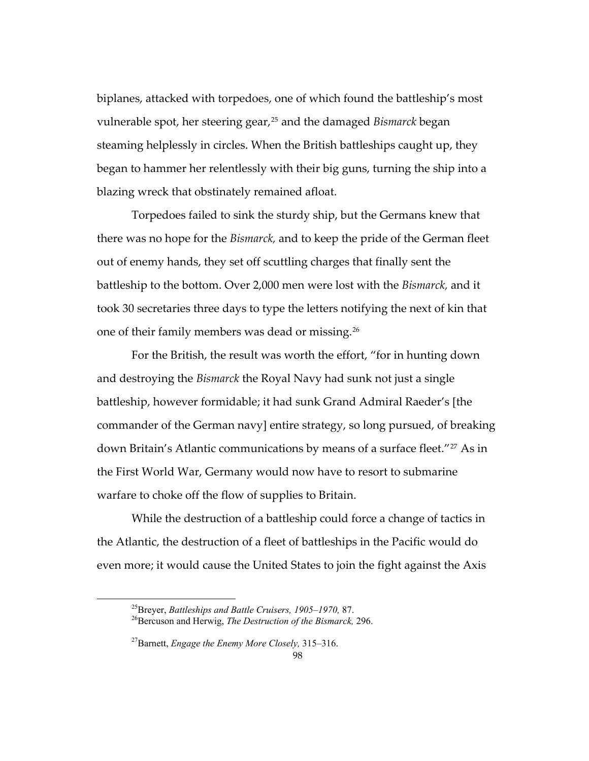steaming helplessly in circles. When the British battleships caught up, they began to hammer her relentlessly with their big guns, turning the ship into a [biplanes, attacked with torpedoes, one of which found the battleship's most](#page-101-0) [vulnerable spot, her steering gear,25](#page-101-0) and the damaged *Bismarck* began blazing wreck that obstinately remained afloat.

Torpedoes failed to sink the sturdy ship, but the Germans knew that there was no hope for the *Bismarck*, and to keep the pride of the German fleet battleship to the bottom. Over 2,000 men were lost with the *Bismarck,* and it took 3 0 secretaries three days to type the letters notifying the next of kin that out of enemy hands, they set off scuttling charges that finally sent the one of their family members was dead or missing.[26](#page-101-1)

commander of the German navy] entire strategy, so long pursued, of breaking down Britain's Atlantic communications by means of a surface fleet."<sup>27</sup> As in the Fir st World War, Germany would now have to resort to submarine For the British, the result was worth the effort, "for in hunting down and destroying the *Bismarck* the Royal Navy had sunk not just a single battleship, however formidable; it had sunk Grand Admiral Raeder's [the warfare to choke off the flow of supplies to Britain.

the Atlantic, the destruction of a fleet of battleships in the Pacific would do even more; it would cause the United States to join the fight against the Axis While the destruction of a battleship could force a change of tactics in

<span id="page-101-0"></span><sup>&</sup>lt;sup>25</sup>Breyer, *Battleships and Battle Cruisers, 1905–1970, 87.* <sup>26</sup>Bercuson and Herwig, *The Destruction of the Bismarck, 296.* 

<span id="page-101-1"></span><sup>27</sup>Barnett, *Engage the Enemy More Closely,* 315–316.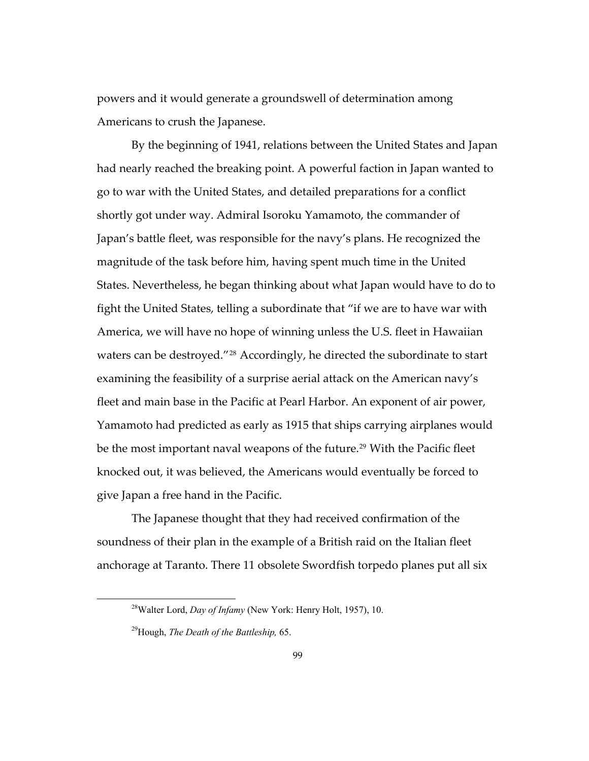power s and it would generate a groundswell of determination among Americans to crush the Japanese.

By the beginning of 1941, relations between the United States and Japan had nearly reached the breaking point. A powerful faction in Japan wanted to States. Nevertheless*,* he began thinking about what Japan would have to do to , fleet and main base in the Pacific at Pearl Harbor. An exponent of air power Yamamoto had predicted as early as 1915 that ships carrying airplanes would be the most important naval weapons of the future.<sup>29</sup> With the Pacific fleet knocked out, it was believed, the Americans would eventually be forced to go to war with the United States, and detailed preparations for a conflict shortly got under way. Admiral Isoroku Yamamoto, the commander of Japan's battle fleet, was responsible for the navy's plans. He recognized the magnitude of the task before him, having spent much time in the United fight the United States, telling a subordinate that "if we are to have war with America, we will have no hope of winning unless the U.S. fleet in Hawaiian waters can be destroyed."[28](#page-102-0) Accordingly, he directed the subordinate to start examining the feasibility of a surprise aerial attack on the American navy's give Japan a free hand in the Pacific.

soundness of their plan in the example of a British raid on the Italian fleet anchorage at Taranto. There 11 obsolete Swordfish torpedo planes put all six The Japanese thought that they had received confirmation of the

<span id="page-102-0"></span> $\overline{a}$ 

<sup>28</sup>Walter Lord, *Day of Infamy* (New York: Henry Holt, 1957), 10.

<sup>&</sup>lt;sup>29</sup> Hough, *The Death of the Battleship*, 65.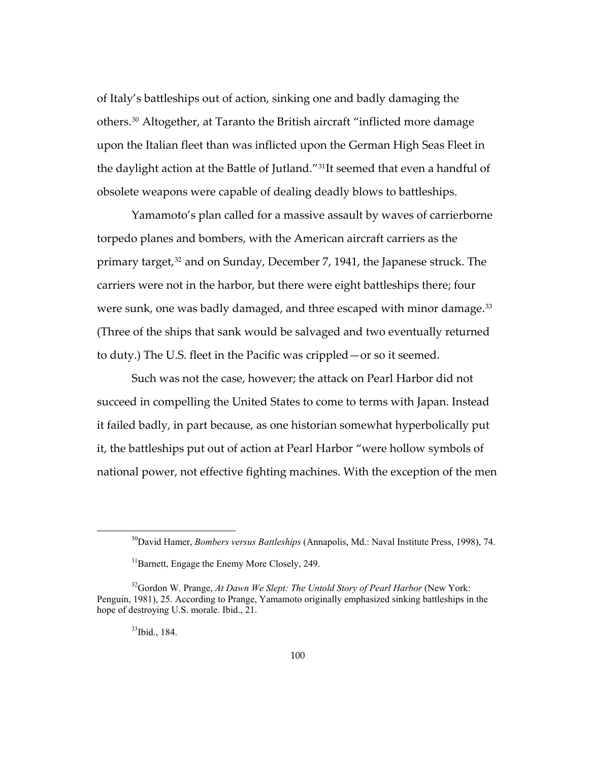upon the Italian fleet than was inflicted upon the German High Seas Fleet in the da ylight action at the Battle of Jutland."[31](#page-103-1)It seemed that even a handful of of Italy's battleships out of action, sinking one and badly damaging the others.[30](#page-103-0) Altogether, at Taranto the British aircraft "inflicted more damage obsolete weapons were capable of dealing deadly blows to battleships.

were sunk, one was badly damaged, and three escaped with minor damage.<sup>33</sup> (Three of the ships that sank would be salvaged and two eventually returned Yamamoto's plan called for a massive assault by waves of carrierborne torpedo planes and bombers, with the American aircraft carriers as the primary target,[32](#page-103-2) and on Sunday, December 7, 1941, the Japanese struck. The carriers were not in the harbor, but there were eight battleships there; four to duty.) The U.S. fleet in the Pacific was crippled—or so it seemed.

it, the battleships put out of action at Pearl Harbor "were hollow symbols of national power, not effective fighting machines. With the exception of the men Such was not the case, however; the attack on Pearl Harbor did not succeed in compelling the United States to come to terms with Japan. Instead it failed badly, in part because, as one historian somewhat hyperbolically put

<span id="page-103-0"></span><sup>&</sup>lt;sup>30</sup>David Hamer, *Bombers versus Battleships* (Annapolis, Md.: Naval Institute Press, 1998), 74.

 $31$ Barnett, Engage the Enemy More Closely, 249.

<span id="page-103-2"></span><span id="page-103-1"></span><sup>&</sup>lt;sup>32</sup>Gordon W. Prange, *At Dawn We Slept: The Untold Story of Pearl Harbor* (New York: Penguin, 1981), 25. According to Prange, Yamamoto originally emphasized sinking battleships in the hope of d estroying U.S. morale. Ibid., 21.

<sup>33</sup>Ibid., 184.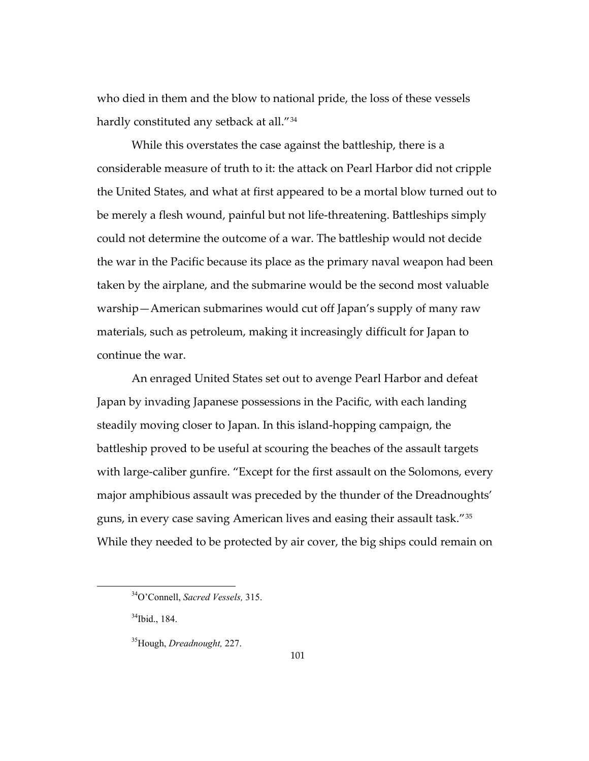who died in them and the blow to national pride, the loss of these vessels hardly constituted any setback at all."<sup>34</sup>

the United States, and what at first appeared to be a mortal blow turned out to the war in the Pacific because its place as the primary naval weapon had been taken by the airplane, and the submarine would be the second most valuable warship—American submarines would cut off Japan's supply of many raw materi als, such as petroleum, making it increasingly difficult for Japan to While this overstates the case against the battleship, there is a considerable measure of truth to it: the attack on Pearl Harbor did not cripple be merely a flesh wound, painful but not life-threatening. Battleships simply could not determine the outcome of a war. The battleship would not decide continue the war.

An enraged United States set out to avenge Pearl Harbor and defeat with large-caliber gunfire. "Except for the first assault on the Solomons, every While they needed to be protected by air cover, the big ships could remain on Japan by invading Japanese possessions in the Pacific, with each landing steadily moving closer to Japan. In this island-hopping campaign, the battleship proved to be useful at scouring the beaches of the assault targets major amphibious assault was preceded by the thunder of the Dreadnoughts' guns, in every case saving American lives and easing their assault task."[35](#page-104-0)

 <sup>34</sup>O'Connell, *Sacred Vessels,* 315.

 $34$ Ibid., 184.

<span id="page-104-0"></span><sup>35</sup>Hough, *Dreadnought,* 227.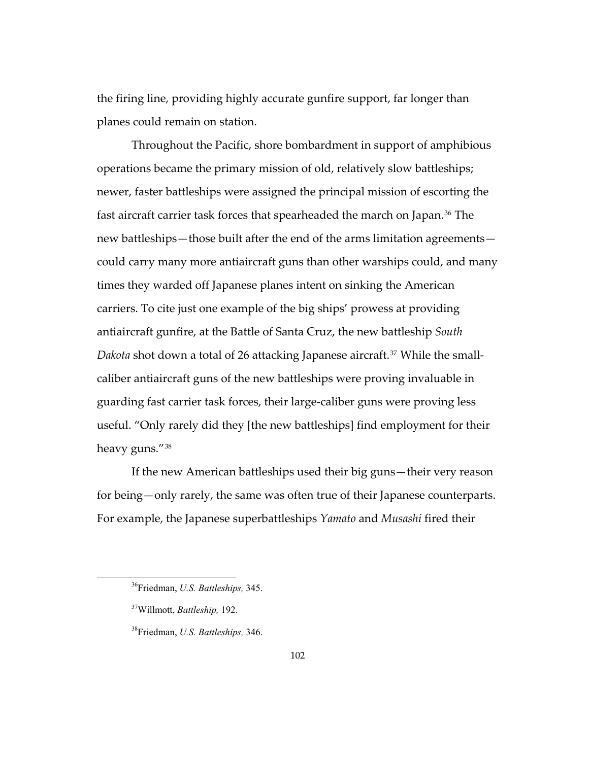the firing line, providing highly accurate gunfire support, far longer than planes could remain on station.

operations became the primary mission of old, relatively slow battleships; newer, faster battleships were assigned the principal mission of escorting the fast aircraft carrier task forces that spearheaded the march on Japan.<sup>[36](#page-105-0)</sup> The — new battleships—those built after the end of the arms limitation agreements could carry many more antiaircraft guns than other warships could, and many antiaircraft gunfire, at the Battle of Santa Cruz, the new battleship *South Dakota* shot down a total of 26 attacking Japanese aircraft.37 While the smallheavy guns.″'<sup>38</sup> Throughout the Pacific, shore bombardment in support of amphibious times they warded off Japanese planes intent on sinking the American carriers. To cite just one example of the big ships' prowess at providing caliber antiaircraft guns of the new battleships were proving invaluable in guarding fast carrier task forces, their large-caliber guns were proving less useful. "Only rarely did they [the new battleships] find employment for their

If the new American battleships used their big guns—their very reason for being—only rarely, the same was often true of their Japanese counterparts. For example, the Japanese superbattleships *Yamato* and *Musashi* fired their

<span id="page-105-0"></span> $\overline{a}$ 

<sup>36</sup>Friedman, *U.S. Battleships,* 345.

Willmott, *Battleship,* 192. 37

<sup>38</sup>Friedman, *U.S. Battleships,* 346.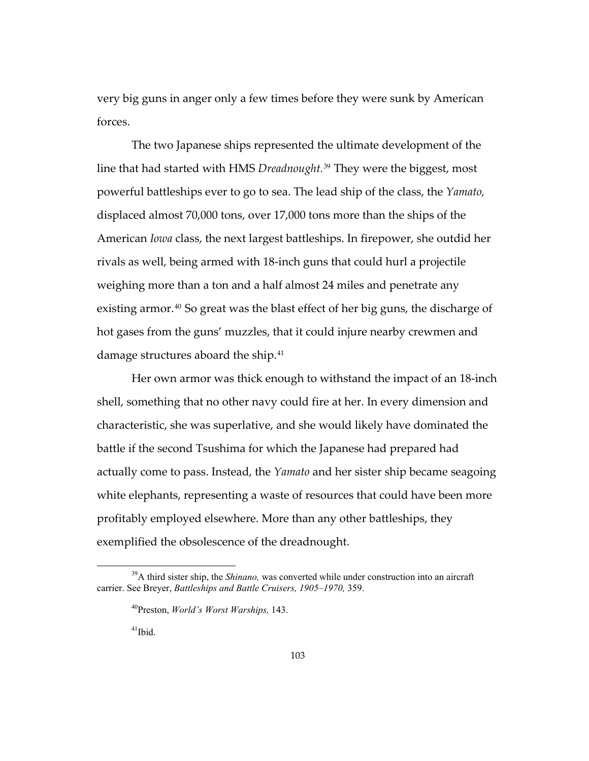very big guns in anger only a few times before they were sunk by American forces.

The two Japanese ships represented the ultimate development of the line that had started with HMS *Dreadnought*.<sup>[39](#page-106-0)</sup> They were the biggest, most American *Iowa* class, the next largest battleships. In firepower, she outdid her rivals as well, being armed with 18-inch guns that could hurl a projectile hot gases from the guns' muzzles, that it could injure nearby crewmen and powerful battleships ever to go to sea. The lead ship of the class, the *Yamato,* displaced almost 70,000 tons, over 17,000 tons more than the ships of the weighing more than a ton and a half almost 24 miles and penetrate any existing armor.40 So great was the blast effect of her big guns, the discharge of damage structures aboard the ship.<sup>41</sup>

shell, something that no other navy could fire at her. In every dimension and characteristic, she was superlative, and she would likely have dominated the battle if the second Tsushima for which the Japanese had prepared had actually come to pass. Instead, the *Yamato* and her sister ship became seagoing white elephants, representing a waste of resources that could have been more Her own armor was thick enough to withstand the impact of an 18-inch profitably employed elsewhere. More than any other battleships, they exemplified the obsolescence of the dreadnought.

<span id="page-106-0"></span><sup>39</sup>A third sister ship, the *Shinano,* was converted while under construction into an aircraft carrier. See Breyer, *Battleships and Battle Cruisers*, 1905–1970, 359.

<sup>&</sup>lt;sup>40</sup>Preston, *World's Worst Warships*, 143.

 $41$ Ibid.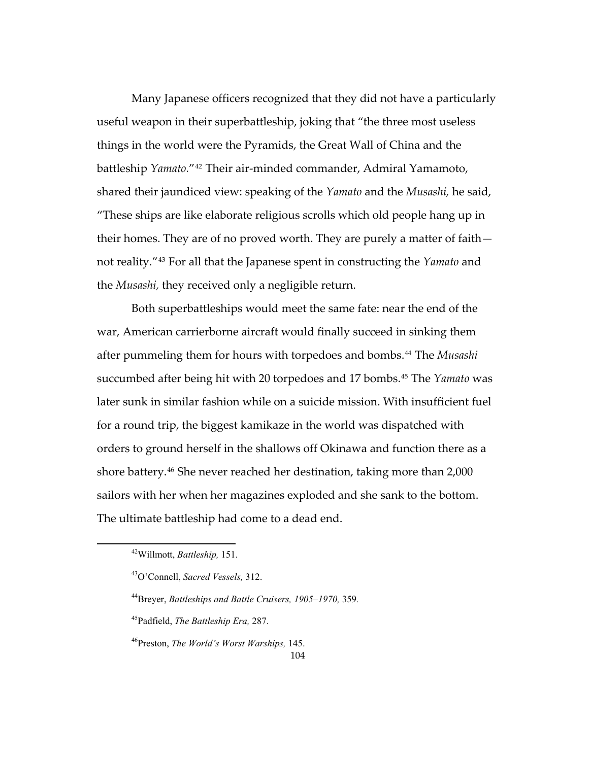Many Japanese officers recognized that they did not have a particularly battleship *Yamato.*"<sup>[42](#page-107-0)</sup> Their air-minded commander, Admiral Yamamoto, shared their jaundiced view: speaking of the *Yamato* and the *Musashi,* he said*,* — their homes. They are of no proved worth. They are purely a matter of faith useful weapon in their superbattleship, joking that "the three most useless things in the world were the Pyramids, the Great Wall of China and the "These ships are like elaborate religious scrolls which old people hang up in not reality."[43](#page-107-1) For all that the Japanese spent in constructing the *Yamato* and the *Musashi,* they received only a negligible return.

Both superbattleships would meet the same fate: near the end of the succumbed after being hit with 20 torpedoes and 17 bombs.<sup>[45](#page-107-3)</sup> The *Yamato* was later sunk in similar fashion while on a suicide mission. With insufficient fuel for a ro und trip, the biggest kamikaze in the world was dispatched with orders to ground herself in the shallows off Okinawa and function there as a war, American carrierborne aircraft would finally succeed in sinking them after pummeling them for hours with torpedoes and bombs.<sup>[44](#page-107-2)</sup> The *Musashi* shore battery.<sup>46</sup> She never reached her destination, taking more than 2,000 sailors with her when her magazines exploded and she sank to the bottom. The ultimate battleship had come to a dead end.

<span id="page-107-0"></span>Willmott, *Battleship,* 151. 42

<sup>43</sup>O'Connell, *Sacred Vessels,* 312.

<span id="page-107-1"></span><sup>44</sup>Breyer, *Battleships and Battle Cruisers, 1905–1970,* 359*.* 

<span id="page-107-2"></span><sup>45</sup>Padfield, *The Battleship Era,* 287.

<span id="page-107-3"></span><sup>46</sup>Preston, *The World's Worst Warships,* 145.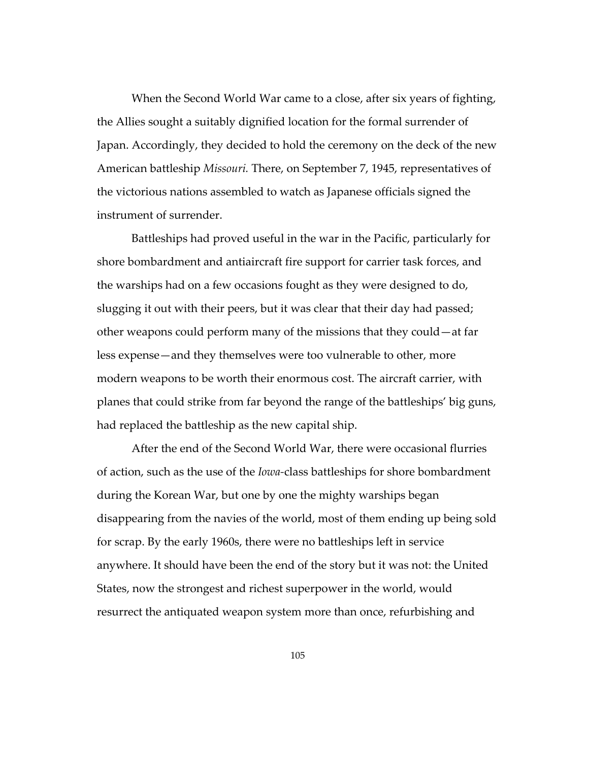Japan. Accordingly, they decided to hold the ceremony on the deck of the new American battleship *Missouri*. There, on September 7, 1945, representatives of When the Second World War came to a close, after six years of fighting, the Allies sought a suitably dignified location for the formal surrender of the victorious nations assembled to watch as Japanese officials signed the instrument of surrender.

the warships had on a few occasions fought as they were designed to do, sluggi ng it out with their peers, but it was clear that their day had passed; less expense—and they themselves were too vulnerable to other, more planes that could strike from far beyond the range of the battleships' big guns, Battleships had proved useful in the war in the Pacific, particularly for shore bombardment and antiaircraft fire support for carrier task forces, and other weapons could perform many of the missions that they could—at far modern weapons to be worth their enormous cost. The aircraft carrier, with had replaced the battleship as the new capital ship.

After the end of the Second World War, there were occasional flurries of action, such as the use of the *Iowa-*class battleships for shore bombardment disappearing from the navies of the world, most of them ending up being sold for scr ap. By the early 1960s, there were no battleships left in service anywhere. It should have been the end of the story but it was not: the United States, now the strongest and richest superpower in the world, would resurrect the antiquated weapon system more than once, refurbishing and during the Korean War, but one by one the mighty warships began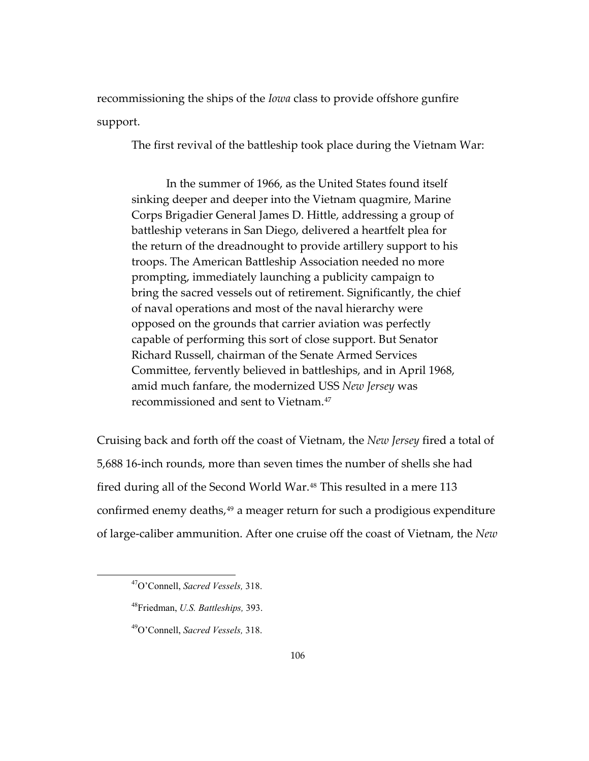recom missioning the ships of the *Iowa* class to provide offshore gunfire suppo rt.

The first revival of the battleship took place during the Vietnam War:

In the summer of 1966, as the United States found itself sinking deeper and deeper into the Vietnam quagmire, Marine the return of the dreadnought to provide artillery support to his troops. The American Battleship Association needed no more rompting, immediately launching a publicity campaign to p Corps Brigadier General James D. Hittle, addressing a group of battleship veterans in San Diego, delivered a heartfelt plea for bring the sacred vessels out of retirement. Significantly, the chief of naval operations and most of the naval hierarchy were opposed on the grounds that carrier aviation was perfectly capable of performing this sort of close support. But Senator Richard Russell, chairman of the Senate Armed Services Committee, fervently believed in battleships, and in April 1968, amid much fanfare, the modernized USS *New Jersey* was recommissioned and sent to Vietnam.[47](#page-109-0)

[Cruising back and forth off the coast of Vietnam, the](#page-109-0) *New Jersey* fired a total of 5,688 1 6-inch rounds, more than seven times the number of shells she had confirmed enemy deaths,[49](#page-110-1) a meager return for such a prodigious expenditure fired during all of the Second World War.<sup>[48](#page-110-0)</sup> This resulted in a mere 113 of large-caliber ammunition. After one cruise off the coast of Vietnam, the *New*

 $\overline{a}$ 

<span id="page-109-0"></span> $\overline{a}$ 

<sup>47</sup>O'Connell, *Sacred Vessels,* 318.

<sup>48</sup>Friedman, *U.S. Battleships,* 393.

*Sacred Vessels,* 318. 49O'Connell,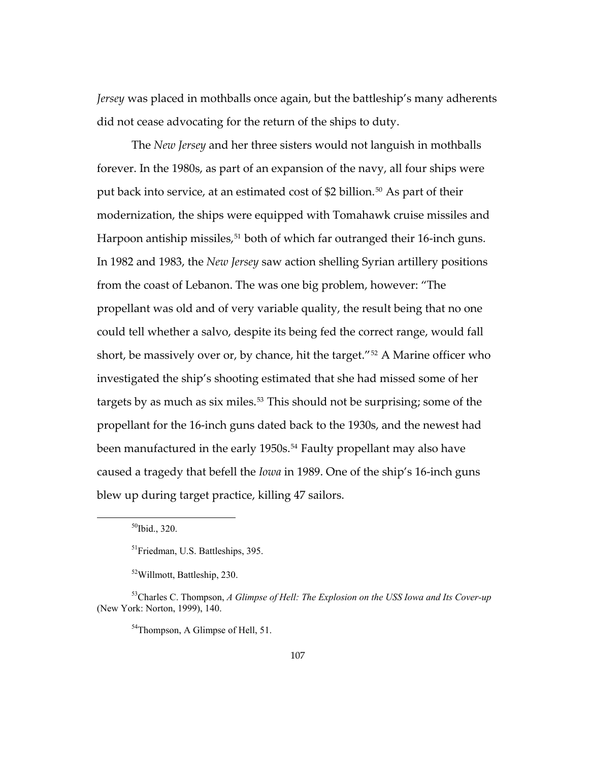*Jersey* was placed in mothballs once again, but the battleship's many adherents did not cease advocating for the return of the ships to duty.

The *New Jersey* and her three sisters would not languish in mothballs Harpoon antiship missiles,<sup>[51](#page-110-3)</sup> both of which far outranged their 16-inch guns. propellant was old and of very variable quality, the result being that no one short, be massively over or, by chance, hit the target."<sup>52</sup> A Marine officer who investi gated the ship's shooting estimated that she had missed some of her blew up during target practice, killing 47 sailors. forever. In the 1980s, as part of an expansion of the navy, all four ships were put back into service, at an estimated cost of \$2 billion.[50](#page-110-2) As part of their modernization, the ships were equipped with Tomahawk cruise missiles and In 1982 and 1983, the *New Jersey* saw action shelling Syrian artillery positions from the coast of Lebanon. The was one big problem, however: "The could tell whether a salvo, despite its being fed the correct range, would fall targets by as much as six miles.<sup>[53](#page-111-0)</sup> This should not be surprising; some of the propellant for the 16-inch guns dated back to the 1930s, and the newest had been manufactured in the early 1950s.<sup>[54](#page-111-0)</sup> Faulty propellant may also have caused a tragedy that befell the *Iowa* in 1989. One of the ship's 16-inch guns

<span id="page-110-1"></span><span id="page-110-0"></span> $\overline{a}$ 

<sup>54</sup>Thompson, A Glimpse of Hell, 51.

 $50$ Ibid., 320.

<sup>&</sup>lt;sup>51</sup>Friedman, U.S. Battleships, 395.

<sup>52</sup>Willmott, Battleship, 230.

<span id="page-110-3"></span><span id="page-110-2"></span><sup>&</sup>lt;sup>53</sup>Charles C. Thompson, A Glimpse of Hell: The Explosion on the USS Iowa and Its Cover-up (New York: Norton, 1999), 140.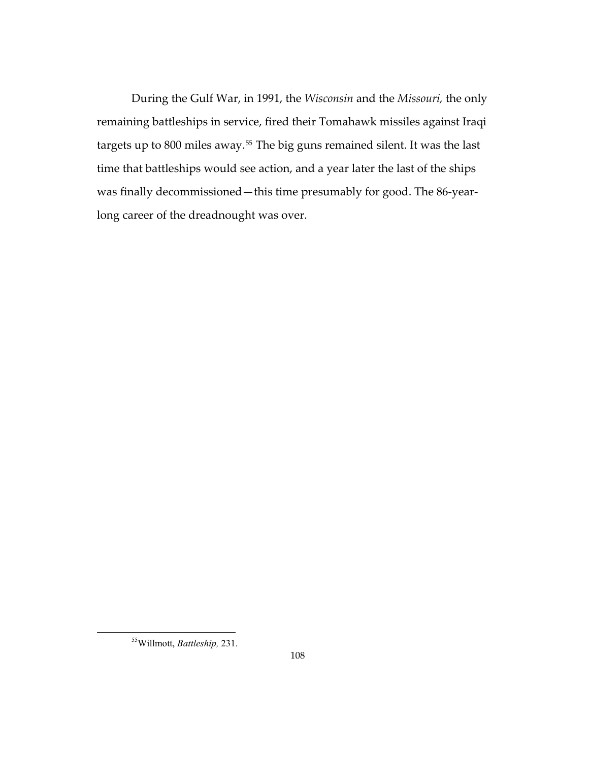During the Gulf War, in 1991, the *Wisconsin* and the *Missouri,* the only remaining battleships in service, fired their Tomahawk missiles against Iraqi targets up to 800 miles away. $55$  The big guns remained silent. It was the last time that battleships would see action, and a year later the last of the ships was finally decommissioned—this time presumably for good. The 86-yearlong career of the dreadnought was over.

<span id="page-111-0"></span> $\overline{a}$ 

<sup>&</sup>lt;sup>55</sup>Willmott, *Battleship*, 231.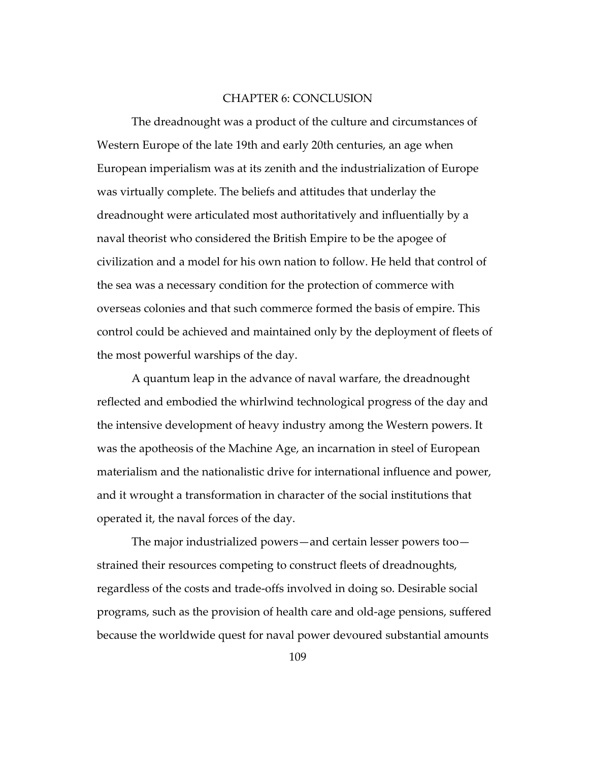## CHAPTER 6: CONCLUSION

The dreadnought was a product of the culture and circumstances of Western Europe of the late 19th and early 20th centuries, an age when European imperialism was at its zenith and the industrialization of Europe was virtually complete. The beliefs and attitudes that underlay the dreadnought were articulated most authoritatively and influentially by a naval theorist who considered the British Empire to be the apogee of civilization and a model for his own nation to follow. He held that control of the sea was a necessary condition for the protection of commerce with overseas colonies and that such commerce formed the basis of empire. This control could be achieved and maintained only by the deployment of fleets of the most powerful warships of the day.

A quantum leap in the advance of naval warfare, the dreadnought reflected and embodied the whirlwind technological progress of the day and the intensive development of heavy industry among the Western powers. It was the apotheosis of the Machine Age, an incarnation in steel of European materialism and the nationalistic drive for international influence and power, and it wrought a transformation in character of the social institutions that operated it, the naval forces of the day.

The major industrialized powers—and certain lesser powers too strained their resources competing to construct fleets of dreadnoughts, regardless of the costs and trade-offs involved in doing so. Desirable social programs, such as the provision of health care and old-age pensions, suffered because the worldwide quest for naval power devoured substantial amounts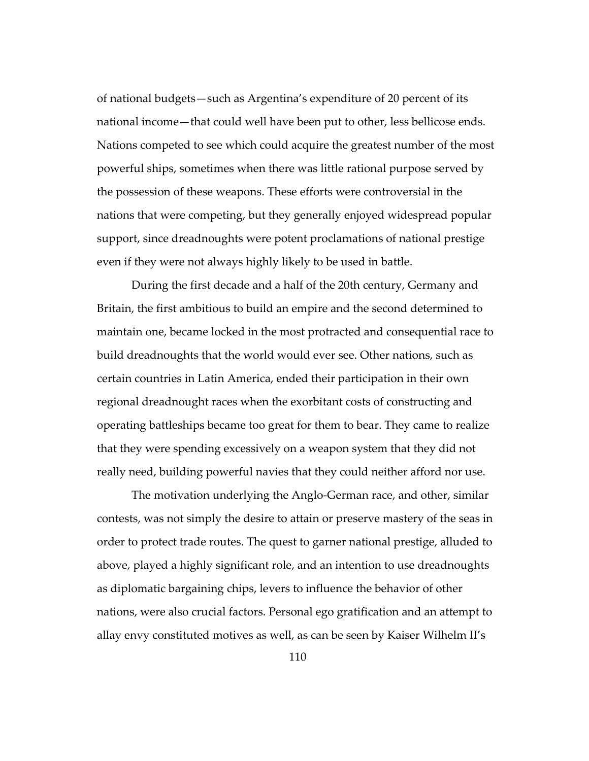of national budgets—such as Argentina's expenditure of 20 percent of its national income—that could well have been put to other, less bellicose ends. Nations competed to see which could acquire the greatest number of the most powerful ships, sometimes when there was little rational purpose served by the possession of these weapons. These efforts were controversial in the nations that were competing, but they generally enjoyed widespread popular support, since dreadnoughts were potent proclamations of national prestige even if they were not always highly likely to be used in battle.

During the first decade and a half of the 20th century, Germany and Britain, the first ambitious to build an empire and the second determined to maintain one, became locked in the most protracted and consequential race to build dreadnoughts that the world would ever see. Other nations, such as certain countries in Latin America, ended their participation in their own regional dreadnought races when the exorbitant costs of constructing and operating battleships became too great for them to bear. They came to realize that they were spending excessively on a weapon system that they did not really need, building powerful navies that they could neither afford nor use.

The motivation underlying the Anglo-German race, and other, similar contests, was not simply the desire to attain or preserve mastery of the seas in order to protect trade routes. The quest to garner national prestige, alluded to above, played a highly significant role, and an intention to use dreadnoughts as diplomatic bargaining chips, levers to influence the behavior of other nations, were also crucial factors. Personal ego gratification and an attempt to allay envy constituted motives as well, as can be seen by Kaiser Wilhelm II's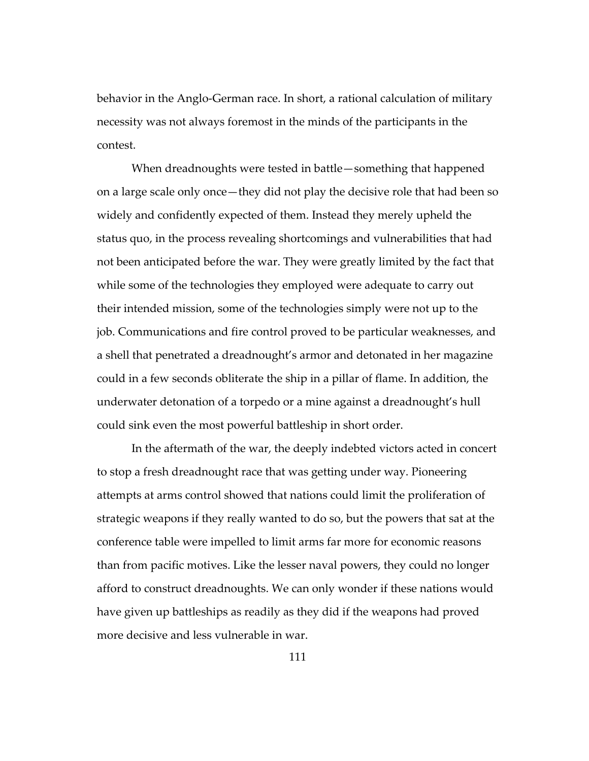behavior in the Anglo-German race. In short, a rational calculation of military necessity was not always foremost in the minds of the participants in the contest.

When dreadnoughts were tested in battle—something that happened on a large scale only once—they did not play the decisive role that had been so widely and confidently expected of them. Instead they merely upheld the status quo, in the process revealing shortcomings and vulnerabilities that had not been anticipated before the war. They were greatly limited by the fact that while some of the technologies they employed were adequate to carry out their intended mission, some of the technologies simply were not up to the job. Communications and fire control proved to be particular weaknesses, and a shell that penetrated a dreadnought's armor and detonated in her magazine could in a few seconds obliterate the ship in a pillar of flame. In addition, the underwater detonation of a torpedo or a mine against a dreadnought's hull could sink even the most powerful battleship in short order.

In the aftermath of the war, the deeply indebted victors acted in concert to stop a fresh dreadnought race that was getting under way. Pioneering attempts at arms control showed that nations could limit the proliferation of strategic weapons if they really wanted to do so, but the powers that sat at the conference table were impelled to limit arms far more for economic reasons than from pacific motives. Like the lesser naval powers, they could no longer afford to construct dreadnoughts. We can only wonder if these nations would have given up battleships as readily as they did if the weapons had proved more decisive and less vulnerable in war.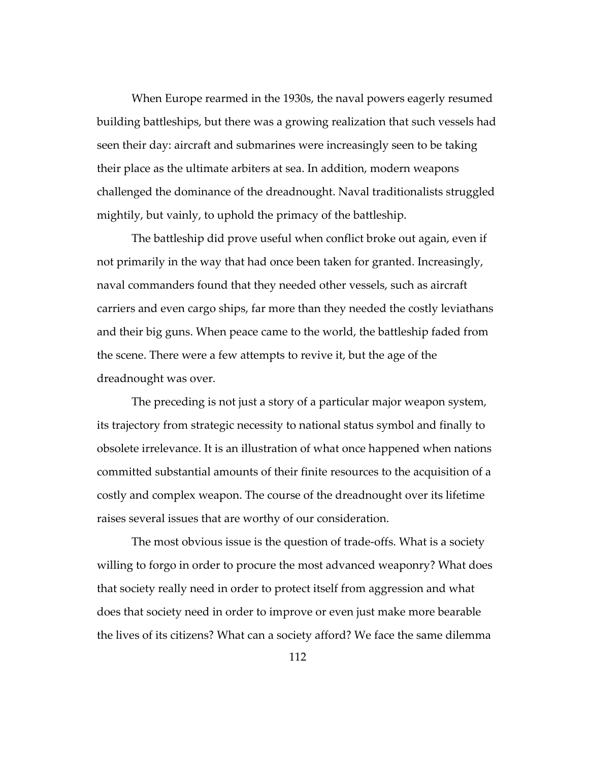When Europe rearmed in the 1930s, the naval powers eagerly resumed building battleships, but there was a growing realization that such vessels had seen their day: aircraft and submarines were increasingly seen to be taking their place as the ultimate arbiters at sea. In addition, modern weapons challenged the dominance of the dreadnought. Naval traditionalists struggled mightily, but vainly, to uphold the primacy of the battleship.

The battleship did prove useful when conflict broke out again, even if not primarily in the way that had once been taken for granted. Increasingly, naval commanders found that they needed other vessels, such as aircraft carriers and even cargo ships, far more than they needed the costly leviathans and their big guns. When peace came to the world, the battleship faded from the scene. There were a few attempts to revive it, but the age of the dreadnought was over.

The preceding is not just a story of a particular major weapon system, its trajectory from strategic necessity to national status symbol and finally to obsolete irrelevance. It is an illustration of what once happened when nations committed substantial amounts of their finite resources to the acquisition of a costly and complex weapon. The course of the dreadnought over its lifetime raises several issues that are worthy of our consideration.

The most obvious issue is the question of trade-offs. What is a society willing to forgo in order to procure the most advanced weaponry? What does that society really need in order to protect itself from aggression and what does that society need in order to improve or even just make more bearable the lives of its citizens? What can a society afford? We face the same dilemma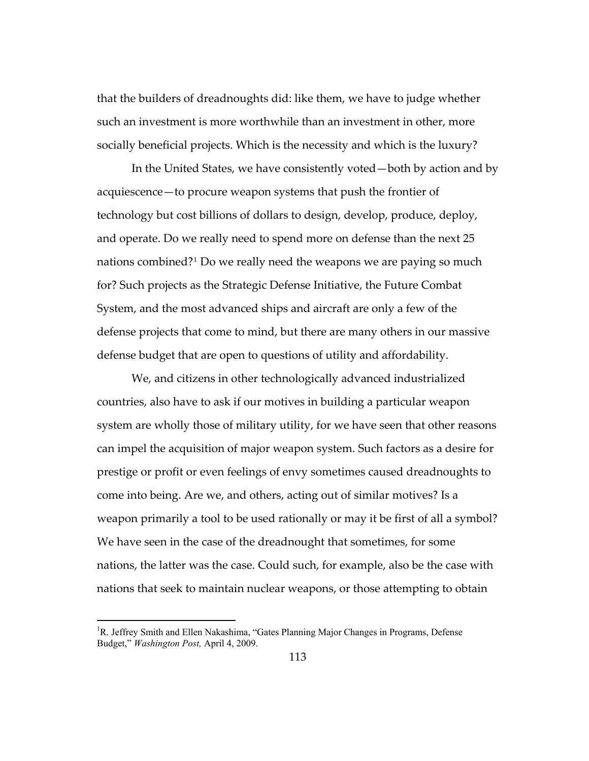that the builders of dreadnoughts did: like them, we have to judge whether such an investment is more worthwhile than an investment in other, more socially beneficial projects. Which is the necessity and which is the luxury?

In the United States, we have consistently voted—both by action and by acquiescence—to procure weapon systems that push the frontier of technology but cost billions of dollars to design, develop, produce, deploy, and operate. Do we really need to spend more on defense than the next 25 nations combined?[1](#page-116-0) Do we really need the weapons we are paying so much for? Such projects as the Strategic Defense Initiative, the Future Combat System, and the most advanced ships and aircraft are only a few of the defense projects that come to mind, but there are many others in our massive defense budget that are open to questions of utility and affordability.

We, and citizens in other technologically advanced industrialized countries, also have to ask if our motives in building a particular weapon system are wholly those of military utility, for we have seen that other reasons can impel the acquisition of major weapon system. Such factors as a desire for prestige or profit or even feelings of envy sometimes caused dreadnoughts to come into being. Are we, and others, acting out of similar motives? Is a weapon primarily a tool to be used rationally or may it be first of all a symbol? We have seen in the case of the dreadnought that sometimes, for some nations, the latter was the case. Could such, for example, also be the case with nations that seek to maintain nuclear weapons, or those attempting to obtain

l

<span id="page-116-0"></span><sup>&</sup>lt;sup>1</sup>R. Jeffrey Smith and Ellen Nakashima, "Gates Planning Major Changes in Programs, Defense Budget," *Washington Post,* April 4, 2009.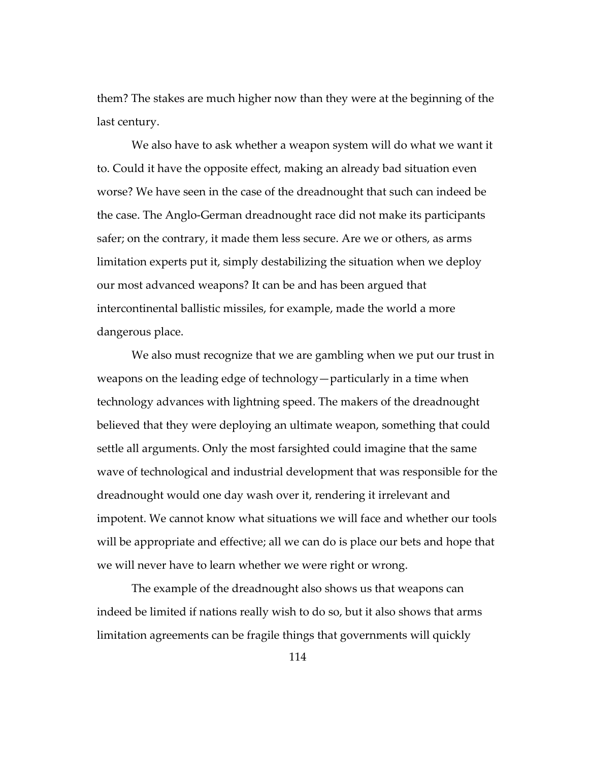them? The stakes are much higher now than they were at the beginning of the last century.

We also have to ask whether a weapon system will do what we want it to. Could it have the opposite effect, making an already bad situation even worse? We have seen in the case of the dreadnought that such can indeed be the case. The Anglo-German dreadnought race did not make its participants safer; on the contrary, it made them less secure. Are we or others, as arms limitation experts put it, simply destabilizing the situation when we deploy our most advanced weapons? It can be and has been argued that intercontinental ballistic missiles, for example, made the world a more dangerous place.

We also must recognize that we are gambling when we put our trust in weapons on the leading edge of technology—particularly in a time when technology advances with lightning speed. The makers of the dreadnought believed that they were deploying an ultimate weapon, something that could settle all arguments. Only the most farsighted could imagine that the same wave of technological and industrial development that was responsible for the dreadnought would one day wash over it, rendering it irrelevant and impotent. We cannot know what situations we will face and whether our tools will be appropriate and effective; all we can do is place our bets and hope that we will never have to learn whether we were right or wrong.

The example of the dreadnought also shows us that weapons can indeed be limited if nations really wish to do so, but it also shows that arms limitation agreements can be fragile things that governments will quickly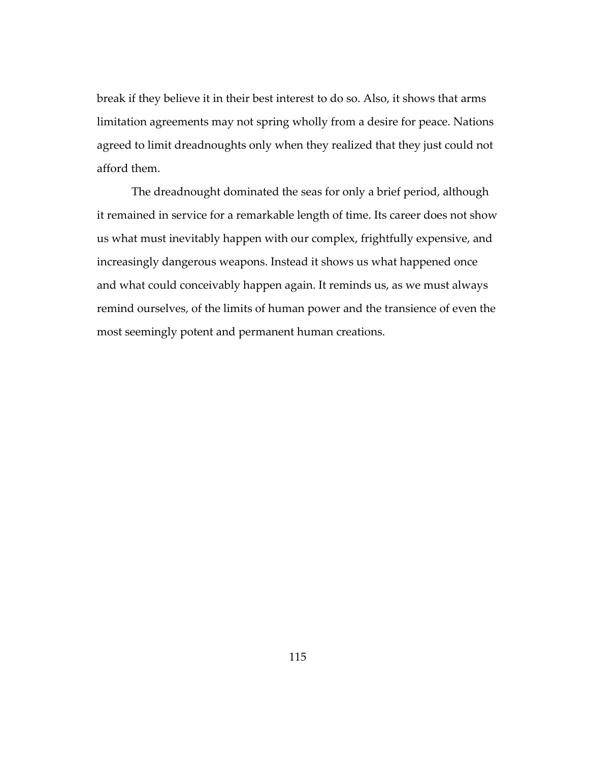break if they believe it in their best interest to do so. Also, it shows that arms limitation agreements may not spring wholly from a desire for peace. Nations agreed to limit dreadnoughts only when they realized that they just could not afford them.

The dreadnought dominated the seas for only a brief period, although it remained in service for a remarkable length of time. Its career does not show us what must inevitably happen with our complex, frightfully expensive, and increasingly dangerous weapons. Instead it shows us what happened once and what could conceivably happen again. It reminds us, as we must always remind ourselves, of the limits of human power and the transience of even the most seemingly potent and permanent human creations.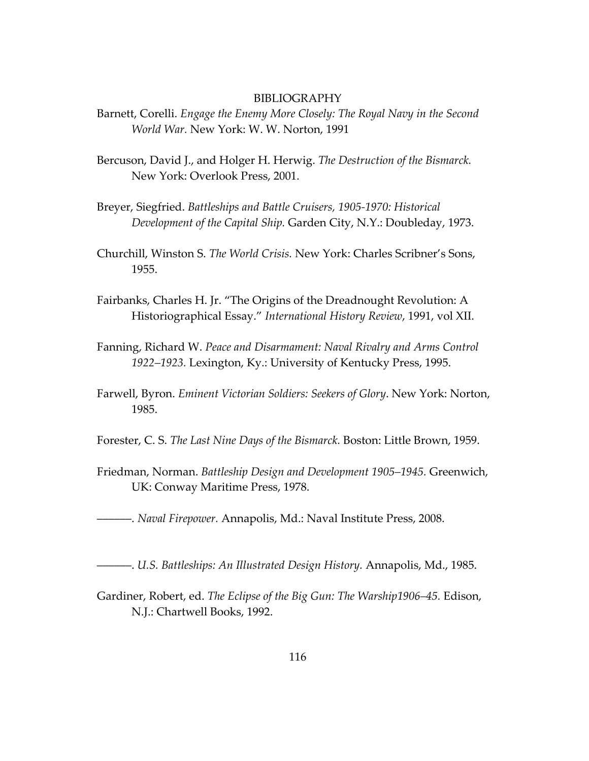## BIBLIOGRAPHY

- Barnett, Corelli. *Engage the Enemy More Closely: The Royal Navy in the Second World War.* New York: W. W. Norton, 1991
- Bercuson, David J., and Holger H. Herwig. *The Destruction of the Bismarck.* New York: Overlook Press, 2001.
- Breyer, Siegfried. *Battleships and Battle Cruisers, 1905-1970: Historical Development of the Capital Ship.* Garden City, N.Y.: Doubleday, 1973.
- Churchill, Winston S. *The World Crisis.* New York: Charles Scribner's Sons, 1955.
- Fairbanks, Charles H. Jr. "The Origins of the Dreadnought Revolution: A Historiographical Essay." *International History Review*, 1991, vol XII.
- Fanning, Richard W. *Peace and Disarmament: Naval Rivalry and Arms Control 1922–1923.* Lexington, Ky.: University of Kentucky Press, 1995.
- Farwell, Byron. *Eminent Victorian Soldiers: Seekers of Glory*. New York: Norton, 1985.
- Forester, C. S. *The Last Nine Days of the Bismarck.* Boston: Little Brown, 1959.
- Friedman, Norman. *Battleship Design and Development 1905–1945.* Greenwich, UK: Conway Maritime Press, 1978.
- ––––––. *Naval Firepower.* Annapolis, Md.: Naval Institute Press, 2008.
- ––––––. *U.S. Battleships: An Illustrated Design History.* Annapolis, Md., 1985.
- Gardiner, Robert, ed. *The Eclipse of the Big Gun: The Warship1906–45.* Edison, N.J.: Chartwell Books, 1992.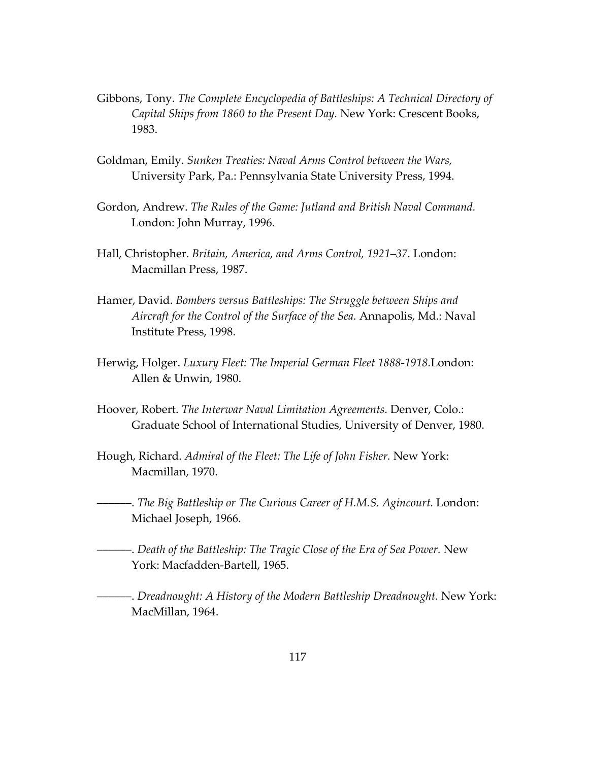- Gibbons, Tony. *The Complete Encyclopedia of Battleships: A Technical Directory of Capital Ships from 1860 to the Present Day.* New York: Crescent Books, 1983.
- Goldman, Emily. *Sunken Treaties: Naval Arms Control between the Wars,*  University Park, Pa.: Pennsylvania State University Press, 1994.
- Gordon, Andrew. *The Rules of the Game: Jutland and British Naval Command.* London: John Murray, 1996.
- Hall, Christopher. *Britain, America, and Arms Control, 1921–37.* London: Macmillan Press, 1987.
- Hamer, David. *Bombers versus Battleships: The Struggle between Ships and Aircraft for the Control of the Surface of the Sea.* Annapolis, Md.: Naval Institute Press, 1998.
- Herwig, Holger. *Luxury Fleet: The Imperial German Fleet 1888-1918.*London: Allen & Unwin, 1980.
- Hoover, Robert. *The Interwar Naval Limitation Agreements.* Denver, Colo.: Graduate School of International Studies, University of Denver, 1980.
- Hough, Richard. *Admiral of the Fleet: The Life of John Fisher.* New York: Macmillan, 1970.
- ––––––. *The Big Battleship or The Curious Career of H.M.S. Agincourt.* London: Michael Joseph, 1966.
- ––––––. *Death of the Battleship: The Tragic Close of the Era of Sea Power.* New York: Macfadden-Bartell, 1965.
- ––––––. *Dreadnought: A History of the Modern Battleship Dreadnought.* New York: MacMillan, 1964.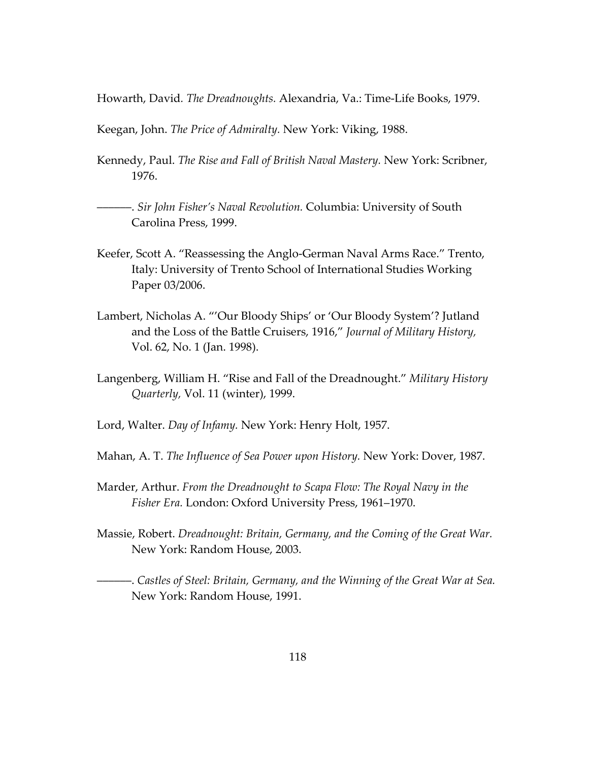Howarth, David*. The Dreadnoughts.* Alexandria, Va.: Time-Life Books, 1979.

Keegan, John. *The Price of Admiralty.* New York: Viking, 1988.

- Kennedy, Paul. *The Rise and Fall of British Naval Mastery.* New York: Scribner, 1976.
- ––––––. *Sir John Fisher's Naval Revolution.* Columbia: University of South Carolina Press, 1999.
- Keefer, Scott A. "Reassessing the Anglo-German Naval Arms Race." Trento, Italy: University of Trento School of International Studies Working Paper 03/2006.
- Lambert, Nicholas A. "'Our Bloody Ships' or 'Our Bloody System'? Jutland and the Loss of the Battle Cruisers, 1916," *Journal of Military History,* Vol. 62, No. 1 (Jan. 1998).
- Langenberg, William H. "Rise and Fall of the Dreadnought." *Military History Quarterly,* Vol. 11 (winter), 1999.
- Lord, Walter. *Day of Infamy.* New York: Henry Holt, 1957.
- Mahan, A. T. *The Influence of Sea Power upon History.* New York: Dover, 1987.
- Marder, Arthur. *From the Dreadnought to Scapa Flow: The Royal Navy in the Fisher Era.* London: Oxford University Press, 1961–1970.
- Massie, Robert. *Dreadnought: Britain, Germany, and the Coming of the Great War.*  New York: Random House, 2003.

––––––. *Castles of Steel: Britain, Germany, and the Winning of the Great War at Sea.*  New York: Random House, 1991.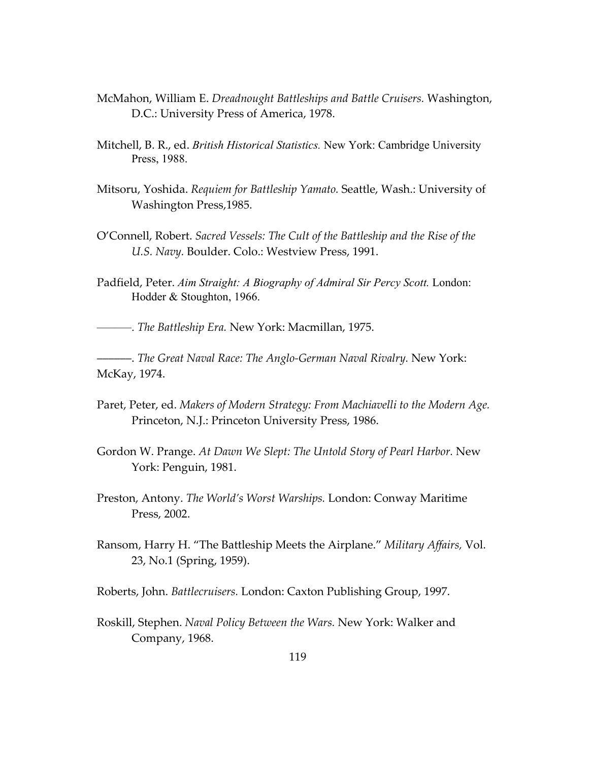- McMahon, William E. *Dreadnought Battleships and Battle Cruisers.* Washington, D.C.: University Press of America, 1978.
- Mitchell, B. R., ed. *British Historical Statistics.* New York: Cambridge University Press, 1988.
- Mitsoru, Yoshida. *Requiem for Battleship Yamato.* Seattle, Wash.: University of Washington Press,1985.
- O'Connell, Robert. *Sacred Vessels: The Cult of the Battleship and the Rise of the U.S. Navy.* Boulder. Colo.: Westview Press, 1991.
- Padfield, Peter. Aim Straight: A Biography of Admiral Sir Percy Scott. London: Hodder & Stoughton, 1966.

––––––. *The Battleship Era.* New York: Macmillan, 1975.

––––––. *The Great Naval Race: The Anglo-German Naval Rivalry.* New York: McKay, 1974.

- Paret, Peter, ed. *Makers of Modern Strategy: From Machiavelli to the Modern Age.*  Princeton, N.J.: Princeton University Press, 1986.
- Gordon W. Prange. *At Dawn We Slept: The Untold Story of Pearl Harbor.* New York: Penguin, 1981.
- Preston, Antony. *The World's Worst Warships.* London: Conway Maritime Press, 2002.
- Ransom, Harry H. "The Battleship Meets the Airplane." *Military Affairs,* Vol. 23, No.1 (Spring, 1959).
- Roberts, John. *Battlecruisers.* London: Caxton Publishing Group, 1997.
- Roskill, Stephen. *Naval Policy Between the Wars.* New York: Walker and Company, 1968.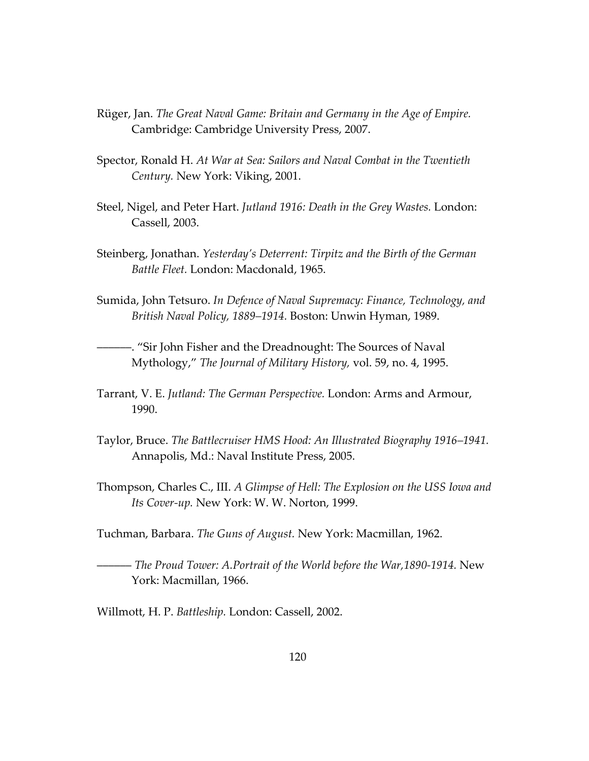- Rüger, Jan. *The Great Naval Game: Britain and Germany in the Age of Empire.* Cambridge: Cambridge University Press, 2007.
- Spector, Ronald H. *At War at Sea: Sailors and Naval Combat in the Twentieth Century.* New York: Viking, 2001.
- Steel, Nigel, and Peter Hart. *Jutland 1916: Death in the Grey Wastes.* London: Cassell, 2003.
- Steinberg, Jonathan. *Yesterday's Deterrent: Tirpitz and the Birth of the German Battle Fleet.* London: Macdonald, 1965.
- Sumida, John Tetsuro. *In Defence of Naval Supremacy: Finance, Technology, and British Naval Policy, 1889–1914.* Boston: Unwin Hyman, 1989.
- ––––––. "Sir John Fisher and the Dreadnought: The Sources of Naval Mythology," *The Journal of Military History,* vol. 59, no. 4, 1995.
- Tarrant, V. E. *Jutland: The German Perspective.* London: Arms and Armour, 1990.
- Taylor, Bruce. *The Battlecruiser HMS Hood: An Illustrated Biography 1916–1941.*  Annapolis, Md.: Naval Institute Press, 2005.
- Thompson, Charles C., III. *A Glimpse of Hell: The Explosion on the USS Iowa and Its Cover-up.* New York: W. W. Norton, 1999.
- Tuchman, Barbara. *The Guns of August.* New York: Macmillan, 1962.
- –––––– *The Proud Tower: A.Portrait of the World before the War,1890-1914.* New York: Macmillan, 1966.
- Willmott, H. P. *Battleship.* London: Cassell, 2002.